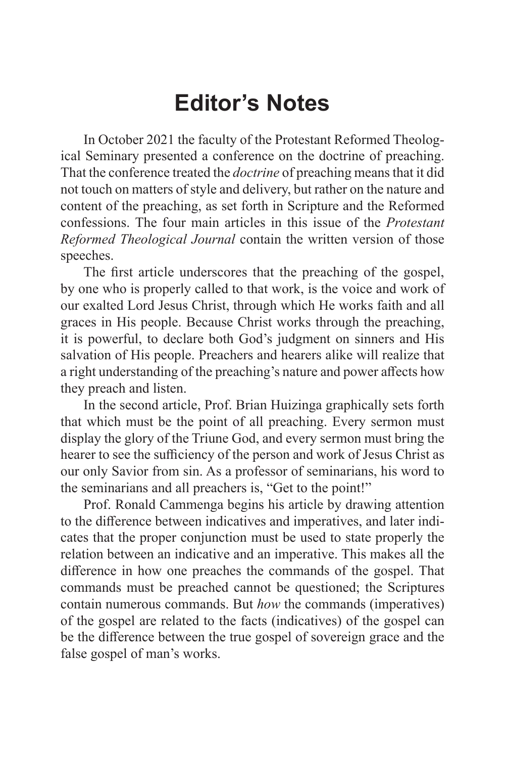# **Editor's Notes**

In October 2021 the faculty of the Protestant Reformed Theological Seminary presented a conference on the doctrine of preaching. That the conference treated the *doctrine* of preaching means that it did not touch on matters of style and delivery, but rather on the nature and content of the preaching, as set forth in Scripture and the Reformed confessions. The four main articles in this issue of the *Protestant Reformed Theological Journal* contain the written version of those speeches.

The first article underscores that the preaching of the gospel, by one who is properly called to that work, is the voice and work of our exalted Lord Jesus Christ, through which He works faith and all graces in His people. Because Christ works through the preaching, it is powerful, to declare both God's judgment on sinners and His salvation of His people. Preachers and hearers alike will realize that a right understanding of the preaching's nature and power affects how they preach and listen.

In the second article, Prof. Brian Huizinga graphically sets forth that which must be the point of all preaching. Every sermon must display the glory of the Triune God, and every sermon must bring the hearer to see the sufficiency of the person and work of Jesus Christ as our only Savior from sin. As a professor of seminarians, his word to the seminarians and all preachers is, "Get to the point!"

Prof. Ronald Cammenga begins his article by drawing attention to the difference between indicatives and imperatives, and later indicates that the proper conjunction must be used to state properly the relation between an indicative and an imperative. This makes all the difference in how one preaches the commands of the gospel. That commands must be preached cannot be questioned; the Scriptures contain numerous commands. But *how* the commands (imperatives) of the gospel are related to the facts (indicatives) of the gospel can be the difference between the true gospel of sovereign grace and the false gospel of man's works.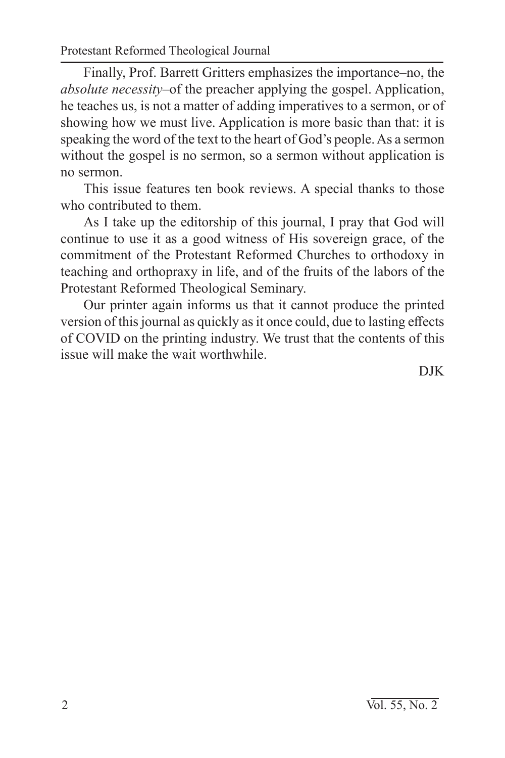Protestant Reformed Theological Journal

Finally, Prof. Barrett Gritters emphasizes the importance–no, the *absolute necessity*–of the preacher applying the gospel. Application, he teaches us, is not a matter of adding imperatives to a sermon, or of showing how we must live. Application is more basic than that: it is speaking the word of the text to the heart of God's people. As a sermon without the gospel is no sermon, so a sermon without application is no sermon.

This issue features ten book reviews. A special thanks to those who contributed to them.

As I take up the editorship of this journal, I pray that God will continue to use it as a good witness of His sovereign grace, of the commitment of the Protestant Reformed Churches to orthodoxy in teaching and orthopraxy in life, and of the fruits of the labors of the Protestant Reformed Theological Seminary.

Our printer again informs us that it cannot produce the printed version of this journal as quickly as it once could, due to lasting effects of COVID on the printing industry. We trust that the contents of this issue will make the wait worthwhile.

DJK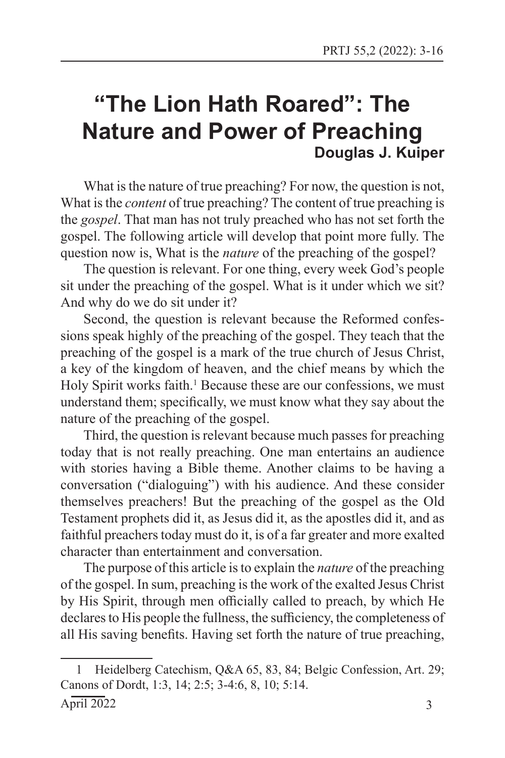## **"The Lion Hath Roared": The Nature and Power of Preaching Douglas J. Kuiper**

What is the nature of true preaching? For now, the question is not, What is the *content* of true preaching? The content of true preaching is the *gospel*. That man has not truly preached who has not set forth the gospel. The following article will develop that point more fully. The question now is, What is the *nature* of the preaching of the gospel?

The question is relevant. For one thing, every week God's people sit under the preaching of the gospel. What is it under which we sit? And why do we do sit under it?

Second, the question is relevant because the Reformed confessions speak highly of the preaching of the gospel. They teach that the preaching of the gospel is a mark of the true church of Jesus Christ, a key of the kingdom of heaven, and the chief means by which the Holy Spirit works faith.<sup>1</sup> Because these are our confessions, we must understand them; specifically, we must know what they say about the nature of the preaching of the gospel.

Third, the question is relevant because much passes for preaching today that is not really preaching. One man entertains an audience with stories having a Bible theme. Another claims to be having a conversation ("dialoguing") with his audience. And these consider themselves preachers! But the preaching of the gospel as the Old Testament prophets did it, as Jesus did it, as the apostles did it, and as faithful preachers today must do it, is of a far greater and more exalted character than entertainment and conversation.

The purpose of this article is to explain the *nature* of the preaching of the gospel. In sum, preaching is the work of the exalted Jesus Christ by His Spirit, through men officially called to preach, by which He declares to His people the fullness, the sufficiency, the completeness of all His saving benefits. Having set forth the nature of true preaching,

<sup>1</sup> Heidelberg Catechism, Q&A 65, 83, 84; Belgic Confession, Art. 29; Canons of Dordt, 1:3, 14; 2:5; 3-4:6, 8, 10; 5:14.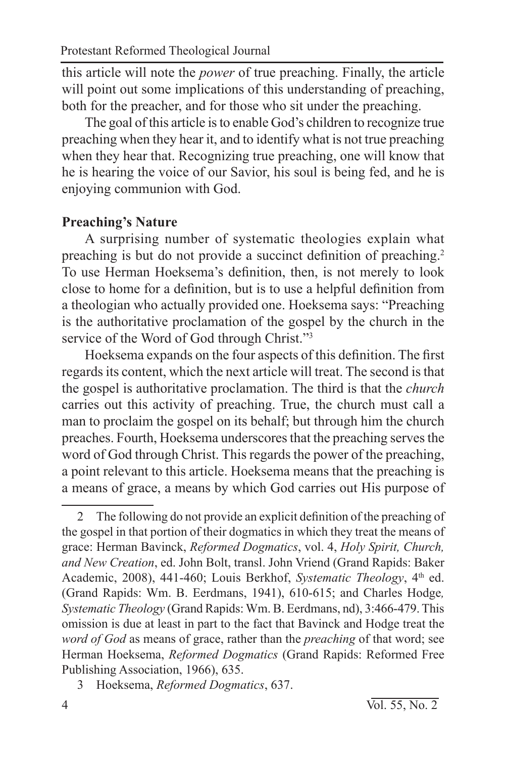this article will note the *power* of true preaching. Finally, the article will point out some implications of this understanding of preaching, both for the preacher, and for those who sit under the preaching.

The goal of this article is to enable God's children to recognize true preaching when they hear it, and to identify what is not true preaching when they hear that. Recognizing true preaching, one will know that he is hearing the voice of our Savior, his soul is being fed, and he is enjoying communion with God.

#### **Preaching's Nature**

A surprising number of systematic theologies explain what preaching is but do not provide a succinct definition of preaching.<sup>2</sup> To use Herman Hoeksema's definition, then, is not merely to look close to home for a definition, but is to use a helpful definition from a theologian who actually provided one. Hoeksema says: "Preaching is the authoritative proclamation of the gospel by the church in the service of the Word of God through Christ."3

Hoeksema expands on the four aspects of this definition. The first regards its content, which the next article will treat. The second is that the gospel is authoritative proclamation. The third is that the *church* carries out this activity of preaching. True, the church must call a man to proclaim the gospel on its behalf; but through him the church preaches. Fourth, Hoeksema underscores that the preaching serves the word of God through Christ. This regards the power of the preaching, a point relevant to this article. Hoeksema means that the preaching is a means of grace, a means by which God carries out His purpose of

<sup>2</sup> The following do not provide an explicit definition of the preaching of the gospel in that portion of their dogmatics in which they treat the means of grace: Herman Bavinck, *Reformed Dogmatics*, vol. 4, *Holy Spirit, Church, and New Creation*, ed. John Bolt, transl. John Vriend (Grand Rapids: Baker Academic, 2008), 441-460; Louis Berkhof, *Systematic Theology*, 4<sup>th</sup> ed. (Grand Rapids: Wm. B. Eerdmans, 1941), 610-615; and Charles Hodge*, Systematic Theology* (Grand Rapids: Wm. B. Eerdmans, nd), 3:466-479. This omission is due at least in part to the fact that Bavinck and Hodge treat the *word of God* as means of grace, rather than the *preaching* of that word; see Herman Hoeksema, *Reformed Dogmatics* (Grand Rapids: Reformed Free Publishing Association, 1966), 635.

<sup>3</sup> Hoeksema, *Reformed Dogmatics*, 637.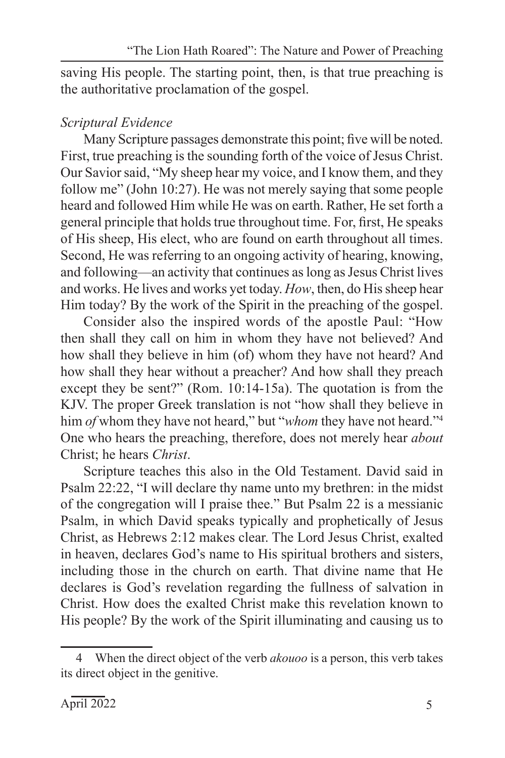saving His people. The starting point, then, is that true preaching is the authoritative proclamation of the gospel.

## *Scriptural Evidence*

Many Scripture passages demonstrate this point; five will be noted. First, true preaching is the sounding forth of the voice of Jesus Christ. Our Savior said, "My sheep hear my voice, and I know them, and they follow me" (John 10:27). He was not merely saying that some people heard and followed Him while He was on earth. Rather, He set forth a general principle that holds true throughout time. For, first, He speaks of His sheep, His elect, who are found on earth throughout all times. Second, He was referring to an ongoing activity of hearing, knowing, and following—an activity that continues as long as Jesus Christ lives and works. He lives and works yet today. *How*, then, do His sheep hear Him today? By the work of the Spirit in the preaching of the gospel.

Consider also the inspired words of the apostle Paul: "How then shall they call on him in whom they have not believed? And how shall they believe in him (of) whom they have not heard? And how shall they hear without a preacher? And how shall they preach except they be sent?" (Rom. 10:14-15a). The quotation is from the KJV. The proper Greek translation is not "how shall they believe in him *of* whom they have not heard," but "*whom* they have not heard."4 One who hears the preaching, therefore, does not merely hear *about* Christ; he hears *Christ*.

Scripture teaches this also in the Old Testament. David said in Psalm 22:22, "I will declare thy name unto my brethren: in the midst of the congregation will I praise thee." But Psalm 22 is a messianic Psalm, in which David speaks typically and prophetically of Jesus Christ, as Hebrews 2:12 makes clear. The Lord Jesus Christ, exalted in heaven, declares God's name to His spiritual brothers and sisters, including those in the church on earth. That divine name that He declares is God's revelation regarding the fullness of salvation in Christ. How does the exalted Christ make this revelation known to His people? By the work of the Spirit illuminating and causing us to

<sup>4</sup> When the direct object of the verb *akouoo* is a person, this verb takes its direct object in the genitive.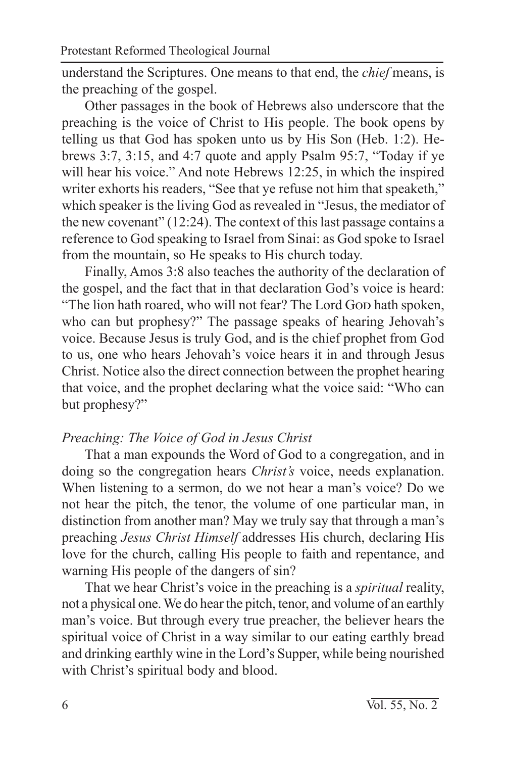understand the Scriptures. One means to that end, the *chief* means, is the preaching of the gospel.

Other passages in the book of Hebrews also underscore that the preaching is the voice of Christ to His people. The book opens by telling us that God has spoken unto us by His Son (Heb. 1:2). Hebrews 3:7, 3:15, and 4:7 quote and apply Psalm 95:7, "Today if ye will hear his voice." And note Hebrews 12:25, in which the inspired writer exhorts his readers, "See that ye refuse not him that speaketh," which speaker is the living God as revealed in "Jesus, the mediator of the new covenant" (12:24). The context of this last passage contains a reference to God speaking to Israel from Sinai: as God spoke to Israel from the mountain, so He speaks to His church today.

Finally, Amos 3:8 also teaches the authority of the declaration of the gospel, and the fact that in that declaration God's voice is heard: "The lion hath roared, who will not fear? The Lord Gop hath spoken, who can but prophesy?" The passage speaks of hearing Jehovah's voice. Because Jesus is truly God, and is the chief prophet from God to us, one who hears Jehovah's voice hears it in and through Jesus Christ. Notice also the direct connection between the prophet hearing that voice, and the prophet declaring what the voice said: "Who can but prophesy?"

## *Preaching: The Voice of God in Jesus Christ*

That a man expounds the Word of God to a congregation, and in doing so the congregation hears *Christ's* voice, needs explanation. When listening to a sermon, do we not hear a man's voice? Do we not hear the pitch, the tenor, the volume of one particular man, in distinction from another man? May we truly say that through a man's preaching *Jesus Christ Himself* addresses His church, declaring His love for the church, calling His people to faith and repentance, and warning His people of the dangers of sin?

That we hear Christ's voice in the preaching is a *spiritual* reality, not a physical one. We do hear the pitch, tenor, and volume of an earthly man's voice. But through every true preacher, the believer hears the spiritual voice of Christ in a way similar to our eating earthly bread and drinking earthly wine in the Lord's Supper, while being nourished with Christ's spiritual body and blood.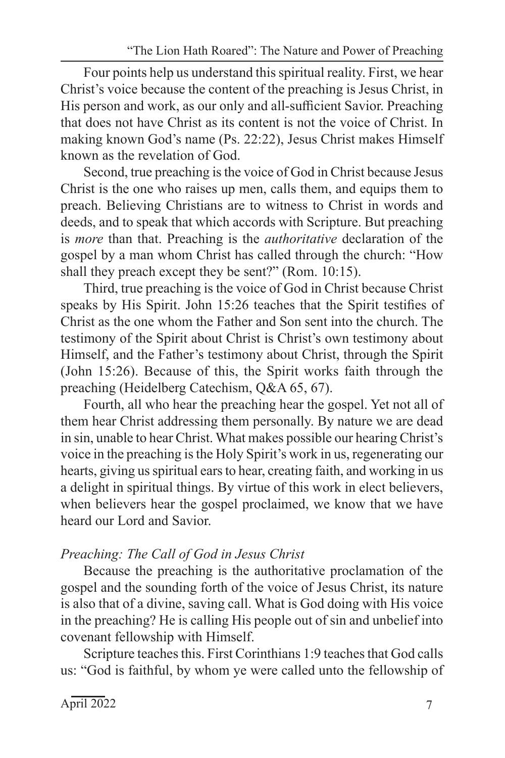Four points help us understand this spiritual reality. First, we hear Christ's voice because the content of the preaching is Jesus Christ, in His person and work, as our only and all-sufficient Savior. Preaching that does not have Christ as its content is not the voice of Christ. In making known God's name (Ps. 22:22), Jesus Christ makes Himself known as the revelation of God.

Second, true preaching is the voice of God in Christ because Jesus Christ is the one who raises up men, calls them, and equips them to preach. Believing Christians are to witness to Christ in words and deeds, and to speak that which accords with Scripture. But preaching is *more* than that. Preaching is the *authoritative* declaration of the gospel by a man whom Christ has called through the church: "How shall they preach except they be sent?" (Rom. 10:15).

Third, true preaching is the voice of God in Christ because Christ speaks by His Spirit. John 15:26 teaches that the Spirit testifies of Christ as the one whom the Father and Son sent into the church. The testimony of the Spirit about Christ is Christ's own testimony about Himself, and the Father's testimony about Christ, through the Spirit (John 15:26). Because of this, the Spirit works faith through the preaching (Heidelberg Catechism, Q&A 65, 67).

Fourth, all who hear the preaching hear the gospel. Yet not all of them hear Christ addressing them personally. By nature we are dead in sin, unable to hear Christ. What makes possible our hearing Christ's voice in the preaching is the Holy Spirit's work in us, regenerating our hearts, giving us spiritual ears to hear, creating faith, and working in us a delight in spiritual things. By virtue of this work in elect believers, when believers hear the gospel proclaimed, we know that we have heard our Lord and Savior.

## *Preaching: The Call of God in Jesus Christ*

Because the preaching is the authoritative proclamation of the gospel and the sounding forth of the voice of Jesus Christ, its nature is also that of a divine, saving call. What is God doing with His voice in the preaching? He is calling His people out of sin and unbelief into covenant fellowship with Himself.

Scripture teaches this. First Corinthians 1:9 teaches that God calls us: "God is faithful, by whom ye were called unto the fellowship of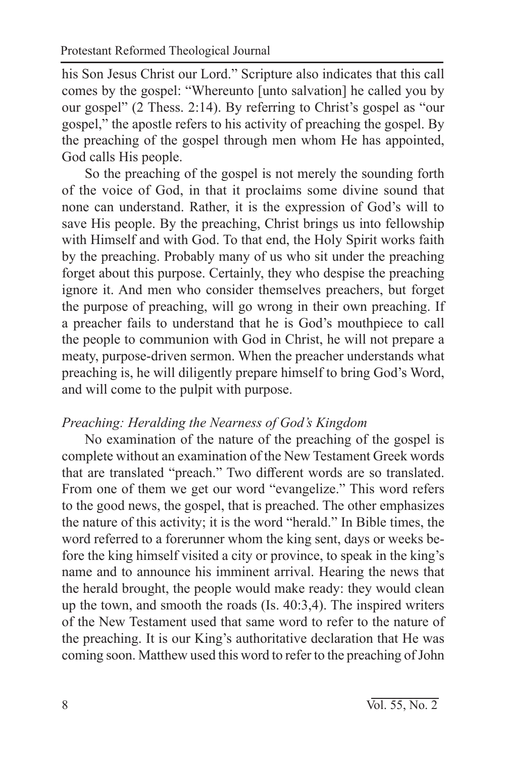his Son Jesus Christ our Lord." Scripture also indicates that this call comes by the gospel: "Whereunto [unto salvation] he called you by our gospel" (2 Thess. 2:14). By referring to Christ's gospel as "our gospel," the apostle refers to his activity of preaching the gospel. By the preaching of the gospel through men whom He has appointed, God calls His people.

So the preaching of the gospel is not merely the sounding forth of the voice of God, in that it proclaims some divine sound that none can understand. Rather, it is the expression of God's will to save His people. By the preaching, Christ brings us into fellowship with Himself and with God. To that end, the Holy Spirit works faith by the preaching. Probably many of us who sit under the preaching forget about this purpose. Certainly, they who despise the preaching ignore it. And men who consider themselves preachers, but forget the purpose of preaching, will go wrong in their own preaching. If a preacher fails to understand that he is God's mouthpiece to call the people to communion with God in Christ, he will not prepare a meaty, purpose-driven sermon. When the preacher understands what preaching is, he will diligently prepare himself to bring God's Word, and will come to the pulpit with purpose.

#### *Preaching: Heralding the Nearness of God's Kingdom*

No examination of the nature of the preaching of the gospel is complete without an examination of the New Testament Greek words that are translated "preach." Two different words are so translated. From one of them we get our word "evangelize." This word refers to the good news, the gospel, that is preached. The other emphasizes the nature of this activity; it is the word "herald." In Bible times, the word referred to a forerunner whom the king sent, days or weeks before the king himself visited a city or province, to speak in the king's name and to announce his imminent arrival. Hearing the news that the herald brought, the people would make ready: they would clean up the town, and smooth the roads (Is. 40:3,4). The inspired writers of the New Testament used that same word to refer to the nature of the preaching. It is our King's authoritative declaration that He was coming soon. Matthew used this word to refer to the preaching of John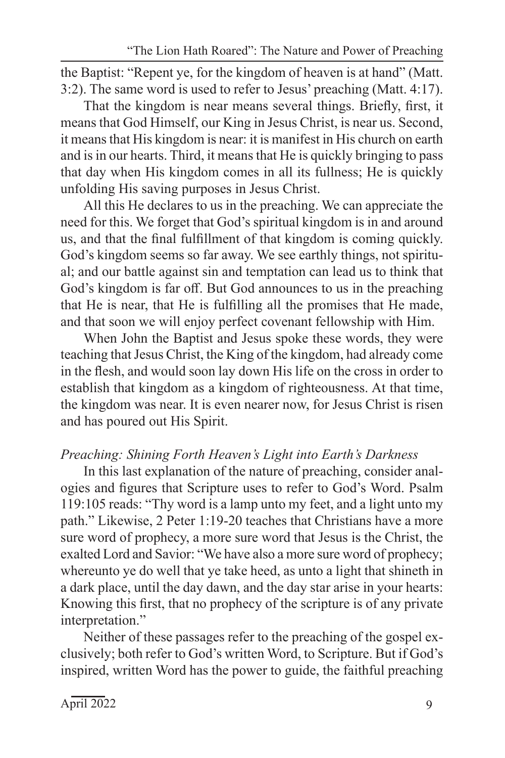the Baptist: "Repent ye, for the kingdom of heaven is at hand" (Matt. 3:2). The same word is used to refer to Jesus' preaching (Matt. 4:17).

That the kingdom is near means several things. Briefly, first, it means that God Himself, our King in Jesus Christ, is near us. Second, it means that His kingdom is near: it is manifest in His church on earth and is in our hearts. Third, it means that He is quickly bringing to pass that day when His kingdom comes in all its fullness; He is quickly unfolding His saving purposes in Jesus Christ.

All this He declares to us in the preaching. We can appreciate the need for this. We forget that God's spiritual kingdom is in and around us, and that the final fulfillment of that kingdom is coming quickly. God's kingdom seems so far away. We see earthly things, not spiritual; and our battle against sin and temptation can lead us to think that God's kingdom is far off. But God announces to us in the preaching that He is near, that He is fulfilling all the promises that He made, and that soon we will enjoy perfect covenant fellowship with Him.

When John the Baptist and Jesus spoke these words, they were teaching that Jesus Christ, the King of the kingdom, had already come in the flesh, and would soon lay down His life on the cross in order to establish that kingdom as a kingdom of righteousness. At that time, the kingdom was near. It is even nearer now, for Jesus Christ is risen and has poured out His Spirit.

## *Preaching: Shining Forth Heaven's Light into Earth's Darkness*

In this last explanation of the nature of preaching, consider analogies and figures that Scripture uses to refer to God's Word. Psalm 119:105 reads: "Thy word is a lamp unto my feet, and a light unto my path." Likewise, 2 Peter 1:19-20 teaches that Christians have a more sure word of prophecy, a more sure word that Jesus is the Christ, the exalted Lord and Savior: "We have also a more sure word of prophecy; whereunto ye do well that ye take heed, as unto a light that shineth in a dark place, until the day dawn, and the day star arise in your hearts: Knowing this first, that no prophecy of the scripture is of any private interpretation."

Neither of these passages refer to the preaching of the gospel exclusively; both refer to God's written Word, to Scripture. But if God's inspired, written Word has the power to guide, the faithful preaching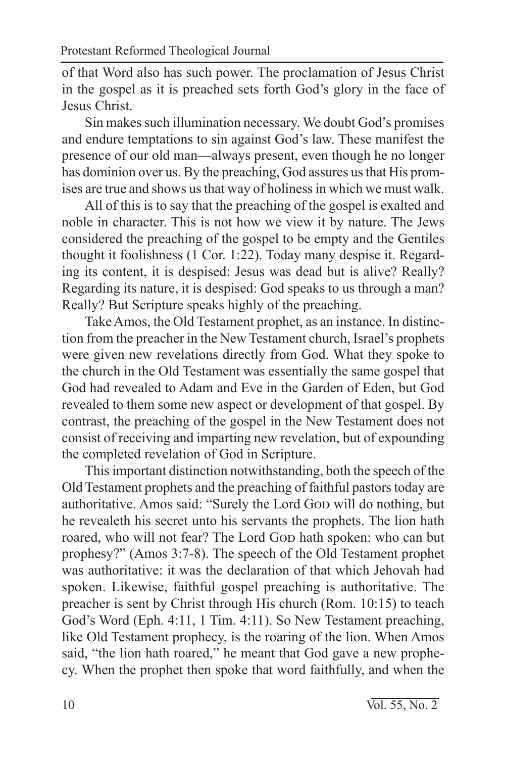of that Word also has such power. The proclamation of Jesus Christ in the gospel as it is preached sets forth God's glory in the face of Jesus Christ.

Sin makes such illumination necessary. We doubt God's promises and endure temptations to sin against God's law. These manifest the presence of our old man—always present, even though he no longer has dominion over us. By the preaching, God assures us that His promises are true and shows us that way of holiness in which we must walk.

All of this is to say that the preaching of the gospel is exalted and noble in character. This is not how we view it by nature. The Jews considered the preaching of the gospel to be empty and the Gentiles thought it foolishness (1 Cor. 1:22). Today many despise it. Regarding its content, it is despised: Jesus was dead but is alive? Really? Regarding its nature, it is despised: God speaks to us through a man? Really? But Scripture speaks highly of the preaching.

Take Amos, the Old Testament prophet, as an instance. In distinction from the preacher in the New Testament church, Israel's prophets were given new revelations directly from God. What they spoke to the church in the Old Testament was essentially the same gospel that God had revealed to Adam and Eve in the Garden of Eden, but God revealed to them some new aspect or development of that gospel. By contrast, the preaching of the gospel in the New Testament does not consist of receiving and imparting new revelation, but of expounding the completed revelation of God in Scripture.

This important distinction notwithstanding, both the speech of the Old Testament prophets and the preaching of faithful pastors today are authoritative. Amos said: "Surely the Lord GoD will do nothing, but he revealeth his secret unto his servants the prophets. The lion hath roared, who will not fear? The Lord GoD hath spoken: who can but prophesy?" (Amos 3:7-8). The speech of the Old Testament prophet was authoritative: it was the declaration of that which Jehovah had spoken. Likewise, faithful gospel preaching is authoritative. The preacher is sent by Christ through His church (Rom. 10:15) to teach God's Word (Eph. 4:11, 1 Tim. 4:11). So New Testament preaching, like Old Testament prophecy, is the roaring of the lion. When Amos said, "the lion hath roared," he meant that God gave a new prophecy. When the prophet then spoke that word faithfully, and when the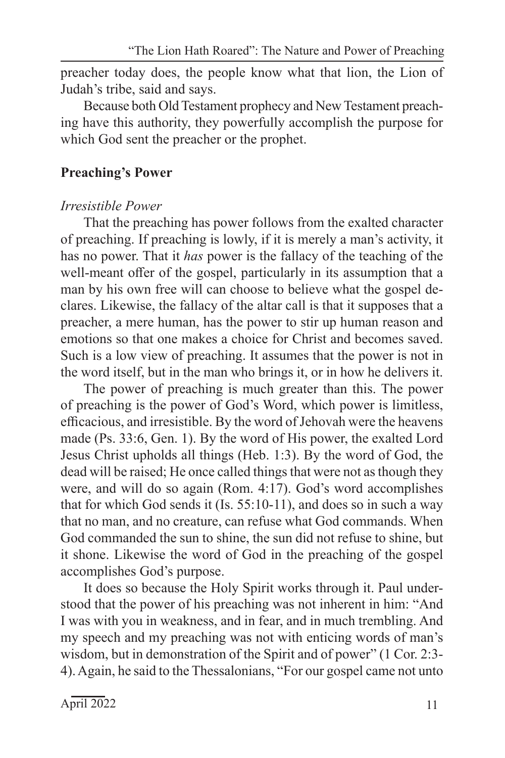preacher today does, the people know what that lion, the Lion of Judah's tribe, said and says.

Because both Old Testament prophecy and New Testament preaching have this authority, they powerfully accomplish the purpose for which God sent the preacher or the prophet.

#### **Preaching's Power**

#### *Irresistible Power*

That the preaching has power follows from the exalted character of preaching. If preaching is lowly, if it is merely a man's activity, it has no power. That it *has* power is the fallacy of the teaching of the well-meant offer of the gospel, particularly in its assumption that a man by his own free will can choose to believe what the gospel declares. Likewise, the fallacy of the altar call is that it supposes that a preacher, a mere human, has the power to stir up human reason and emotions so that one makes a choice for Christ and becomes saved. Such is a low view of preaching. It assumes that the power is not in the word itself, but in the man who brings it, or in how he delivers it.

The power of preaching is much greater than this. The power of preaching is the power of God's Word, which power is limitless, efficacious, and irresistible. By the word of Jehovah were the heavens made (Ps. 33:6, Gen. 1). By the word of His power, the exalted Lord Jesus Christ upholds all things (Heb. 1:3). By the word of God, the dead will be raised; He once called things that were not as though they were, and will do so again (Rom. 4:17). God's word accomplishes that for which God sends it (Is. 55:10-11), and does so in such a way that no man, and no creature, can refuse what God commands. When God commanded the sun to shine, the sun did not refuse to shine, but it shone. Likewise the word of God in the preaching of the gospel accomplishes God's purpose.

It does so because the Holy Spirit works through it. Paul understood that the power of his preaching was not inherent in him: "And I was with you in weakness, and in fear, and in much trembling. And my speech and my preaching was not with enticing words of man's wisdom, but in demonstration of the Spirit and of power" (1 Cor. 2:3- 4). Again, he said to the Thessalonians, "For our gospel came not unto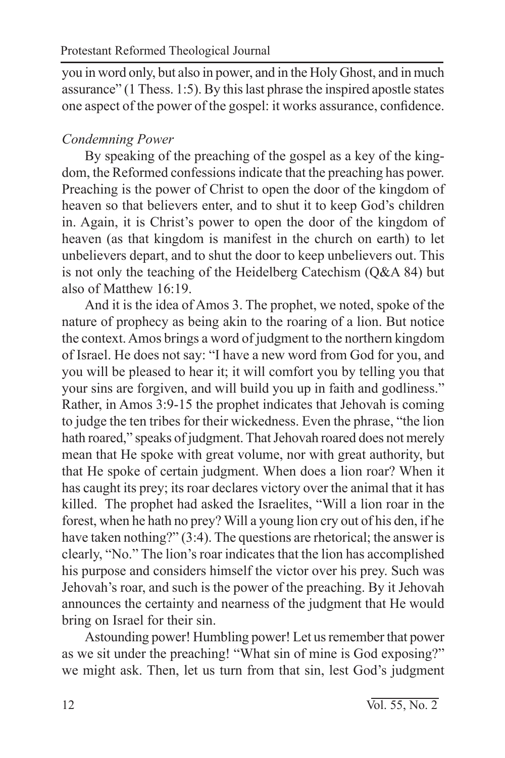you in word only, but also in power, and in the Holy Ghost, and in much assurance" (1 Thess. 1:5). By this last phrase the inspired apostle states one aspect of the power of the gospel: it works assurance, confidence.

## *Condemning Power*

By speaking of the preaching of the gospel as a key of the kingdom, the Reformed confessions indicate that the preaching has power. Preaching is the power of Christ to open the door of the kingdom of heaven so that believers enter, and to shut it to keep God's children in. Again, it is Christ's power to open the door of the kingdom of heaven (as that kingdom is manifest in the church on earth) to let unbelievers depart, and to shut the door to keep unbelievers out. This is not only the teaching of the Heidelberg Catechism (Q&A 84) but also of Matthew 16:19.

And it is the idea of Amos 3. The prophet, we noted, spoke of the nature of prophecy as being akin to the roaring of a lion. But notice the context. Amos brings a word of judgment to the northern kingdom of Israel. He does not say: "I have a new word from God for you, and you will be pleased to hear it; it will comfort you by telling you that your sins are forgiven, and will build you up in faith and godliness." Rather, in Amos 3:9-15 the prophet indicates that Jehovah is coming to judge the ten tribes for their wickedness. Even the phrase, "the lion hath roared," speaks of judgment. That Jehovah roared does not merely mean that He spoke with great volume, nor with great authority, but that He spoke of certain judgment. When does a lion roar? When it has caught its prey; its roar declares victory over the animal that it has killed. The prophet had asked the Israelites, "Will a lion roar in the forest, when he hath no prey? Will a young lion cry out of his den, if he have taken nothing?" (3:4). The questions are rhetorical; the answer is clearly, "No." The lion's roar indicates that the lion has accomplished his purpose and considers himself the victor over his prey. Such was Jehovah's roar, and such is the power of the preaching. By it Jehovah announces the certainty and nearness of the judgment that He would bring on Israel for their sin.

Astounding power! Humbling power! Let us remember that power as we sit under the preaching! "What sin of mine is God exposing?" we might ask. Then, let us turn from that sin, lest God's judgment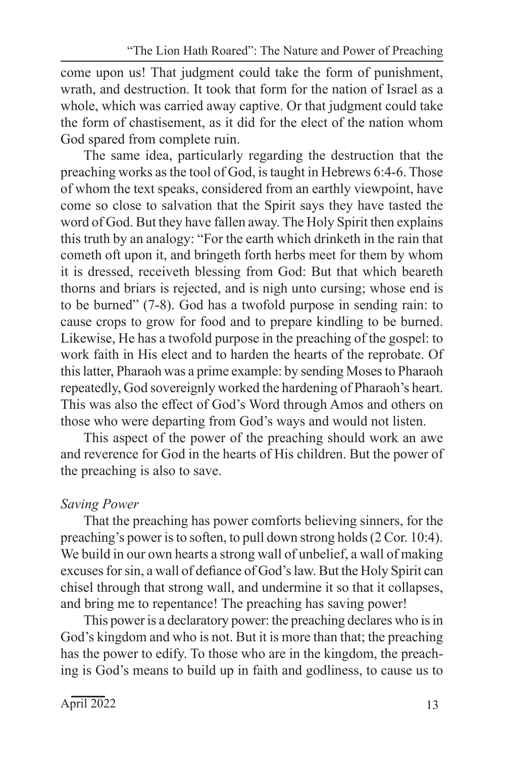come upon us! That judgment could take the form of punishment, wrath, and destruction. It took that form for the nation of Israel as a whole, which was carried away captive. Or that judgment could take the form of chastisement, as it did for the elect of the nation whom God spared from complete ruin.

The same idea, particularly regarding the destruction that the preaching works as the tool of God, is taught in Hebrews 6:4-6. Those of whom the text speaks, considered from an earthly viewpoint, have come so close to salvation that the Spirit says they have tasted the word of God. But they have fallen away. The Holy Spirit then explains this truth by an analogy: "For the earth which drinketh in the rain that cometh oft upon it, and bringeth forth herbs meet for them by whom it is dressed, receiveth blessing from God: But that which beareth thorns and briars is rejected, and is nigh unto cursing; whose end is to be burned" (7-8). God has a twofold purpose in sending rain: to cause crops to grow for food and to prepare kindling to be burned. Likewise, He has a twofold purpose in the preaching of the gospel: to work faith in His elect and to harden the hearts of the reprobate. Of this latter, Pharaoh was a prime example: by sending Moses to Pharaoh repeatedly, God sovereignly worked the hardening of Pharaoh's heart. This was also the effect of God's Word through Amos and others on those who were departing from God's ways and would not listen.

This aspect of the power of the preaching should work an awe and reverence for God in the hearts of His children. But the power of the preaching is also to save.

## *Saving Power*

That the preaching has power comforts believing sinners, for the preaching's power is to soften, to pull down strong holds (2 Cor. 10:4). We build in our own hearts a strong wall of unbelief, a wall of making excuses for sin, a wall of defiance of God's law. But the Holy Spirit can chisel through that strong wall, and undermine it so that it collapses, and bring me to repentance! The preaching has saving power!

This power is a declaratory power: the preaching declares who is in God's kingdom and who is not. But it is more than that; the preaching has the power to edify. To those who are in the kingdom, the preaching is God's means to build up in faith and godliness, to cause us to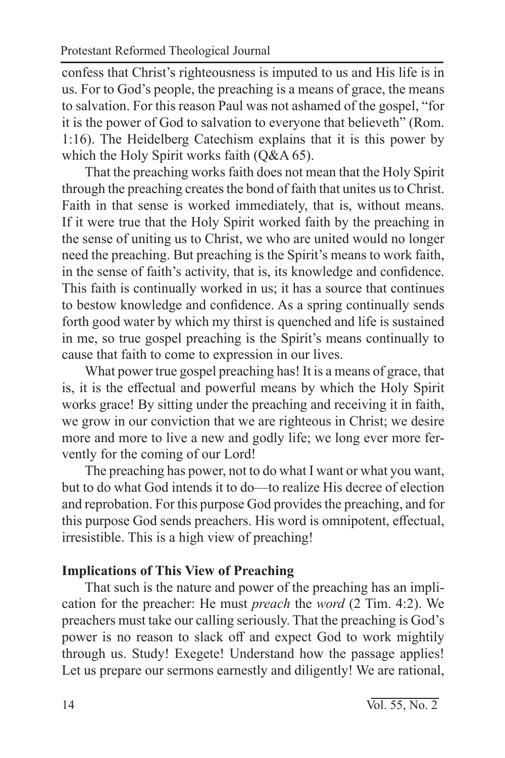confess that Christ's righteousness is imputed to us and His life is in us. For to God's people, the preaching is a means of grace, the means to salvation. For this reason Paul was not ashamed of the gospel, "for it is the power of God to salvation to everyone that believeth" (Rom. 1:16). The Heidelberg Catechism explains that it is this power by which the Holy Spirit works faith (O&A 65).

That the preaching works faith does not mean that the Holy Spirit through the preaching creates the bond of faith that unites us to Christ. Faith in that sense is worked immediately, that is, without means. If it were true that the Holy Spirit worked faith by the preaching in the sense of uniting us to Christ, we who are united would no longer need the preaching. But preaching is the Spirit's means to work faith, in the sense of faith's activity, that is, its knowledge and confidence. This faith is continually worked in us; it has a source that continues to bestow knowledge and confidence. As a spring continually sends forth good water by which my thirst is quenched and life is sustained in me, so true gospel preaching is the Spirit's means continually to cause that faith to come to expression in our lives.

What power true gospel preaching has! It is a means of grace, that is, it is the effectual and powerful means by which the Holy Spirit works grace! By sitting under the preaching and receiving it in faith, we grow in our conviction that we are righteous in Christ; we desire more and more to live a new and godly life; we long ever more fervently for the coming of our Lord!

The preaching has power, not to do what I want or what you want, but to do what God intends it to do—to realize His decree of election and reprobation. For this purpose God provides the preaching, and for this purpose God sends preachers. His word is omnipotent, effectual, irresistible. This is a high view of preaching!

## **Implications of This View of Preaching**

That such is the nature and power of the preaching has an implication for the preacher: He must *preach* the *word* (2 Tim. 4:2). We preachers must take our calling seriously. That the preaching is God's power is no reason to slack off and expect God to work mightily through us. Study! Exegete! Understand how the passage applies! Let us prepare our sermons earnestly and diligently! We are rational,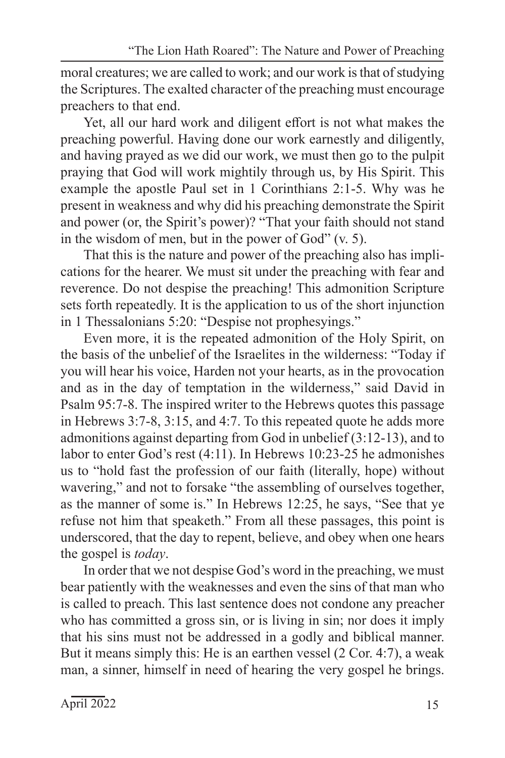moral creatures; we are called to work; and our work is that of studying the Scriptures. The exalted character of the preaching must encourage preachers to that end.

Yet, all our hard work and diligent effort is not what makes the preaching powerful. Having done our work earnestly and diligently, and having prayed as we did our work, we must then go to the pulpit praying that God will work mightily through us, by His Spirit. This example the apostle Paul set in 1 Corinthians 2:1-5. Why was he present in weakness and why did his preaching demonstrate the Spirit and power (or, the Spirit's power)? "That your faith should not stand in the wisdom of men, but in the power of God" (v. 5).

That this is the nature and power of the preaching also has implications for the hearer. We must sit under the preaching with fear and reverence. Do not despise the preaching! This admonition Scripture sets forth repeatedly. It is the application to us of the short injunction in 1 Thessalonians 5:20: "Despise not prophesyings."

Even more, it is the repeated admonition of the Holy Spirit, on the basis of the unbelief of the Israelites in the wilderness: "Today if you will hear his voice, Harden not your hearts, as in the provocation and as in the day of temptation in the wilderness," said David in Psalm 95:7-8. The inspired writer to the Hebrews quotes this passage in Hebrews 3:7-8, 3:15, and 4:7. To this repeated quote he adds more admonitions against departing from God in unbelief (3:12-13), and to labor to enter God's rest (4:11). In Hebrews 10:23-25 he admonishes us to "hold fast the profession of our faith (literally, hope) without wavering," and not to forsake "the assembling of ourselves together, as the manner of some is." In Hebrews 12:25, he says, "See that ye refuse not him that speaketh." From all these passages, this point is underscored, that the day to repent, believe, and obey when one hears the gospel is *today*.

In order that we not despise God's word in the preaching, we must bear patiently with the weaknesses and even the sins of that man who is called to preach. This last sentence does not condone any preacher who has committed a gross sin, or is living in sin; nor does it imply that his sins must not be addressed in a godly and biblical manner. But it means simply this: He is an earthen vessel (2 Cor. 4:7), a weak man, a sinner, himself in need of hearing the very gospel he brings.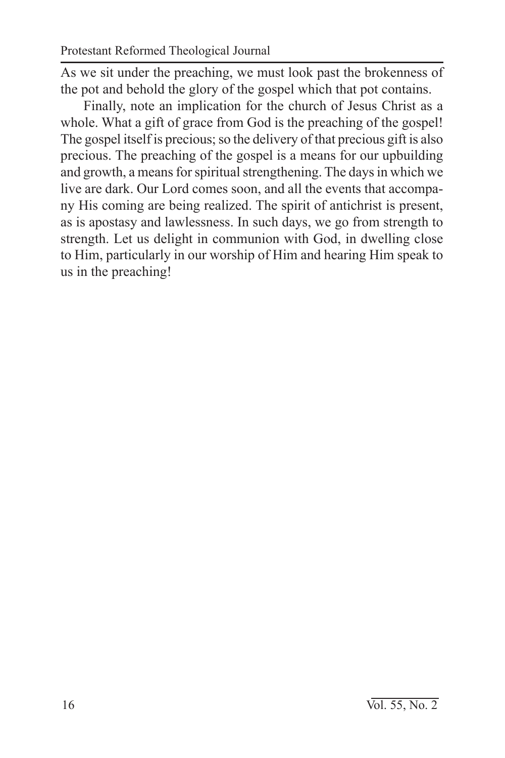As we sit under the preaching, we must look past the brokenness of the pot and behold the glory of the gospel which that pot contains.

Finally, note an implication for the church of Jesus Christ as a whole. What a gift of grace from God is the preaching of the gospel! The gospel itself is precious; so the delivery of that precious gift is also precious. The preaching of the gospel is a means for our upbuilding and growth, a means for spiritual strengthening. The days in which we live are dark. Our Lord comes soon, and all the events that accompany His coming are being realized. The spirit of antichrist is present, as is apostasy and lawlessness. In such days, we go from strength to strength. Let us delight in communion with God, in dwelling close to Him, particularly in our worship of Him and hearing Him speak to us in the preaching!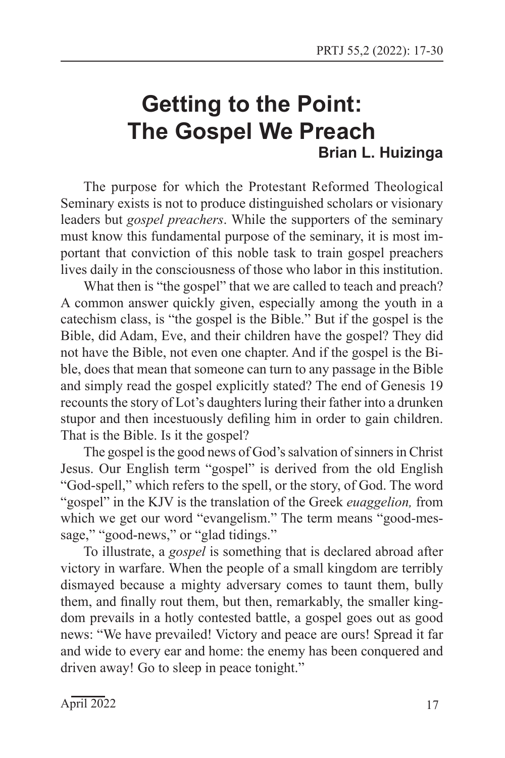## **Getting to the Point: The Gospel We Preach Brian L. Huizinga**

The purpose for which the Protestant Reformed Theological Seminary exists is not to produce distinguished scholars or visionary leaders but *gospel preachers*. While the supporters of the seminary must know this fundamental purpose of the seminary, it is most important that conviction of this noble task to train gospel preachers lives daily in the consciousness of those who labor in this institution.

What then is "the gospel" that we are called to teach and preach? A common answer quickly given, especially among the youth in a catechism class, is "the gospel is the Bible." But if the gospel is the Bible, did Adam, Eve, and their children have the gospel? They did not have the Bible, not even one chapter. And if the gospel is the Bible, does that mean that someone can turn to any passage in the Bible and simply read the gospel explicitly stated? The end of Genesis 19 recounts the story of Lot's daughters luring their father into a drunken stupor and then incestuously defiling him in order to gain children. That is the Bible. Is it the gospel?

The gospel is the good news of God's salvation of sinners in Christ Jesus. Our English term "gospel" is derived from the old English "God-spell," which refers to the spell, or the story, of God. The word "gospel" in the KJV is the translation of the Greek *euaggelion,* from which we get our word "evangelism." The term means "good-message," "good-news," or "glad tidings."

To illustrate, a *gospel* is something that is declared abroad after victory in warfare. When the people of a small kingdom are terribly dismayed because a mighty adversary comes to taunt them, bully them, and finally rout them, but then, remarkably, the smaller kingdom prevails in a hotly contested battle, a gospel goes out as good news: "We have prevailed! Victory and peace are ours! Spread it far and wide to every ear and home: the enemy has been conquered and driven away! Go to sleep in peace tonight."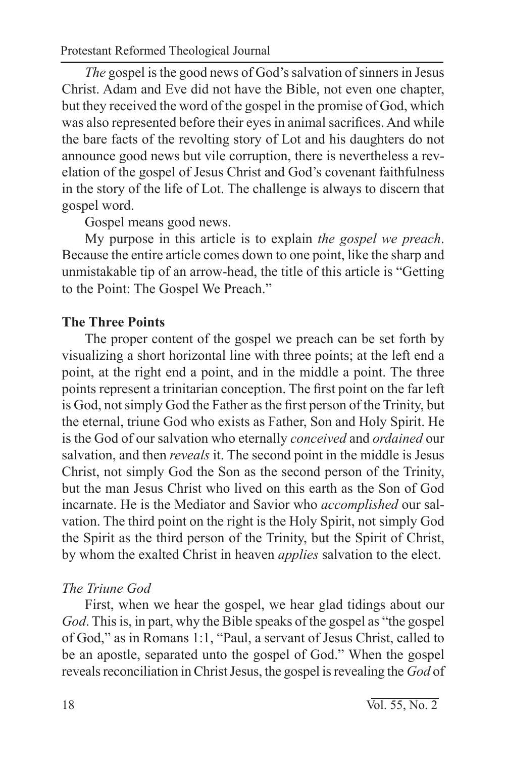*The* gospel is the good news of God's salvation of sinners in Jesus Christ. Adam and Eve did not have the Bible, not even one chapter, but they received the word of the gospel in the promise of God, which was also represented before their eyes in animal sacrifices. And while the bare facts of the revolting story of Lot and his daughters do not announce good news but vile corruption, there is nevertheless a revelation of the gospel of Jesus Christ and God's covenant faithfulness in the story of the life of Lot. The challenge is always to discern that gospel word.

Gospel means good news.

My purpose in this article is to explain *the gospel we preach*. Because the entire article comes down to one point, like the sharp and unmistakable tip of an arrow-head, the title of this article is "Getting to the Point: The Gospel We Preach."

#### **The Three Points**

The proper content of the gospel we preach can be set forth by visualizing a short horizontal line with three points; at the left end a point, at the right end a point, and in the middle a point. The three points represent a trinitarian conception. The first point on the far left is God, not simply God the Father as the first person of the Trinity, but the eternal, triune God who exists as Father, Son and Holy Spirit. He is the God of our salvation who eternally *conceived* and *ordained* our salvation, and then *reveals* it. The second point in the middle is Jesus Christ, not simply God the Son as the second person of the Trinity, but the man Jesus Christ who lived on this earth as the Son of God incarnate. He is the Mediator and Savior who *accomplished* our salvation. The third point on the right is the Holy Spirit, not simply God the Spirit as the third person of the Trinity, but the Spirit of Christ, by whom the exalted Christ in heaven *applies* salvation to the elect.

#### *The Triune God*

First, when we hear the gospel, we hear glad tidings about our *God*. This is, in part, why the Bible speaks of the gospel as "the gospel of God," as in Romans 1:1, "Paul, a servant of Jesus Christ, called to be an apostle, separated unto the gospel of God." When the gospel reveals reconciliation in Christ Jesus, the gospel is revealing the *God* of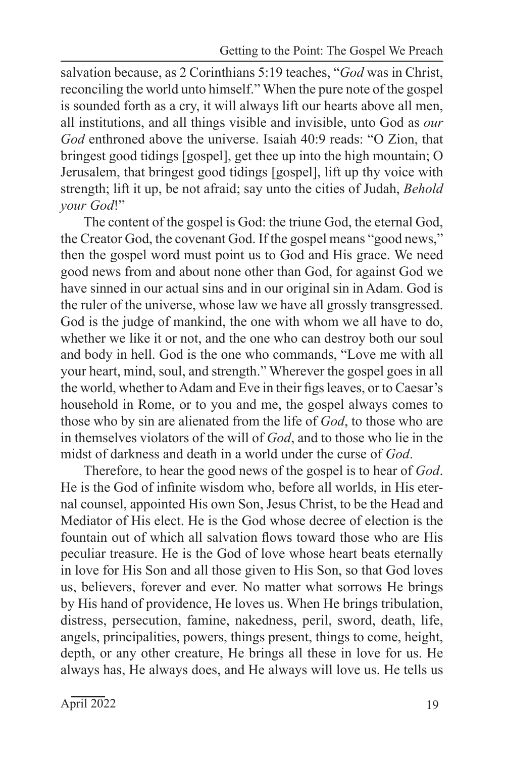salvation because, as 2 Corinthians 5:19 teaches, "*God* was in Christ, reconciling the world unto himself." When the pure note of the gospel is sounded forth as a cry, it will always lift our hearts above all men, all institutions, and all things visible and invisible, unto God as *our God* enthroned above the universe. Isaiah 40:9 reads: "O Zion, that bringest good tidings [gospel], get thee up into the high mountain; O Jerusalem, that bringest good tidings [gospel], lift up thy voice with strength; lift it up, be not afraid; say unto the cities of Judah, *Behold your God*!"

The content of the gospel is God: the triune God, the eternal God, the Creator God, the covenant God. If the gospel means "good news," then the gospel word must point us to God and His grace. We need good news from and about none other than God, for against God we have sinned in our actual sins and in our original sin in Adam. God is the ruler of the universe, whose law we have all grossly transgressed. God is the judge of mankind, the one with whom we all have to do, whether we like it or not, and the one who can destroy both our soul and body in hell. God is the one who commands, "Love me with all your heart, mind, soul, and strength." Wherever the gospel goes in all the world, whether to Adam and Eve in their figs leaves, or to Caesar's household in Rome, or to you and me, the gospel always comes to those who by sin are alienated from the life of *God*, to those who are in themselves violators of the will of *God*, and to those who lie in the midst of darkness and death in a world under the curse of *God*.

Therefore, to hear the good news of the gospel is to hear of *God*. He is the God of infinite wisdom who, before all worlds, in His eternal counsel, appointed His own Son, Jesus Christ, to be the Head and Mediator of His elect. He is the God whose decree of election is the fountain out of which all salvation flows toward those who are His peculiar treasure. He is the God of love whose heart beats eternally in love for His Son and all those given to His Son, so that God loves us, believers, forever and ever. No matter what sorrows He brings by His hand of providence, He loves us. When He brings tribulation, distress, persecution, famine, nakedness, peril, sword, death, life, angels, principalities, powers, things present, things to come, height, depth, or any other creature, He brings all these in love for us. He always has, He always does, and He always will love us. He tells us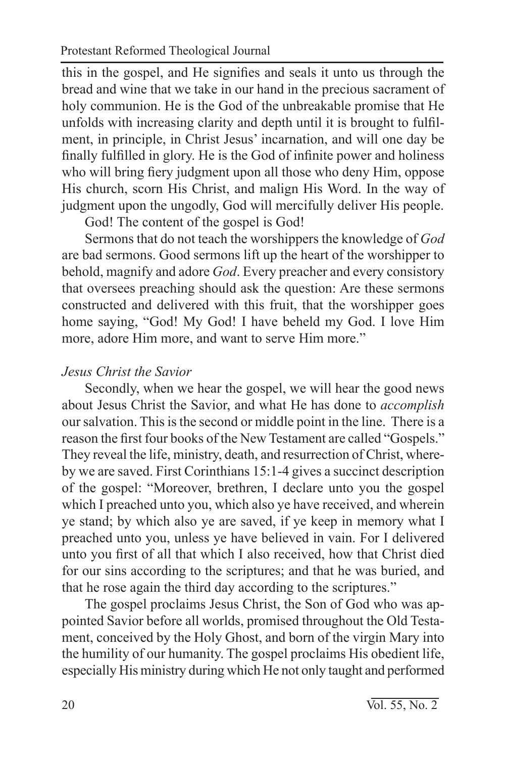this in the gospel, and He signifies and seals it unto us through the bread and wine that we take in our hand in the precious sacrament of holy communion. He is the God of the unbreakable promise that He unfolds with increasing clarity and depth until it is brought to fulfilment, in principle, in Christ Jesus' incarnation, and will one day be finally fulfilled in glory. He is the God of infinite power and holiness who will bring fiery judgment upon all those who deny Him, oppose His church, scorn His Christ, and malign His Word. In the way of judgment upon the ungodly, God will mercifully deliver His people.

God! The content of the gospel is God!

Sermons that do not teach the worshippers the knowledge of *God* are bad sermons. Good sermons lift up the heart of the worshipper to behold, magnify and adore *God*. Every preacher and every consistory that oversees preaching should ask the question: Are these sermons constructed and delivered with this fruit, that the worshipper goes home saying, "God! My God! I have beheld my God. I love Him more, adore Him more, and want to serve Him more."

#### *Jesus Christ the Savior*

Secondly, when we hear the gospel, we will hear the good news about Jesus Christ the Savior, and what He has done to *accomplish* our salvation. This is the second or middle point in the line. There is a reason the first four books of the New Testament are called "Gospels." They reveal the life, ministry, death, and resurrection of Christ, whereby we are saved. First Corinthians 15:1-4 gives a succinct description of the gospel: "Moreover, brethren, I declare unto you the gospel which I preached unto you, which also ye have received, and wherein ye stand; by which also ye are saved, if ye keep in memory what I preached unto you, unless ye have believed in vain. For I delivered unto you first of all that which I also received, how that Christ died for our sins according to the scriptures; and that he was buried, and that he rose again the third day according to the scriptures."

The gospel proclaims Jesus Christ, the Son of God who was appointed Savior before all worlds, promised throughout the Old Testament, conceived by the Holy Ghost, and born of the virgin Mary into the humility of our humanity. The gospel proclaims His obedient life, especially His ministry during which He not only taught and performed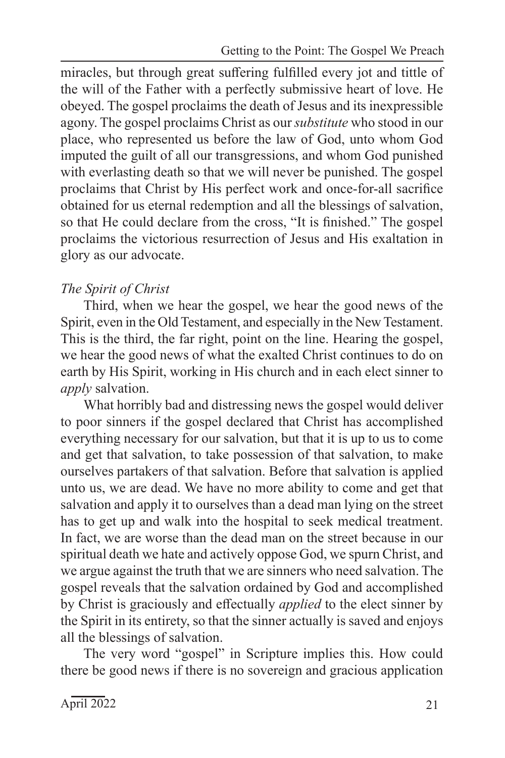miracles, but through great suffering fulfilled every jot and tittle of the will of the Father with a perfectly submissive heart of love. He obeyed. The gospel proclaims the death of Jesus and its inexpressible agony. The gospel proclaims Christ as our *substitute* who stood in our place, who represented us before the law of God, unto whom God imputed the guilt of all our transgressions, and whom God punished with everlasting death so that we will never be punished. The gospel proclaims that Christ by His perfect work and once-for-all sacrifice obtained for us eternal redemption and all the blessings of salvation, so that He could declare from the cross, "It is finished." The gospel proclaims the victorious resurrection of Jesus and His exaltation in glory as our advocate.

## *The Spirit of Christ*

Third, when we hear the gospel, we hear the good news of the Spirit, even in the Old Testament, and especially in the New Testament. This is the third, the far right, point on the line. Hearing the gospel, we hear the good news of what the exalted Christ continues to do on earth by His Spirit, working in His church and in each elect sinner to *apply* salvation.

What horribly bad and distressing news the gospel would deliver to poor sinners if the gospel declared that Christ has accomplished everything necessary for our salvation, but that it is up to us to come and get that salvation, to take possession of that salvation, to make ourselves partakers of that salvation. Before that salvation is applied unto us, we are dead. We have no more ability to come and get that salvation and apply it to ourselves than a dead man lying on the street has to get up and walk into the hospital to seek medical treatment. In fact, we are worse than the dead man on the street because in our spiritual death we hate and actively oppose God, we spurn Christ, and we argue against the truth that we are sinners who need salvation. The gospel reveals that the salvation ordained by God and accomplished by Christ is graciously and effectually *applied* to the elect sinner by the Spirit in its entirety, so that the sinner actually is saved and enjoys all the blessings of salvation.

The very word "gospel" in Scripture implies this. How could there be good news if there is no sovereign and gracious application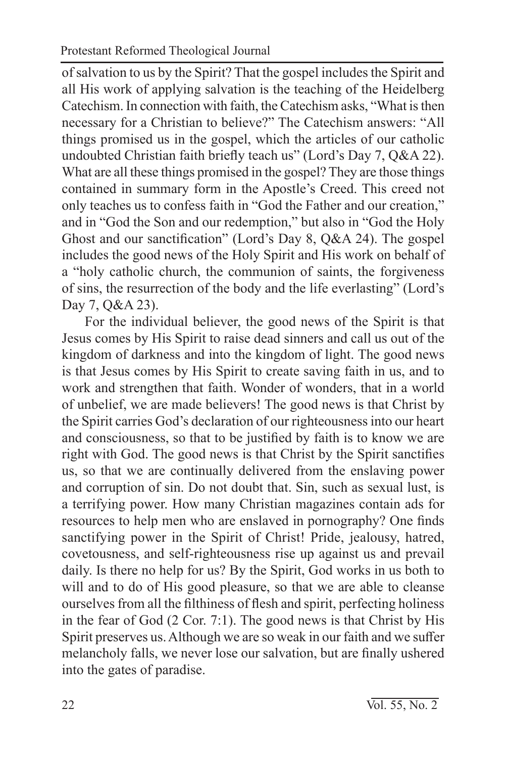of salvation to us by the Spirit? That the gospel includes the Spirit and all His work of applying salvation is the teaching of the Heidelberg Catechism. In connection with faith, the Catechism asks, "What is then necessary for a Christian to believe?" The Catechism answers: "All things promised us in the gospel, which the articles of our catholic undoubted Christian faith briefly teach us" (Lord's Day 7, Q&A 22). What are all these things promised in the gospel? They are those things contained in summary form in the Apostle's Creed. This creed not only teaches us to confess faith in "God the Father and our creation," and in "God the Son and our redemption," but also in "God the Holy Ghost and our sanctification" (Lord's Day 8, Q&A 24). The gospel includes the good news of the Holy Spirit and His work on behalf of a "holy catholic church, the communion of saints, the forgiveness of sins, the resurrection of the body and the life everlasting" (Lord's Day 7, Q&A 23).

For the individual believer, the good news of the Spirit is that Jesus comes by His Spirit to raise dead sinners and call us out of the kingdom of darkness and into the kingdom of light. The good news is that Jesus comes by His Spirit to create saving faith in us, and to work and strengthen that faith. Wonder of wonders, that in a world of unbelief, we are made believers! The good news is that Christ by the Spirit carries God's declaration of our righteousness into our heart and consciousness, so that to be justified by faith is to know we are right with God. The good news is that Christ by the Spirit sanctifies us, so that we are continually delivered from the enslaving power and corruption of sin. Do not doubt that. Sin, such as sexual lust, is a terrifying power. How many Christian magazines contain ads for resources to help men who are enslaved in pornography? One finds sanctifying power in the Spirit of Christ! Pride, jealousy, hatred, covetousness, and self-righteousness rise up against us and prevail daily. Is there no help for us? By the Spirit, God works in us both to will and to do of His good pleasure, so that we are able to cleanse ourselves from all the filthiness of flesh and spirit, perfecting holiness in the fear of God (2 Cor. 7:1). The good news is that Christ by His Spirit preserves us. Although we are so weak in our faith and we suffer melancholy falls, we never lose our salvation, but are finally ushered into the gates of paradise.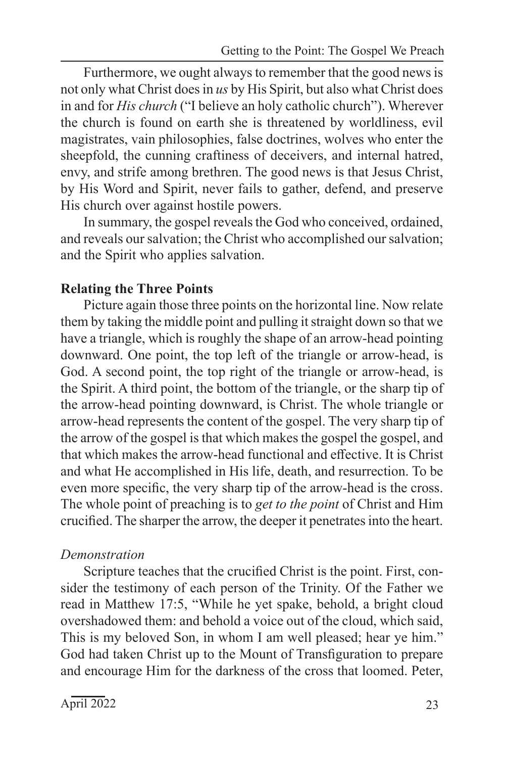Furthermore, we ought always to remember that the good news is not only what Christ does in *us* by His Spirit, but also what Christ does in and for *His church* ("I believe an holy catholic church"). Wherever the church is found on earth she is threatened by worldliness, evil magistrates, vain philosophies, false doctrines, wolves who enter the sheepfold, the cunning craftiness of deceivers, and internal hatred, envy, and strife among brethren. The good news is that Jesus Christ, by His Word and Spirit, never fails to gather, defend, and preserve His church over against hostile powers.

In summary, the gospel reveals the God who conceived, ordained, and reveals our salvation; the Christ who accomplished our salvation; and the Spirit who applies salvation.

#### **Relating the Three Points**

Picture again those three points on the horizontal line. Now relate them by taking the middle point and pulling it straight down so that we have a triangle, which is roughly the shape of an arrow-head pointing downward. One point, the top left of the triangle or arrow-head, is God. A second point, the top right of the triangle or arrow-head, is the Spirit. A third point, the bottom of the triangle, or the sharp tip of the arrow-head pointing downward, is Christ. The whole triangle or arrow-head represents the content of the gospel. The very sharp tip of the arrow of the gospel is that which makes the gospel the gospel, and that which makes the arrow-head functional and effective. It is Christ and what He accomplished in His life, death, and resurrection. To be even more specific, the very sharp tip of the arrow-head is the cross. The whole point of preaching is to *get to the point* of Christ and Him crucified. The sharper the arrow, the deeper it penetrates into the heart.

#### *Demonstration*

Scripture teaches that the crucified Christ is the point. First, consider the testimony of each person of the Trinity. Of the Father we read in Matthew 17:5, "While he yet spake, behold, a bright cloud overshadowed them: and behold a voice out of the cloud, which said, This is my beloved Son, in whom I am well pleased; hear ye him." God had taken Christ up to the Mount of Transfiguration to prepare and encourage Him for the darkness of the cross that loomed. Peter,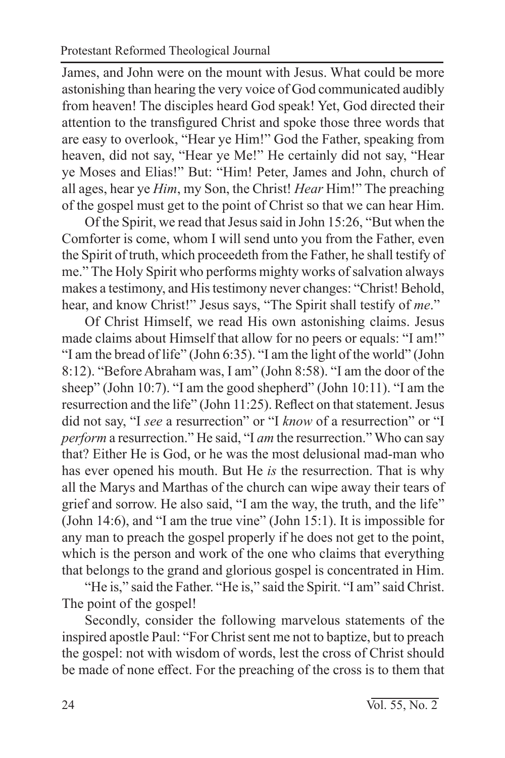James, and John were on the mount with Jesus. What could be more astonishing than hearing the very voice of God communicated audibly from heaven! The disciples heard God speak! Yet, God directed their attention to the transfigured Christ and spoke those three words that are easy to overlook, "Hear ye Him!" God the Father, speaking from heaven, did not say, "Hear ye Me!" He certainly did not say, "Hear ye Moses and Elias!" But: "Him! Peter, James and John, church of all ages, hear ye *Him*, my Son, the Christ! *Hear* Him!" The preaching of the gospel must get to the point of Christ so that we can hear Him.

Of the Spirit, we read that Jesus said in John 15:26, "But when the Comforter is come, whom I will send unto you from the Father, even the Spirit of truth, which proceedeth from the Father, he shall testify of me." The Holy Spirit who performs mighty works of salvation always makes a testimony, and His testimony never changes: "Christ! Behold, hear, and know Christ!" Jesus says, "The Spirit shall testify of *me*."

Of Christ Himself, we read His own astonishing claims. Jesus made claims about Himself that allow for no peers or equals: "I am!" "I am the bread of life" (John 6:35). "I am the light of the world" (John 8:12). "Before Abraham was, I am" (John 8:58). "I am the door of the sheep" (John 10:7). "I am the good shepherd" (John 10:11). "I am the resurrection and the life" (John 11:25). Reflect on that statement. Jesus did not say, "I *see* a resurrection" or "I *know* of a resurrection" or "I *perform* a resurrection." He said, "I *am* the resurrection." Who can say that? Either He is God, or he was the most delusional mad-man who has ever opened his mouth. But He *is* the resurrection. That is why all the Marys and Marthas of the church can wipe away their tears of grief and sorrow. He also said, "I am the way, the truth, and the life" (John 14:6), and "I am the true vine" (John 15:1). It is impossible for any man to preach the gospel properly if he does not get to the point, which is the person and work of the one who claims that everything that belongs to the grand and glorious gospel is concentrated in Him.

"He is," said the Father. "He is," said the Spirit. "I am" said Christ. The point of the gospel!

Secondly, consider the following marvelous statements of the inspired apostle Paul: "For Christ sent me not to baptize, but to preach the gospel: not with wisdom of words, lest the cross of Christ should be made of none effect. For the preaching of the cross is to them that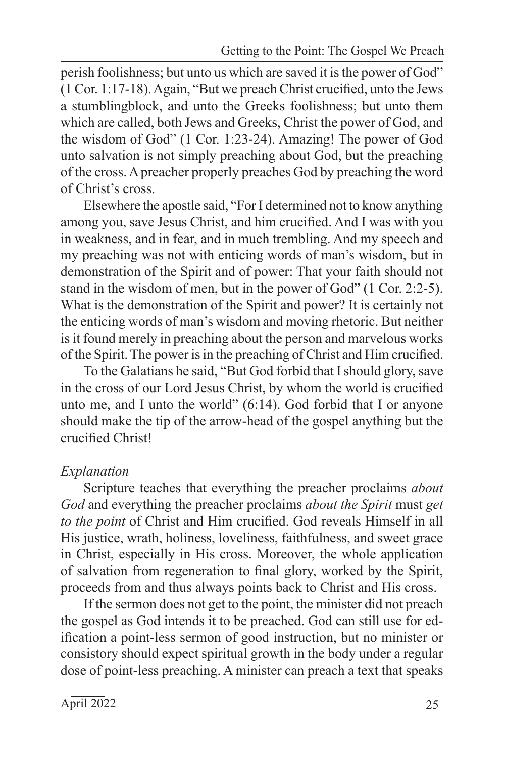perish foolishness; but unto us which are saved it is the power of God" (1 Cor. 1:17-18). Again, "But we preach Christ crucified, unto the Jews a stumblingblock, and unto the Greeks foolishness; but unto them which are called, both Jews and Greeks, Christ the power of God, and the wisdom of God" (1 Cor. 1:23-24). Amazing! The power of God unto salvation is not simply preaching about God, but the preaching of the cross. A preacher properly preaches God by preaching the word of Christ's cross.

Elsewhere the apostle said, "For I determined not to know anything among you, save Jesus Christ, and him crucified. And I was with you in weakness, and in fear, and in much trembling. And my speech and my preaching was not with enticing words of man's wisdom, but in demonstration of the Spirit and of power: That your faith should not stand in the wisdom of men, but in the power of God" (1 Cor. 2:2-5). What is the demonstration of the Spirit and power? It is certainly not the enticing words of man's wisdom and moving rhetoric. But neither is it found merely in preaching about the person and marvelous works of the Spirit. The power is in the preaching of Christ and Him crucified.

To the Galatians he said, "But God forbid that I should glory, save in the cross of our Lord Jesus Christ, by whom the world is crucified unto me, and I unto the world"  $(6:14)$ . God forbid that I or anyone should make the tip of the arrow-head of the gospel anything but the crucified Christ!

## *Explanation*

Scripture teaches that everything the preacher proclaims *about God* and everything the preacher proclaims *about the Spirit* must *get to the point* of Christ and Him crucified. God reveals Himself in all His justice, wrath, holiness, loveliness, faithfulness, and sweet grace in Christ, especially in His cross. Moreover, the whole application of salvation from regeneration to final glory, worked by the Spirit, proceeds from and thus always points back to Christ and His cross.

If the sermon does not get to the point, the minister did not preach the gospel as God intends it to be preached. God can still use for edification a point-less sermon of good instruction, but no minister or consistory should expect spiritual growth in the body under a regular dose of point-less preaching. A minister can preach a text that speaks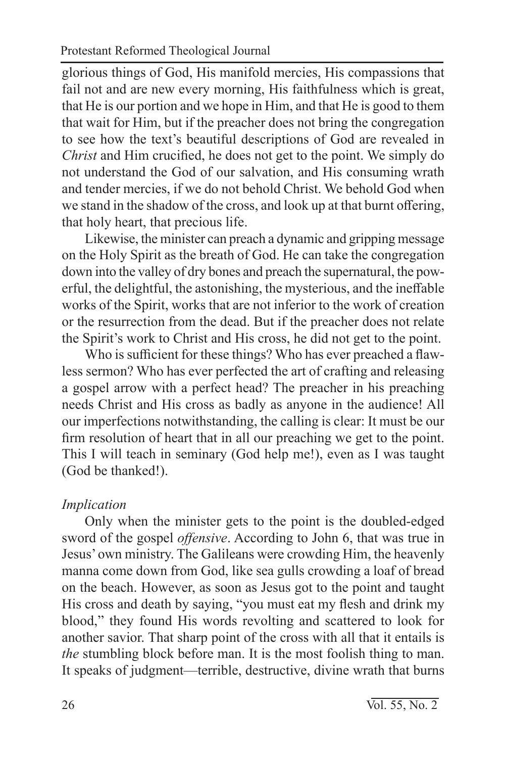glorious things of God, His manifold mercies, His compassions that fail not and are new every morning, His faithfulness which is great, that He is our portion and we hope in Him, and that He is good to them that wait for Him, but if the preacher does not bring the congregation to see how the text's beautiful descriptions of God are revealed in *Christ* and Him crucified, he does not get to the point. We simply do not understand the God of our salvation, and His consuming wrath and tender mercies, if we do not behold Christ. We behold God when we stand in the shadow of the cross, and look up at that burnt offering, that holy heart, that precious life.

Likewise, the minister can preach a dynamic and gripping message on the Holy Spirit as the breath of God. He can take the congregation down into the valley of dry bones and preach the supernatural, the powerful, the delightful, the astonishing, the mysterious, and the ineffable works of the Spirit, works that are not inferior to the work of creation or the resurrection from the dead. But if the preacher does not relate the Spirit's work to Christ and His cross, he did not get to the point.

Who is sufficient for these things? Who has ever preached a flawless sermon? Who has ever perfected the art of crafting and releasing a gospel arrow with a perfect head? The preacher in his preaching needs Christ and His cross as badly as anyone in the audience! All our imperfections notwithstanding, the calling is clear: It must be our firm resolution of heart that in all our preaching we get to the point. This I will teach in seminary (God help me!), even as I was taught (God be thanked!).

#### *Implication*

Only when the minister gets to the point is the doubled-edged sword of the gospel *offensive*. According to John 6, that was true in Jesus' own ministry. The Galileans were crowding Him, the heavenly manna come down from God, like sea gulls crowding a loaf of bread on the beach. However, as soon as Jesus got to the point and taught His cross and death by saying, "you must eat my flesh and drink my blood," they found His words revolting and scattered to look for another savior. That sharp point of the cross with all that it entails is *the* stumbling block before man. It is the most foolish thing to man. It speaks of judgment—terrible, destructive, divine wrath that burns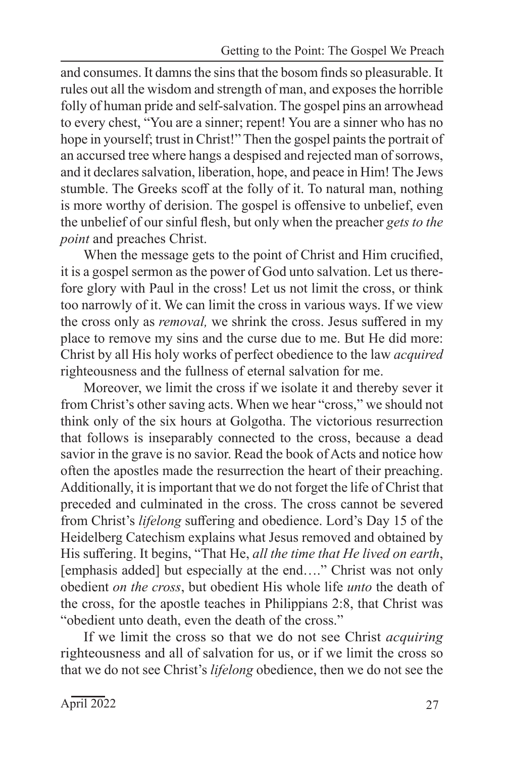and consumes. It damns the sins that the bosom finds so pleasurable. It rules out all the wisdom and strength of man, and exposes the horrible folly of human pride and self-salvation. The gospel pins an arrowhead to every chest, "You are a sinner; repent! You are a sinner who has no hope in yourself; trust in Christ!" Then the gospel paints the portrait of an accursed tree where hangs a despised and rejected man of sorrows, and it declares salvation, liberation, hope, and peace in Him! The Jews stumble. The Greeks scoff at the folly of it. To natural man, nothing is more worthy of derision. The gospel is offensive to unbelief, even the unbelief of our sinful flesh, but only when the preacher *gets to the point* and preaches Christ.

When the message gets to the point of Christ and Him crucified, it is a gospel sermon as the power of God unto salvation. Let us therefore glory with Paul in the cross! Let us not limit the cross, or think too narrowly of it. We can limit the cross in various ways. If we view the cross only as *removal,* we shrink the cross. Jesus suffered in my place to remove my sins and the curse due to me. But He did more: Christ by all His holy works of perfect obedience to the law *acquired* righteousness and the fullness of eternal salvation for me.

Moreover, we limit the cross if we isolate it and thereby sever it from Christ's other saving acts. When we hear "cross," we should not think only of the six hours at Golgotha. The victorious resurrection that follows is inseparably connected to the cross, because a dead savior in the grave is no savior. Read the book of Acts and notice how often the apostles made the resurrection the heart of their preaching. Additionally, it is important that we do not forget the life of Christ that preceded and culminated in the cross. The cross cannot be severed from Christ's *lifelong* suffering and obedience. Lord's Day 15 of the Heidelberg Catechism explains what Jesus removed and obtained by His suffering. It begins, "That He, *all the time that He lived on earth*, [emphasis added] but especially at the end...." Christ was not only obedient *on the cross*, but obedient His whole life *unto* the death of the cross, for the apostle teaches in Philippians 2:8, that Christ was "obedient unto death, even the death of the cross."

If we limit the cross so that we do not see Christ *acquiring* righteousness and all of salvation for us, or if we limit the cross so that we do not see Christ's *lifelong* obedience, then we do not see the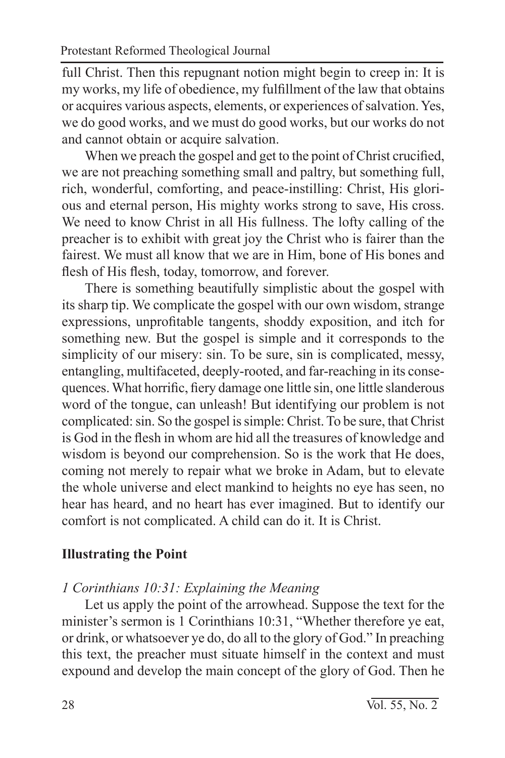full Christ. Then this repugnant notion might begin to creep in: It is my works, my life of obedience, my fulfillment of the law that obtains or acquires various aspects, elements, or experiences of salvation. Yes, we do good works, and we must do good works, but our works do not and cannot obtain or acquire salvation.

When we preach the gospel and get to the point of Christ crucified, we are not preaching something small and paltry, but something full, rich, wonderful, comforting, and peace-instilling: Christ, His glorious and eternal person, His mighty works strong to save, His cross. We need to know Christ in all His fullness. The lofty calling of the preacher is to exhibit with great joy the Christ who is fairer than the fairest. We must all know that we are in Him, bone of His bones and flesh of His flesh, today, tomorrow, and forever.

There is something beautifully simplistic about the gospel with its sharp tip. We complicate the gospel with our own wisdom, strange expressions, unprofitable tangents, shoddy exposition, and itch for something new. But the gospel is simple and it corresponds to the simplicity of our misery: sin. To be sure, sin is complicated, messy, entangling, multifaceted, deeply-rooted, and far-reaching in its consequences. What horrific, fiery damage one little sin, one little slanderous word of the tongue, can unleash! But identifying our problem is not complicated: sin. So the gospel is simple: Christ. To be sure, that Christ is God in the flesh in whom are hid all the treasures of knowledge and wisdom is beyond our comprehension. So is the work that He does, coming not merely to repair what we broke in Adam, but to elevate the whole universe and elect mankind to heights no eye has seen, no hear has heard, and no heart has ever imagined. But to identify our comfort is not complicated. A child can do it. It is Christ.

## **Illustrating the Point**

#### *1 Corinthians 10:31: Explaining the Meaning*

Let us apply the point of the arrowhead. Suppose the text for the minister's sermon is 1 Corinthians 10:31, "Whether therefore ye eat, or drink, or whatsoever ye do, do all to the glory of God." In preaching this text, the preacher must situate himself in the context and must expound and develop the main concept of the glory of God. Then he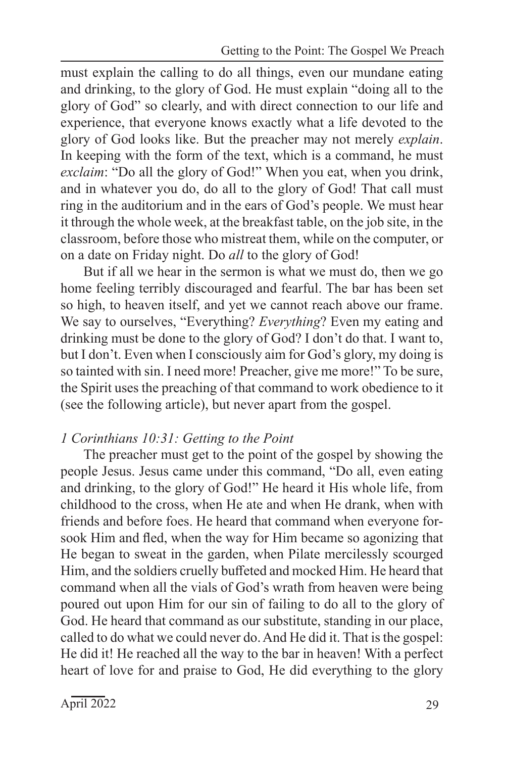must explain the calling to do all things, even our mundane eating and drinking, to the glory of God. He must explain "doing all to the glory of God" so clearly, and with direct connection to our life and experience, that everyone knows exactly what a life devoted to the glory of God looks like. But the preacher may not merely *explain*. In keeping with the form of the text, which is a command, he must *exclaim*: "Do all the glory of God!" When you eat, when you drink, and in whatever you do, do all to the glory of God! That call must ring in the auditorium and in the ears of God's people. We must hear it through the whole week, at the breakfast table, on the job site, in the classroom, before those who mistreat them, while on the computer, or on a date on Friday night. Do *all* to the glory of God!

But if all we hear in the sermon is what we must do, then we go home feeling terribly discouraged and fearful. The bar has been set so high, to heaven itself, and yet we cannot reach above our frame. We say to ourselves, "Everything? *Everything*? Even my eating and drinking must be done to the glory of God? I don't do that. I want to, but I don't. Even when I consciously aim for God's glory, my doing is so tainted with sin. I need more! Preacher, give me more!" To be sure, the Spirit uses the preaching of that command to work obedience to it (see the following article), but never apart from the gospel.

#### *1 Corinthians 10:31: Getting to the Point*

The preacher must get to the point of the gospel by showing the people Jesus. Jesus came under this command, "Do all, even eating and drinking, to the glory of God!" He heard it His whole life, from childhood to the cross, when He ate and when He drank, when with friends and before foes. He heard that command when everyone forsook Him and fled, when the way for Him became so agonizing that He began to sweat in the garden, when Pilate mercilessly scourged Him, and the soldiers cruelly buffeted and mocked Him. He heard that command when all the vials of God's wrath from heaven were being poured out upon Him for our sin of failing to do all to the glory of God. He heard that command as our substitute, standing in our place, called to do what we could never do. And He did it. That is the gospel: He did it! He reached all the way to the bar in heaven! With a perfect heart of love for and praise to God, He did everything to the glory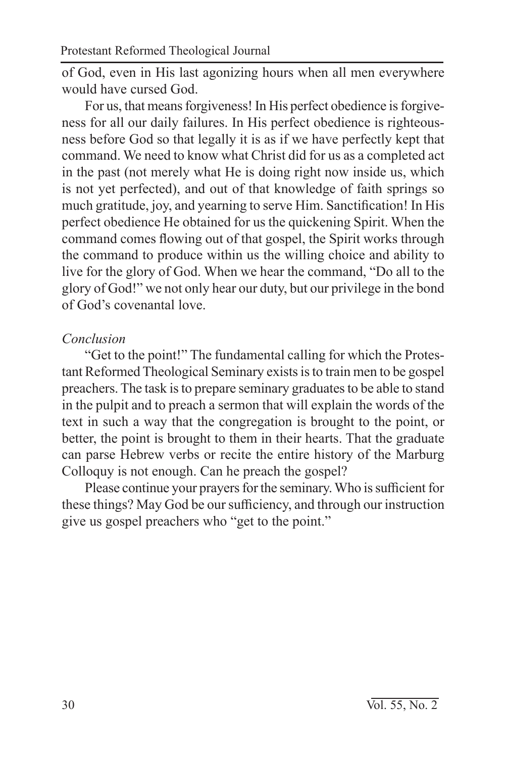of God, even in His last agonizing hours when all men everywhere would have cursed God.

For us, that means forgiveness! In His perfect obedience is forgiveness for all our daily failures. In His perfect obedience is righteousness before God so that legally it is as if we have perfectly kept that command. We need to know what Christ did for us as a completed act in the past (not merely what He is doing right now inside us, which is not yet perfected), and out of that knowledge of faith springs so much gratitude, joy, and yearning to serve Him. Sanctification! In His perfect obedience He obtained for us the quickening Spirit. When the command comes flowing out of that gospel, the Spirit works through the command to produce within us the willing choice and ability to live for the glory of God. When we hear the command, "Do all to the glory of God!" we not only hear our duty, but our privilege in the bond of God's covenantal love.

## *Conclusion*

"Get to the point!" The fundamental calling for which the Protestant Reformed Theological Seminary exists is to train men to be gospel preachers. The task is to prepare seminary graduates to be able to stand in the pulpit and to preach a sermon that will explain the words of the text in such a way that the congregation is brought to the point, or better, the point is brought to them in their hearts. That the graduate can parse Hebrew verbs or recite the entire history of the Marburg Colloquy is not enough. Can he preach the gospel?

Please continue your prayers for the seminary. Who is sufficient for these things? May God be our sufficiency, and through our instruction give us gospel preachers who "get to the point."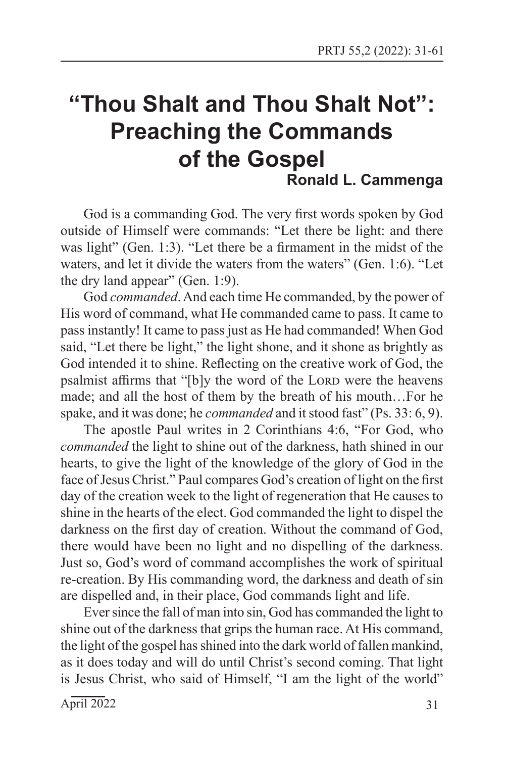## **"Thou Shalt and Thou Shalt Not": Preaching the Commands of the Gospel Ronald L. Cammenga**

God is a commanding God. The very first words spoken by God outside of Himself were commands: "Let there be light: and there was light" (Gen. 1:3). "Let there be a firmament in the midst of the waters, and let it divide the waters from the waters" (Gen. 1:6). "Let the dry land appear" (Gen. 1:9).

God *commanded*. And each time He commanded, by the power of His word of command, what He commanded came to pass. It came to pass instantly! It came to pass just as He had commanded! When God said, "Let there be light," the light shone, and it shone as brightly as God intended it to shine. Reflecting on the creative work of God, the psalmist affirms that "[b]y the word of the LORD were the heavens made; and all the host of them by the breath of his mouth…For he spake, and it was done; he *commanded* and it stood fast" (Ps. 33: 6, 9).

The apostle Paul writes in 2 Corinthians 4:6, "For God, who *commanded* the light to shine out of the darkness, hath shined in our hearts, to give the light of the knowledge of the glory of God in the face of Jesus Christ." Paul compares God's creation of light on the first day of the creation week to the light of regeneration that He causes to shine in the hearts of the elect. God commanded the light to dispel the darkness on the first day of creation. Without the command of God, there would have been no light and no dispelling of the darkness. Just so, God's word of command accomplishes the work of spiritual re-creation. By His commanding word, the darkness and death of sin are dispelled and, in their place, God commands light and life.

Ever since the fall of man into sin, God has commanded the light to shine out of the darkness that grips the human race. At His command, the light of the gospel has shined into the dark world of fallen mankind, as it does today and will do until Christ's second coming. That light is Jesus Christ, who said of Himself, "I am the light of the world"

 $\text{April } 2022$  31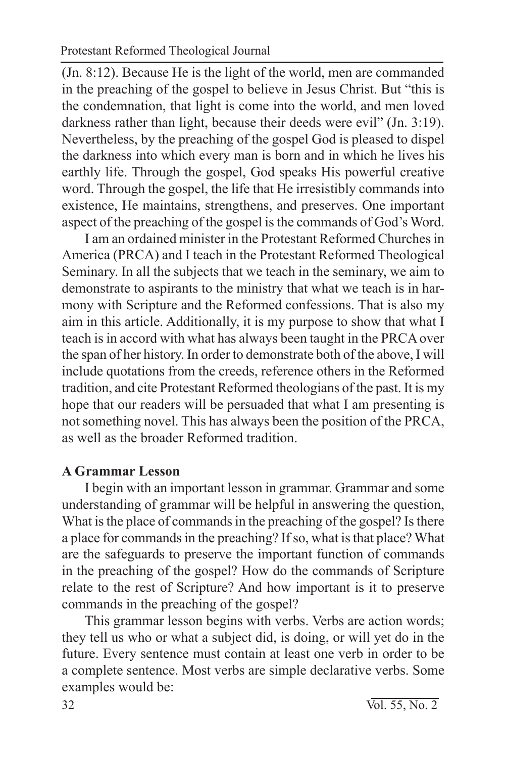(Jn. 8:12). Because He is the light of the world, men are commanded in the preaching of the gospel to believe in Jesus Christ. But "this is the condemnation, that light is come into the world, and men loved darkness rather than light, because their deeds were evil" (Jn. 3:19). Nevertheless, by the preaching of the gospel God is pleased to dispel the darkness into which every man is born and in which he lives his earthly life. Through the gospel, God speaks His powerful creative word. Through the gospel, the life that He irresistibly commands into existence, He maintains, strengthens, and preserves. One important aspect of the preaching of the gospel is the commands of God's Word.

I am an ordained minister in the Protestant Reformed Churches in America (PRCA) and I teach in the Protestant Reformed Theological Seminary. In all the subjects that we teach in the seminary, we aim to demonstrate to aspirants to the ministry that what we teach is in harmony with Scripture and the Reformed confessions. That is also my aim in this article. Additionally, it is my purpose to show that what I teach is in accord with what has always been taught in the PRCA over the span of her history. In order to demonstrate both of the above, I will include quotations from the creeds, reference others in the Reformed tradition, and cite Protestant Reformed theologians of the past. It is my hope that our readers will be persuaded that what I am presenting is not something novel. This has always been the position of the PRCA, as well as the broader Reformed tradition.

## **A Grammar Lesson**

I begin with an important lesson in grammar. Grammar and some understanding of grammar will be helpful in answering the question, What is the place of commands in the preaching of the gospel? Is there a place for commands in the preaching? If so, what is that place? What are the safeguards to preserve the important function of commands in the preaching of the gospel? How do the commands of Scripture relate to the rest of Scripture? And how important is it to preserve commands in the preaching of the gospel?

This grammar lesson begins with verbs. Verbs are action words; they tell us who or what a subject did, is doing, or will yet do in the future. Every sentence must contain at least one verb in order to be a complete sentence. Most verbs are simple declarative verbs. Some examples would be: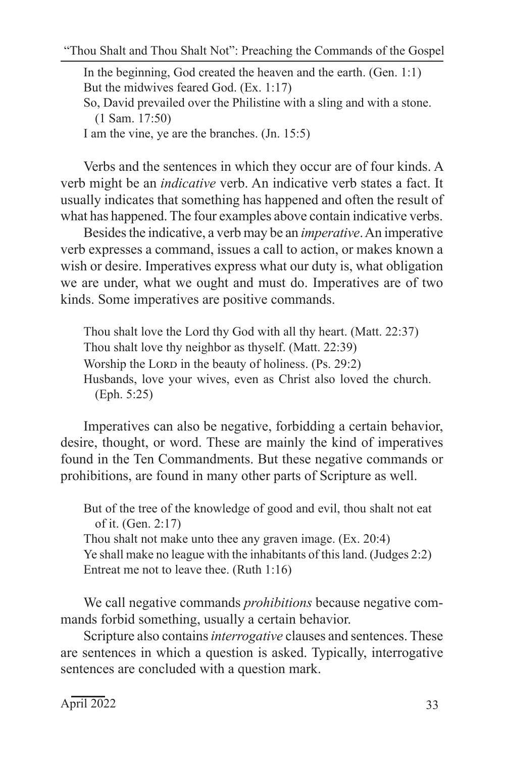"Thou Shalt and Thou Shalt Not": Preaching the Commands of the Gospel

In the beginning, God created the heaven and the earth. (Gen. 1:1) But the midwives feared God. (Ex. 1:17) So, David prevailed over the Philistine with a sling and with a stone. (1 Sam. 17:50) I am the vine, ye are the branches. (Jn. 15:5)

Verbs and the sentences in which they occur are of four kinds. A verb might be an *indicative* verb. An indicative verb states a fact. It usually indicates that something has happened and often the result of what has happened. The four examples above contain indicative verbs.

Besides the indicative, a verb may be an *imperative*. An imperative verb expresses a command, issues a call to action, or makes known a wish or desire. Imperatives express what our duty is, what obligation we are under, what we ought and must do. Imperatives are of two kinds. Some imperatives are positive commands.

Thou shalt love the Lord thy God with all thy heart. (Matt. 22:37) Thou shalt love thy neighbor as thyself. (Matt. 22:39) Worship the LORD in the beauty of holiness. (Ps. 29:2) Husbands, love your wives, even as Christ also loved the church. (Eph. 5:25)

Imperatives can also be negative, forbidding a certain behavior, desire, thought, or word. These are mainly the kind of imperatives found in the Ten Commandments. But these negative commands or prohibitions, are found in many other parts of Scripture as well.

But of the tree of the knowledge of good and evil, thou shalt not eat of it. (Gen. 2:17) Thou shalt not make unto thee any graven image. (Ex. 20:4) Ye shall make no league with the inhabitants of this land. (Judges 2:2) Entreat me not to leave thee. (Ruth 1:16)

We call negative commands *prohibitions* because negative commands forbid something, usually a certain behavior.

Scripture also contains *interrogative* clauses and sentences. These are sentences in which a question is asked. Typically, interrogative sentences are concluded with a question mark.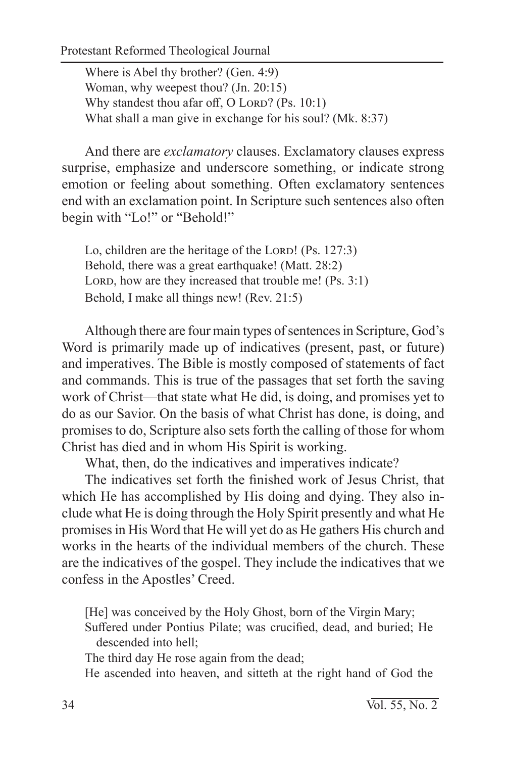Protestant Reformed Theological Journal

Where is Abel thy brother? (Gen. 4:9) Woman, why weepest thou? (Jn. 20:15) Why standest thou afar off, O LORD? (Ps. 10:1) What shall a man give in exchange for his soul? (Mk. 8:37)

And there are *exclamatory* clauses. Exclamatory clauses express surprise, emphasize and underscore something, or indicate strong emotion or feeling about something. Often exclamatory sentences end with an exclamation point. In Scripture such sentences also often begin with "Lo!" or "Behold!"

Lo, children are the heritage of the LORD! (Ps. 127:3) Behold, there was a great earthquake! (Matt. 28:2) LORD, how are they increased that trouble me! (Ps. 3:1) Behold, I make all things new! (Rev. 21:5)

Although there are four main types of sentences in Scripture, God's Word is primarily made up of indicatives (present, past, or future) and imperatives. The Bible is mostly composed of statements of fact and commands. This is true of the passages that set forth the saving work of Christ—that state what He did, is doing, and promises yet to do as our Savior. On the basis of what Christ has done, is doing, and promises to do, Scripture also sets forth the calling of those for whom Christ has died and in whom His Spirit is working.

What, then, do the indicatives and imperatives indicate?

The indicatives set forth the finished work of Jesus Christ, that which He has accomplished by His doing and dying. They also include what He is doing through the Holy Spirit presently and what He promises in His Word that He will yet do as He gathers His church and works in the hearts of the individual members of the church. These are the indicatives of the gospel. They include the indicatives that we confess in the Apostles' Creed.

[He] was conceived by the Holy Ghost, born of the Virgin Mary; Suffered under Pontius Pilate; was crucified, dead, and buried; He descended into hell;

The third day He rose again from the dead;

He ascended into heaven, and sitteth at the right hand of God the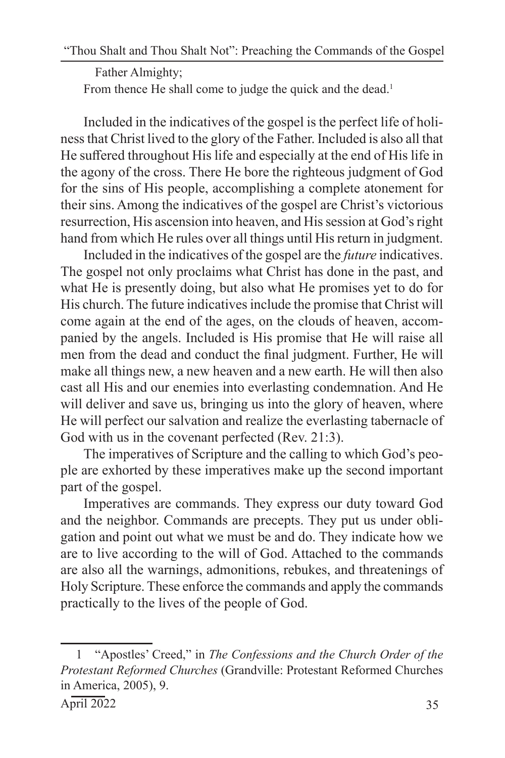Father Almighty;

From thence He shall come to judge the quick and the dead.<sup>1</sup>

Included in the indicatives of the gospel is the perfect life of holiness that Christ lived to the glory of the Father. Included is also all that He suffered throughout His life and especially at the end of His life in the agony of the cross. There He bore the righteous judgment of God for the sins of His people, accomplishing a complete atonement for their sins. Among the indicatives of the gospel are Christ's victorious resurrection, His ascension into heaven, and His session at God's right hand from which He rules over all things until His return in judgment.

Included in the indicatives of the gospel are the *future* indicatives. The gospel not only proclaims what Christ has done in the past, and what He is presently doing, but also what He promises yet to do for His church. The future indicatives include the promise that Christ will come again at the end of the ages, on the clouds of heaven, accompanied by the angels. Included is His promise that He will raise all men from the dead and conduct the final judgment. Further, He will make all things new, a new heaven and a new earth. He will then also cast all His and our enemies into everlasting condemnation. And He will deliver and save us, bringing us into the glory of heaven, where He will perfect our salvation and realize the everlasting tabernacle of God with us in the covenant perfected (Rev. 21:3).

The imperatives of Scripture and the calling to which God's people are exhorted by these imperatives make up the second important part of the gospel.

Imperatives are commands. They express our duty toward God and the neighbor. Commands are precepts. They put us under obligation and point out what we must be and do. They indicate how we are to live according to the will of God. Attached to the commands are also all the warnings, admonitions, rebukes, and threatenings of Holy Scripture. These enforce the commands and apply the commands practically to the lives of the people of God.

<sup>1</sup> "Apostles' Creed," in *The Confessions and the Church Order of the Protestant Reformed Churches* (Grandville: Protestant Reformed Churches in America, 2005), 9.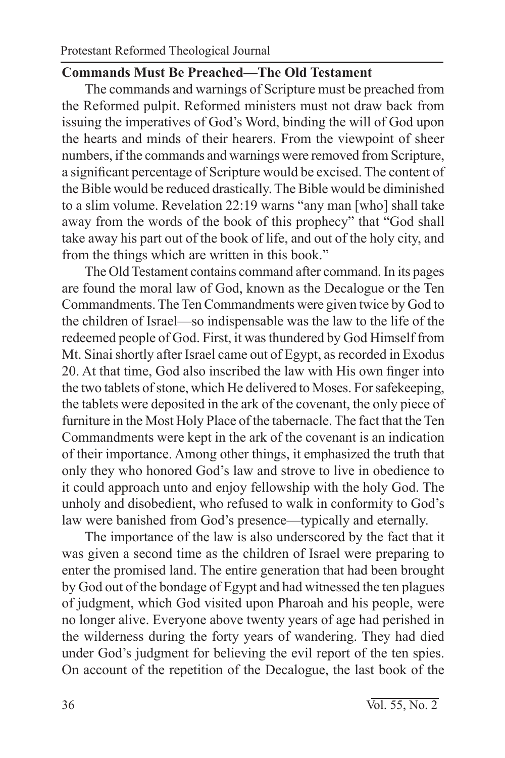#### **Commands Must Be Preached—The Old Testament**

The commands and warnings of Scripture must be preached from the Reformed pulpit. Reformed ministers must not draw back from issuing the imperatives of God's Word, binding the will of God upon the hearts and minds of their hearers. From the viewpoint of sheer numbers, if the commands and warnings were removed from Scripture, a significant percentage of Scripture would be excised. The content of the Bible would be reduced drastically. The Bible would be diminished to a slim volume. Revelation 22:19 warns "any man [who] shall take away from the words of the book of this prophecy" that "God shall take away his part out of the book of life, and out of the holy city, and from the things which are written in this book."

The Old Testament contains command after command. In its pages are found the moral law of God, known as the Decalogue or the Ten Commandments. The Ten Commandments were given twice by God to the children of Israel—so indispensable was the law to the life of the redeemed people of God. First, it was thundered by God Himself from Mt. Sinai shortly after Israel came out of Egypt, as recorded in Exodus 20. At that time, God also inscribed the law with His own finger into the two tablets of stone, which He delivered to Moses. For safekeeping, the tablets were deposited in the ark of the covenant, the only piece of furniture in the Most Holy Place of the tabernacle. The fact that the Ten Commandments were kept in the ark of the covenant is an indication of their importance. Among other things, it emphasized the truth that only they who honored God's law and strove to live in obedience to it could approach unto and enjoy fellowship with the holy God. The unholy and disobedient, who refused to walk in conformity to God's law were banished from God's presence—typically and eternally.

The importance of the law is also underscored by the fact that it was given a second time as the children of Israel were preparing to enter the promised land. The entire generation that had been brought by God out of the bondage of Egypt and had witnessed the ten plagues of judgment, which God visited upon Pharoah and his people, were no longer alive. Everyone above twenty years of age had perished in the wilderness during the forty years of wandering. They had died under God's judgment for believing the evil report of the ten spies. On account of the repetition of the Decalogue, the last book of the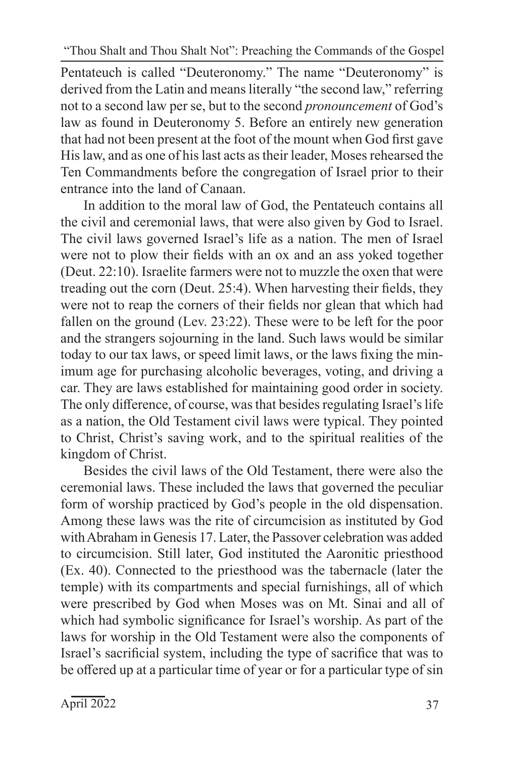Pentateuch is called "Deuteronomy." The name "Deuteronomy" is derived from the Latin and means literally "the second law," referring not to a second law per se, but to the second *pronouncement* of God's law as found in Deuteronomy 5. Before an entirely new generation that had not been present at the foot of the mount when God first gave His law, and as one of his last acts as their leader, Moses rehearsed the Ten Commandments before the congregation of Israel prior to their entrance into the land of Canaan.

In addition to the moral law of God, the Pentateuch contains all the civil and ceremonial laws, that were also given by God to Israel. The civil laws governed Israel's life as a nation. The men of Israel were not to plow their fields with an ox and an ass yoked together (Deut. 22:10). Israelite farmers were not to muzzle the oxen that were treading out the corn (Deut. 25:4). When harvesting their fields, they were not to reap the corners of their fields nor glean that which had fallen on the ground (Lev. 23:22). These were to be left for the poor and the strangers sojourning in the land. Such laws would be similar today to our tax laws, or speed limit laws, or the laws fixing the minimum age for purchasing alcoholic beverages, voting, and driving a car. They are laws established for maintaining good order in society. The only difference, of course, was that besides regulating Israel's life as a nation, the Old Testament civil laws were typical. They pointed to Christ, Christ's saving work, and to the spiritual realities of the kingdom of Christ.

Besides the civil laws of the Old Testament, there were also the ceremonial laws. These included the laws that governed the peculiar form of worship practiced by God's people in the old dispensation. Among these laws was the rite of circumcision as instituted by God with Abraham in Genesis 17. Later, the Passover celebration was added to circumcision. Still later, God instituted the Aaronitic priesthood (Ex. 40). Connected to the priesthood was the tabernacle (later the temple) with its compartments and special furnishings, all of which were prescribed by God when Moses was on Mt. Sinai and all of which had symbolic significance for Israel's worship. As part of the laws for worship in the Old Testament were also the components of Israel's sacrificial system, including the type of sacrifice that was to be offered up at a particular time of year or for a particular type of sin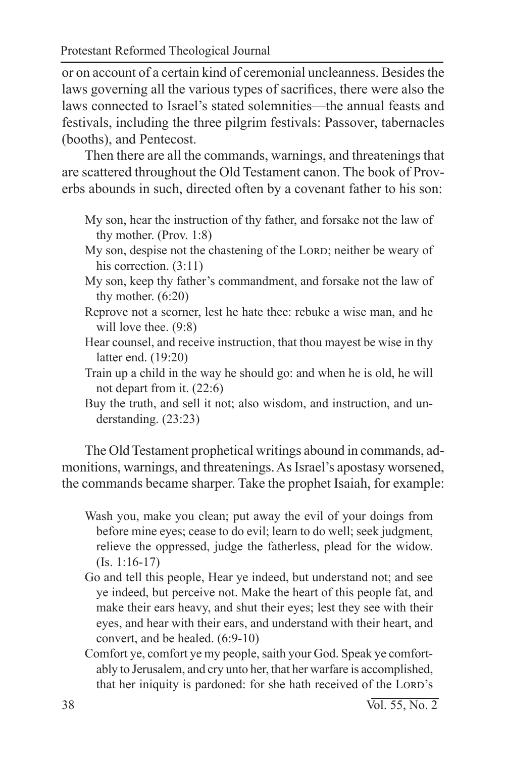or on account of a certain kind of ceremonial uncleanness. Besides the laws governing all the various types of sacrifices, there were also the laws connected to Israel's stated solemnities—the annual feasts and festivals, including the three pilgrim festivals: Passover, tabernacles (booths), and Pentecost.

Then there are all the commands, warnings, and threatenings that are scattered throughout the Old Testament canon. The book of Proverbs abounds in such, directed often by a covenant father to his son:

- My son, hear the instruction of thy father, and forsake not the law of thy mother. (Prov. 1:8)
- My son, despise not the chastening of the LORD; neither be weary of his correction.  $(3:11)$
- My son, keep thy father's commandment, and forsake not the law of thy mother. (6:20)
- Reprove not a scorner, lest he hate thee: rebuke a wise man, and he will love thee.  $(9:8)$
- Hear counsel, and receive instruction, that thou mayest be wise in thy latter end. (19:20)
- Train up a child in the way he should go: and when he is old, he will not depart from it. (22:6)
- Buy the truth, and sell it not; also wisdom, and instruction, and understanding. (23:23)

The Old Testament prophetical writings abound in commands, admonitions, warnings, and threatenings. As Israel's apostasy worsened, the commands became sharper. Take the prophet Isaiah, for example:

- Wash you, make you clean; put away the evil of your doings from before mine eyes; cease to do evil; learn to do well; seek judgment, relieve the oppressed, judge the fatherless, plead for the widow. (Is. 1:16-17)
- Go and tell this people, Hear ye indeed, but understand not; and see ye indeed, but perceive not. Make the heart of this people fat, and make their ears heavy, and shut their eyes; lest they see with their eyes, and hear with their ears, and understand with their heart, and convert, and be healed. (6:9-10)
- Comfort ye, comfort ye my people, saith your God. Speak ye comfortably to Jerusalem, and cry unto her, that her warfare is accomplished, that her iniquity is pardoned: for she hath received of the LORD's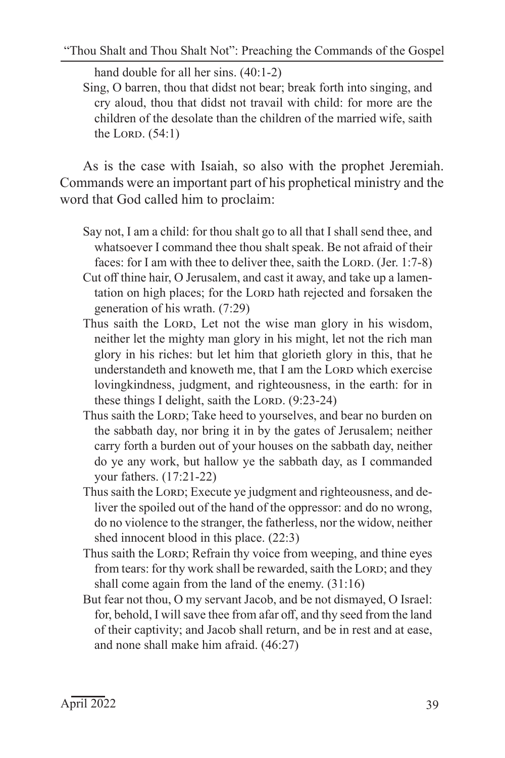hand double for all her sins.  $(40:1-2)$ 

Sing, O barren, thou that didst not bear; break forth into singing, and cry aloud, thou that didst not travail with child: for more are the children of the desolate than the children of the married wife, saith the Lord.  $(54:1)$ 

As is the case with Isaiah, so also with the prophet Jeremiah. Commands were an important part of his prophetical ministry and the word that God called him to proclaim:

- Say not, I am a child: for thou shalt go to all that I shall send thee, and whatsoever I command thee thou shalt speak. Be not afraid of their faces: for I am with thee to deliver thee, saith the LORD. (Jer.  $1:7-8$ )
- Cut off thine hair, O Jerusalem, and cast it away, and take up a lamentation on high places; for the LORD hath rejected and forsaken the generation of his wrath. (7:29)
- Thus saith the LORD, Let not the wise man glory in his wisdom, neither let the mighty man glory in his might, let not the rich man glory in his riches: but let him that glorieth glory in this, that he understandeth and knoweth me, that I am the LORD which exercise lovingkindness, judgment, and righteousness, in the earth: for in these things I delight, saith the LORD.  $(9:23-24)$
- Thus saith the LORD; Take heed to yourselves, and bear no burden on the sabbath day, nor bring it in by the gates of Jerusalem; neither carry forth a burden out of your houses on the sabbath day, neither do ye any work, but hallow ye the sabbath day, as I commanded your fathers. (17:21-22)
- Thus saith the LORD; Execute ye judgment and righteousness, and deliver the spoiled out of the hand of the oppressor: and do no wrong, do no violence to the stranger, the fatherless, nor the widow, neither shed innocent blood in this place. (22:3)
- Thus saith the LORD; Refrain thy voice from weeping, and thine eyes from tears: for thy work shall be rewarded, saith the LORD; and they shall come again from the land of the enemy. (31:16)
- But fear not thou, O my servant Jacob, and be not dismayed, O Israel: for, behold, I will save thee from afar off, and thy seed from the land of their captivity; and Jacob shall return, and be in rest and at ease, and none shall make him afraid. (46:27)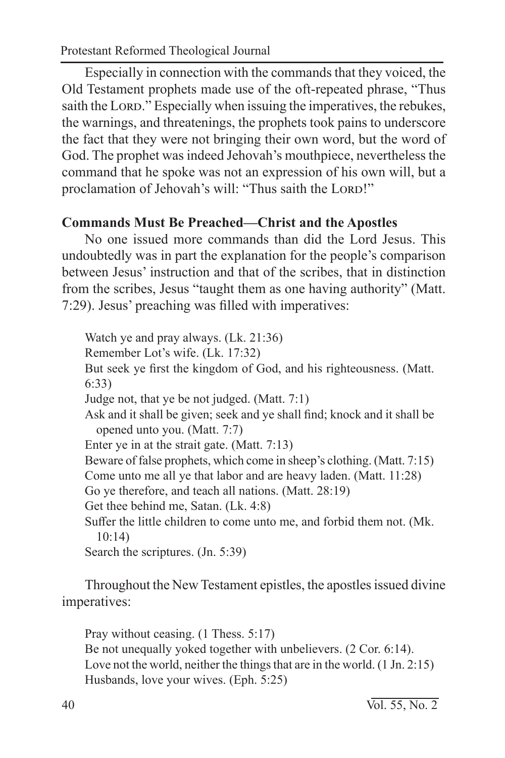Protestant Reformed Theological Journal

Especially in connection with the commands that they voiced, the Old Testament prophets made use of the oft-repeated phrase, "Thus saith the LORD." Especially when issuing the imperatives, the rebukes, the warnings, and threatenings, the prophets took pains to underscore the fact that they were not bringing their own word, but the word of God. The prophet was indeed Jehovah's mouthpiece, nevertheless the command that he spoke was not an expression of his own will, but a proclamation of Jehovah's will: "Thus saith the LORD!"

## **Commands Must Be Preached—Christ and the Apostles**

No one issued more commands than did the Lord Jesus. This undoubtedly was in part the explanation for the people's comparison between Jesus' instruction and that of the scribes, that in distinction from the scribes, Jesus "taught them as one having authority" (Matt. 7:29). Jesus' preaching was filled with imperatives:

Watch ye and pray always. (Lk. 21:36) Remember Lot's wife. (Lk. 17:32) But seek ye first the kingdom of God, and his righteousness. (Matt. 6:33) Judge not, that ye be not judged. (Matt. 7:1) Ask and it shall be given; seek and ye shall find; knock and it shall be opened unto you. (Matt. 7:7) Enter ye in at the strait gate. (Matt. 7:13) Beware of false prophets, which come in sheep's clothing. (Matt. 7:15) Come unto me all ye that labor and are heavy laden. (Matt. 11:28) Go ye therefore, and teach all nations. (Matt. 28:19) Get thee behind me, Satan. (Lk. 4:8) Suffer the little children to come unto me, and forbid them not. (Mk. 10:14) Search the scriptures. (Jn. 5:39)

Throughout the New Testament epistles, the apostles issued divine imperatives:

Pray without ceasing. (1 Thess. 5:17) Be not unequally yoked together with unbelievers. (2 Cor. 6:14). Love not the world, neither the things that are in the world. (1 Jn. 2:15) Husbands, love your wives. (Eph. 5:25)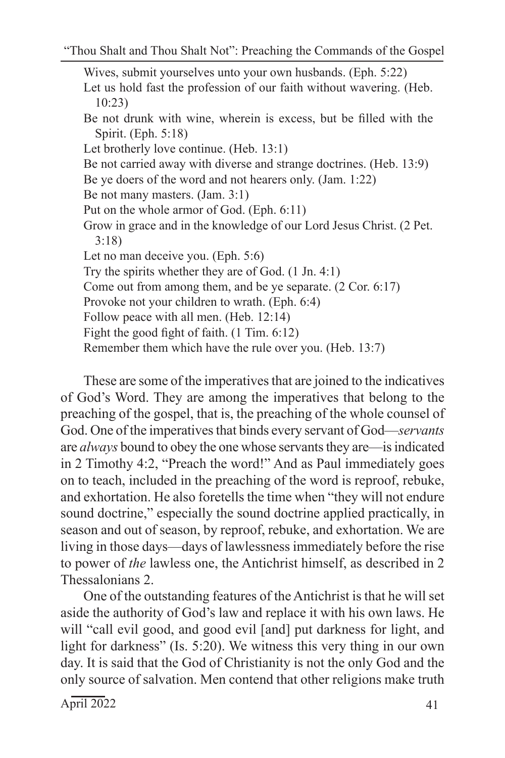Wives, submit yourselves unto your own husbands. (Eph. 5:22) Let us hold fast the profession of our faith without wavering. (Heb. 10:23) Be not drunk with wine, wherein is excess, but be filled with the Spirit. (Eph. 5:18) Let brotherly love continue. (Heb. 13:1) Be not carried away with diverse and strange doctrines. (Heb. 13:9) Be ye doers of the word and not hearers only. (Jam. 1:22) Be not many masters. (Jam. 3:1) Put on the whole armor of God. (Eph. 6:11) Grow in grace and in the knowledge of our Lord Jesus Christ. (2 Pet. 3:18) Let no man deceive you. (Eph. 5:6) Try the spirits whether they are of God. (1 Jn. 4:1) Come out from among them, and be ye separate. (2 Cor. 6:17) Provoke not your children to wrath. (Eph. 6:4) Follow peace with all men. (Heb. 12:14) Fight the good fight of faith. (1 Tim. 6:12) Remember them which have the rule over you. (Heb. 13:7)

These are some of the imperatives that are joined to the indicatives of God's Word. They are among the imperatives that belong to the preaching of the gospel, that is, the preaching of the whole counsel of God. One of the imperatives that binds every servant of God—*servants* are *always* bound to obey the one whose servants they are—is indicated in 2 Timothy 4:2, "Preach the word!" And as Paul immediately goes on to teach, included in the preaching of the word is reproof, rebuke, and exhortation. He also foretells the time when "they will not endure sound doctrine," especially the sound doctrine applied practically, in season and out of season, by reproof, rebuke, and exhortation. We are living in those days—days of lawlessness immediately before the rise to power of *the* lawless one, the Antichrist himself, as described in 2 Thessalonians 2.

One of the outstanding features of the Antichrist is that he will set aside the authority of God's law and replace it with his own laws. He will "call evil good, and good evil [and] put darkness for light, and light for darkness" (Is. 5:20). We witness this very thing in our own day. It is said that the God of Christianity is not the only God and the only source of salvation. Men contend that other religions make truth

 $\text{April } 2022$  41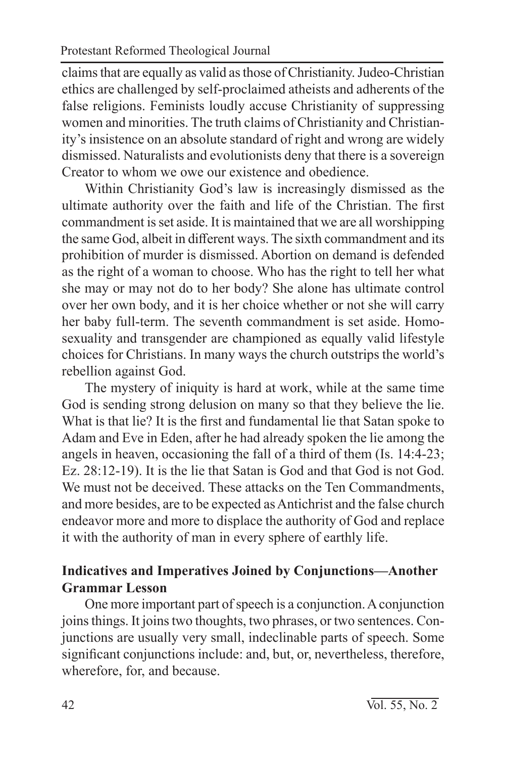claims that are equally as valid as those of Christianity. Judeo-Christian ethics are challenged by self-proclaimed atheists and adherents of the false religions. Feminists loudly accuse Christianity of suppressing women and minorities. The truth claims of Christianity and Christianity's insistence on an absolute standard of right and wrong are widely dismissed. Naturalists and evolutionists deny that there is a sovereign Creator to whom we owe our existence and obedience.

Within Christianity God's law is increasingly dismissed as the ultimate authority over the faith and life of the Christian. The first commandment is set aside. It is maintained that we are all worshipping the same God, albeit in different ways. The sixth commandment and its prohibition of murder is dismissed. Abortion on demand is defended as the right of a woman to choose. Who has the right to tell her what she may or may not do to her body? She alone has ultimate control over her own body, and it is her choice whether or not she will carry her baby full-term. The seventh commandment is set aside. Homosexuality and transgender are championed as equally valid lifestyle choices for Christians. In many ways the church outstrips the world's rebellion against God.

The mystery of iniquity is hard at work, while at the same time God is sending strong delusion on many so that they believe the lie. What is that lie? It is the first and fundamental lie that Satan spoke to Adam and Eve in Eden, after he had already spoken the lie among the angels in heaven, occasioning the fall of a third of them (Is. 14:4-23; Ez. 28:12-19). It is the lie that Satan is God and that God is not God. We must not be deceived. These attacks on the Ten Commandments, and more besides, are to be expected as Antichrist and the false church endeavor more and more to displace the authority of God and replace it with the authority of man in every sphere of earthly life.

## **Indicatives and Imperatives Joined by Conjunctions—Another Grammar Lesson**

One more important part of speech is a conjunction. A conjunction joins things. It joins two thoughts, two phrases, or two sentences. Conjunctions are usually very small, indeclinable parts of speech. Some significant conjunctions include: and, but, or, nevertheless, therefore, wherefore, for, and because.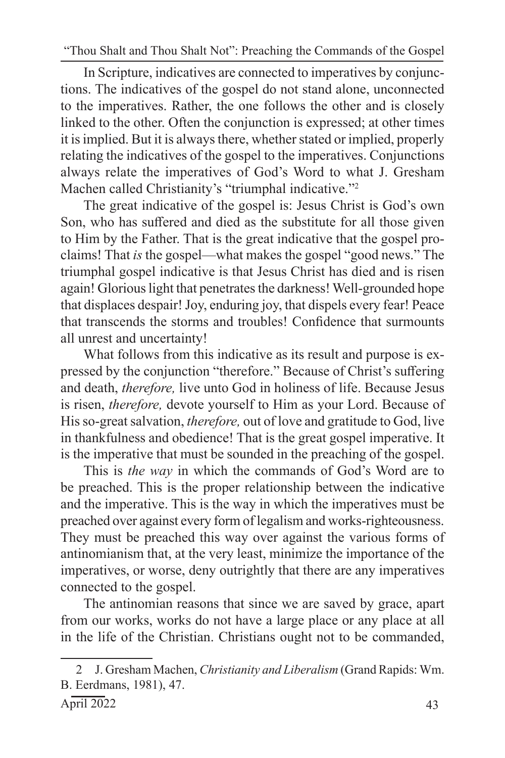In Scripture, indicatives are connected to imperatives by conjunctions. The indicatives of the gospel do not stand alone, unconnected to the imperatives. Rather, the one follows the other and is closely linked to the other. Often the conjunction is expressed; at other times it is implied. But it is always there, whether stated or implied, properly relating the indicatives of the gospel to the imperatives. Conjunctions always relate the imperatives of God's Word to what J. Gresham Machen called Christianity's "triumphal indicative."2

The great indicative of the gospel is: Jesus Christ is God's own Son, who has suffered and died as the substitute for all those given to Him by the Father. That is the great indicative that the gospel proclaims! That *is* the gospel—what makes the gospel "good news." The triumphal gospel indicative is that Jesus Christ has died and is risen again! Glorious light that penetrates the darkness! Well-grounded hope that displaces despair! Joy, enduring joy, that dispels every fear! Peace that transcends the storms and troubles! Confidence that surmounts all unrest and uncertainty!

What follows from this indicative as its result and purpose is expressed by the conjunction "therefore." Because of Christ's suffering and death, *therefore,* live unto God in holiness of life. Because Jesus is risen, *therefore,* devote yourself to Him as your Lord. Because of His so-great salvation, *therefore,* out of love and gratitude to God, live in thankfulness and obedience! That is the great gospel imperative. It is the imperative that must be sounded in the preaching of the gospel.

This is *the way* in which the commands of God's Word are to be preached. This is the proper relationship between the indicative and the imperative. This is the way in which the imperatives must be preached over against every form of legalism and works-righteousness. They must be preached this way over against the various forms of antinomianism that, at the very least, minimize the importance of the imperatives, or worse, deny outrightly that there are any imperatives connected to the gospel.

The antinomian reasons that since we are saved by grace, apart from our works, works do not have a large place or any place at all in the life of the Christian. Christians ought not to be commanded,

<sup>2</sup> J. Gresham Machen, *Christianity and Liberalism* (Grand Rapids: Wm. B. Eerdmans, 1981), 47.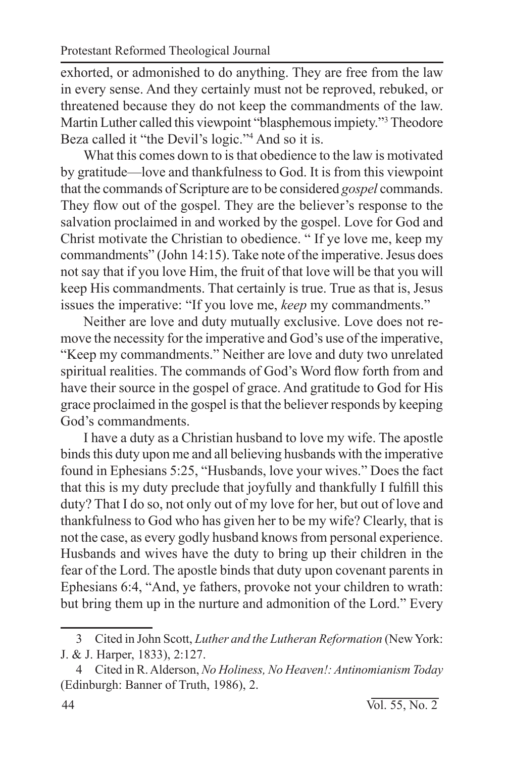exhorted, or admonished to do anything. They are free from the law in every sense. And they certainly must not be reproved, rebuked, or threatened because they do not keep the commandments of the law. Martin Luther called this viewpoint "blasphemous impiety."3 Theodore Beza called it "the Devil's logic."4 And so it is.

What this comes down to is that obedience to the law is motivated by gratitude—love and thankfulness to God. It is from this viewpoint that the commands of Scripture are to be considered *gospel* commands. They flow out of the gospel. They are the believer's response to the salvation proclaimed in and worked by the gospel. Love for God and Christ motivate the Christian to obedience. " If ye love me, keep my commandments" (John 14:15). Take note of the imperative. Jesus does not say that if you love Him, the fruit of that love will be that you will keep His commandments. That certainly is true. True as that is, Jesus issues the imperative: "If you love me, *keep* my commandments."

Neither are love and duty mutually exclusive. Love does not remove the necessity for the imperative and God's use of the imperative, "Keep my commandments." Neither are love and duty two unrelated spiritual realities. The commands of God's Word flow forth from and have their source in the gospel of grace. And gratitude to God for His grace proclaimed in the gospel is that the believer responds by keeping God's commandments.

I have a duty as a Christian husband to love my wife. The apostle binds this duty upon me and all believing husbands with the imperative found in Ephesians 5:25, "Husbands, love your wives." Does the fact that this is my duty preclude that joyfully and thankfully I fulfill this duty? That I do so, not only out of my love for her, but out of love and thankfulness to God who has given her to be my wife? Clearly, that is not the case, as every godly husband knows from personal experience. Husbands and wives have the duty to bring up their children in the fear of the Lord. The apostle binds that duty upon covenant parents in Ephesians 6:4, "And, ye fathers, provoke not your children to wrath: but bring them up in the nurture and admonition of the Lord." Every

<sup>3</sup> Cited in John Scott, *Luther and the Lutheran Reformation* (New York: J. & J. Harper, 1833), 2:127.

<sup>4</sup> Cited in R. Alderson, *No Holiness, No Heaven!: Antinomianism Today*  (Edinburgh: Banner of Truth, 1986), 2.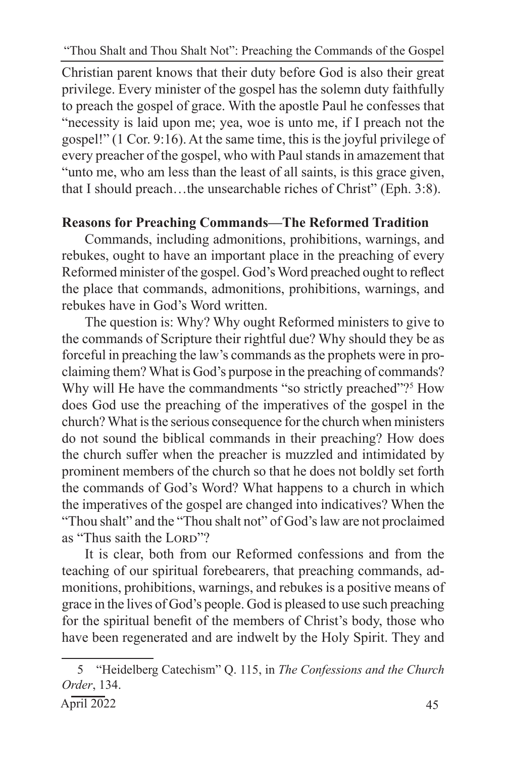Christian parent knows that their duty before God is also their great privilege. Every minister of the gospel has the solemn duty faithfully to preach the gospel of grace. With the apostle Paul he confesses that "necessity is laid upon me; yea, woe is unto me, if I preach not the gospel!" (1 Cor. 9:16). At the same time, this is the joyful privilege of every preacher of the gospel, who with Paul stands in amazement that "unto me, who am less than the least of all saints, is this grace given, that I should preach…the unsearchable riches of Christ" (Eph. 3:8).

## **Reasons for Preaching Commands—The Reformed Tradition**

Commands, including admonitions, prohibitions, warnings, and rebukes, ought to have an important place in the preaching of every Reformed minister of the gospel. God's Word preached ought to reflect the place that commands, admonitions, prohibitions, warnings, and rebukes have in God's Word written.

The question is: Why? Why ought Reformed ministers to give to the commands of Scripture their rightful due? Why should they be as forceful in preaching the law's commands as the prophets were in proclaiming them? What is God's purpose in the preaching of commands? Why will He have the commandments "so strictly preached"?<sup>5</sup> How does God use the preaching of the imperatives of the gospel in the church? What is the serious consequence for the church when ministers do not sound the biblical commands in their preaching? How does the church suffer when the preacher is muzzled and intimidated by prominent members of the church so that he does not boldly set forth the commands of God's Word? What happens to a church in which the imperatives of the gospel are changed into indicatives? When the "Thou shalt" and the "Thou shalt not" of God's law are not proclaimed as "Thus saith the LORD"?

It is clear, both from our Reformed confessions and from the teaching of our spiritual forebearers, that preaching commands, admonitions, prohibitions, warnings, and rebukes is a positive means of grace in the lives of God's people. God is pleased to use such preaching for the spiritual benefit of the members of Christ's body, those who have been regenerated and are indwelt by the Holy Spirit. They and

<sup>5</sup> "Heidelberg Catechism" Q. 115, in *The Confessions and the Church Order*, 134.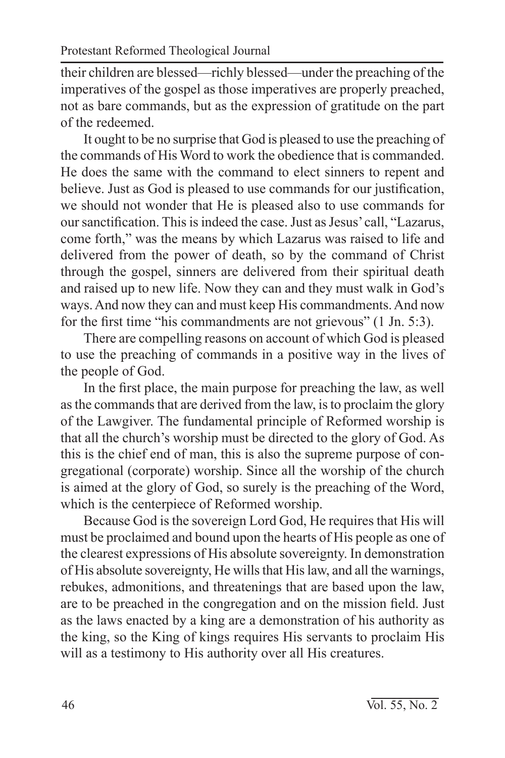their children are blessed—richly blessed—under the preaching of the imperatives of the gospel as those imperatives are properly preached, not as bare commands, but as the expression of gratitude on the part of the redeemed.

It ought to be no surprise that God is pleased to use the preaching of the commands of His Word to work the obedience that is commanded. He does the same with the command to elect sinners to repent and believe. Just as God is pleased to use commands for our justification, we should not wonder that He is pleased also to use commands for our sanctification. This is indeed the case. Just as Jesus' call, "Lazarus, come forth," was the means by which Lazarus was raised to life and delivered from the power of death, so by the command of Christ through the gospel, sinners are delivered from their spiritual death and raised up to new life. Now they can and they must walk in God's ways. And now they can and must keep His commandments. And now for the first time "his commandments are not grievous" (1 Jn. 5:3).

There are compelling reasons on account of which God is pleased to use the preaching of commands in a positive way in the lives of the people of God.

In the first place, the main purpose for preaching the law, as well as the commands that are derived from the law, is to proclaim the glory of the Lawgiver. The fundamental principle of Reformed worship is that all the church's worship must be directed to the glory of God. As this is the chief end of man, this is also the supreme purpose of congregational (corporate) worship. Since all the worship of the church is aimed at the glory of God, so surely is the preaching of the Word, which is the centerpiece of Reformed worship.

Because God is the sovereign Lord God, He requires that His will must be proclaimed and bound upon the hearts of His people as one of the clearest expressions of His absolute sovereignty. In demonstration of His absolute sovereignty, He wills that His law, and all the warnings, rebukes, admonitions, and threatenings that are based upon the law, are to be preached in the congregation and on the mission field. Just as the laws enacted by a king are a demonstration of his authority as the king, so the King of kings requires His servants to proclaim His will as a testimony to His authority over all His creatures.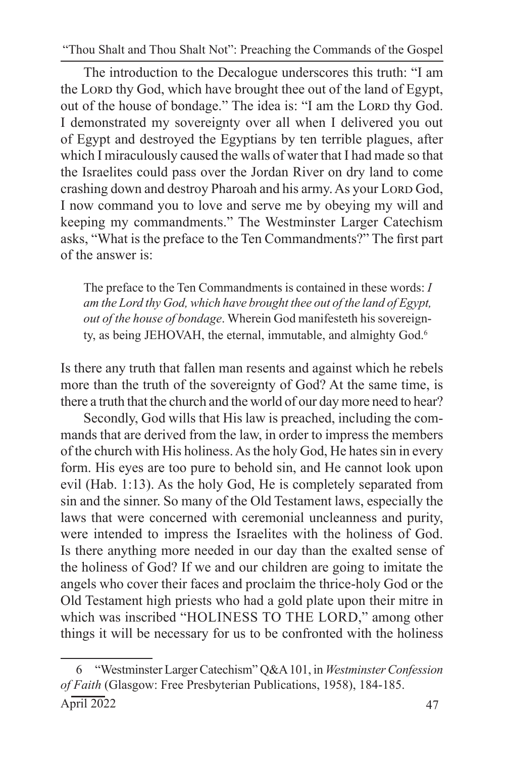The introduction to the Decalogue underscores this truth: "I am the LORD thy God, which have brought thee out of the land of Egypt, out of the house of bondage." The idea is: "I am the Lorp thy God. I demonstrated my sovereignty over all when I delivered you out of Egypt and destroyed the Egyptians by ten terrible plagues, after which I miraculously caused the walls of water that I had made so that the Israelites could pass over the Jordan River on dry land to come crashing down and destroy Pharoah and his army. As your Lorp God, I now command you to love and serve me by obeying my will and keeping my commandments." The Westminster Larger Catechism asks, "What is the preface to the Ten Commandments?" The first part of the answer is:

The preface to the Ten Commandments is contained in these words: *I am the Lord thy God, which have brought thee out of the land of Egypt, out of the house of bondage*. Wherein God manifesteth his sovereignty, as being JEHOVAH, the eternal, immutable, and almighty God.<sup>6</sup>

Is there any truth that fallen man resents and against which he rebels more than the truth of the sovereignty of God? At the same time, is there a truth that the church and the world of our day more need to hear?

Secondly, God wills that His law is preached, including the commands that are derived from the law, in order to impress the members of the church with His holiness. As the holy God, He hates sin in every form. His eyes are too pure to behold sin, and He cannot look upon evil (Hab. 1:13). As the holy God, He is completely separated from sin and the sinner. So many of the Old Testament laws, especially the laws that were concerned with ceremonial uncleanness and purity, were intended to impress the Israelites with the holiness of God. Is there anything more needed in our day than the exalted sense of the holiness of God? If we and our children are going to imitate the angels who cover their faces and proclaim the thrice-holy God or the Old Testament high priests who had a gold plate upon their mitre in which was inscribed "HOLINESS TO THE LORD," among other things it will be necessary for us to be confronted with the holiness

<sup>6</sup> "Westminster Larger Catechism" Q&A 101, in *Westminster Confession of Faith* (Glasgow: Free Presbyterian Publications, 1958), 184-185.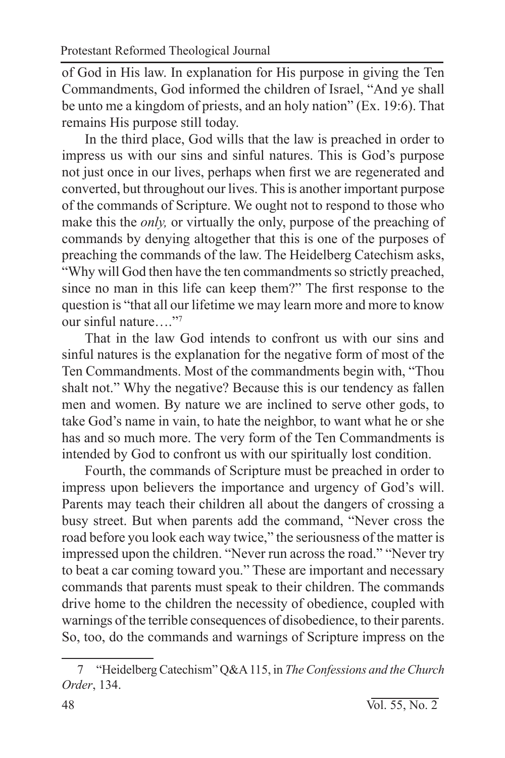of God in His law. In explanation for His purpose in giving the Ten Commandments, God informed the children of Israel, "And ye shall be unto me a kingdom of priests, and an holy nation" (Ex. 19:6). That remains His purpose still today.

In the third place, God wills that the law is preached in order to impress us with our sins and sinful natures. This is God's purpose not just once in our lives, perhaps when first we are regenerated and converted, but throughout our lives. This is another important purpose of the commands of Scripture. We ought not to respond to those who make this the *only,* or virtually the only, purpose of the preaching of commands by denying altogether that this is one of the purposes of preaching the commands of the law. The Heidelberg Catechism asks, "Why will God then have the ten commandments so strictly preached, since no man in this life can keep them?" The first response to the question is "that all our lifetime we may learn more and more to know our sinful nature…."7

That in the law God intends to confront us with our sins and sinful natures is the explanation for the negative form of most of the Ten Commandments. Most of the commandments begin with, "Thou shalt not." Why the negative? Because this is our tendency as fallen men and women. By nature we are inclined to serve other gods, to take God's name in vain, to hate the neighbor, to want what he or she has and so much more. The very form of the Ten Commandments is intended by God to confront us with our spiritually lost condition.

Fourth, the commands of Scripture must be preached in order to impress upon believers the importance and urgency of God's will. Parents may teach their children all about the dangers of crossing a busy street. But when parents add the command, "Never cross the road before you look each way twice," the seriousness of the matter is impressed upon the children. "Never run across the road." "Never try to beat a car coming toward you." These are important and necessary commands that parents must speak to their children. The commands drive home to the children the necessity of obedience, coupled with warnings of the terrible consequences of disobedience, to their parents. So, too, do the commands and warnings of Scripture impress on the

<sup>7</sup> "Heidelberg Catechism" Q&A 115, in *The Confessions and the Church Order*, 134.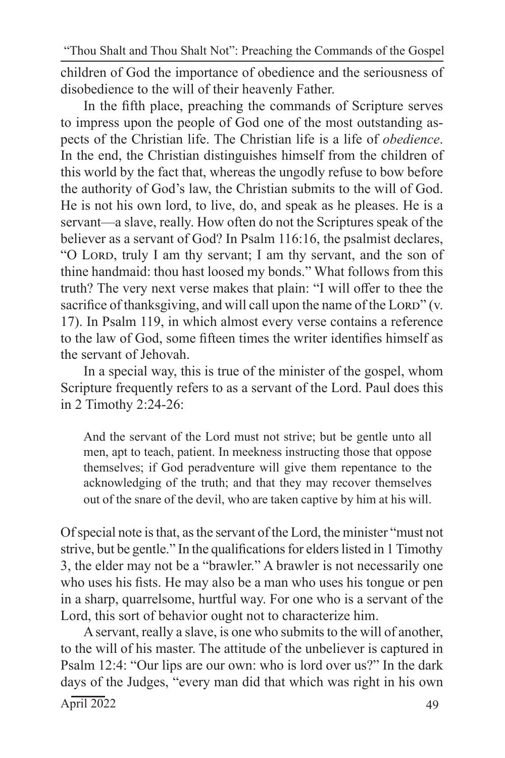children of God the importance of obedience and the seriousness of disobedience to the will of their heavenly Father.

In the fifth place, preaching the commands of Scripture serves to impress upon the people of God one of the most outstanding aspects of the Christian life. The Christian life is a life of *obedience*. In the end, the Christian distinguishes himself from the children of this world by the fact that, whereas the ungodly refuse to bow before the authority of God's law, the Christian submits to the will of God. He is not his own lord, to live, do, and speak as he pleases. He is a servant—a slave, really. How often do not the Scriptures speak of the believer as a servant of God? In Psalm 116:16, the psalmist declares, "O LORD, truly I am thy servant; I am thy servant, and the son of thine handmaid: thou hast loosed my bonds." What follows from this truth? The very next verse makes that plain: "I will offer to thee the sacrifice of thanksgiving, and will call upon the name of the LORD"  $(v,$ 17). In Psalm 119, in which almost every verse contains a reference to the law of God, some fifteen times the writer identifies himself as the servant of Jehovah.

In a special way, this is true of the minister of the gospel, whom Scripture frequently refers to as a servant of the Lord. Paul does this in 2 Timothy 2:24-26:

And the servant of the Lord must not strive; but be gentle unto all men, apt to teach, patient. In meekness instructing those that oppose themselves; if God peradventure will give them repentance to the acknowledging of the truth; and that they may recover themselves out of the snare of the devil, who are taken captive by him at his will.

Of special note is that, as the servant of the Lord, the minister "must not strive, but be gentle." In the qualifications for elders listed in 1 Timothy 3, the elder may not be a "brawler." A brawler is not necessarily one who uses his fists. He may also be a man who uses his tongue or pen in a sharp, quarrelsome, hurtful way. For one who is a servant of the Lord, this sort of behavior ought not to characterize him.

 $\text{April } 2022$  49 A servant, really a slave, is one who submits to the will of another, to the will of his master. The attitude of the unbeliever is captured in Psalm 12:4: "Our lips are our own: who is lord over us?" In the dark days of the Judges, "every man did that which was right in his own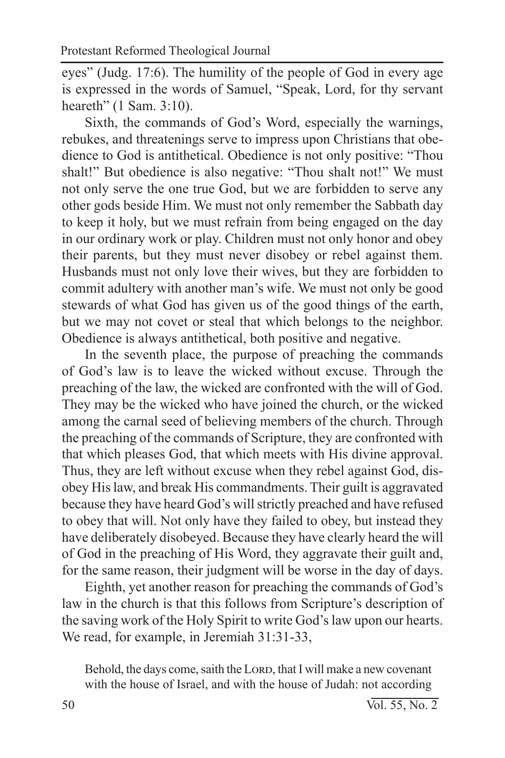eyes" (Judg. 17:6). The humility of the people of God in every age is expressed in the words of Samuel, "Speak, Lord, for thy servant heareth" (1 Sam. 3:10).

Sixth, the commands of God's Word, especially the warnings, rebukes, and threatenings serve to impress upon Christians that obedience to God is antithetical. Obedience is not only positive: "Thou shalt!" But obedience is also negative: "Thou shalt not!" We must not only serve the one true God, but we are forbidden to serve any other gods beside Him. We must not only remember the Sabbath day to keep it holy, but we must refrain from being engaged on the day in our ordinary work or play. Children must not only honor and obey their parents, but they must never disobey or rebel against them. Husbands must not only love their wives, but they are forbidden to commit adultery with another man's wife. We must not only be good stewards of what God has given us of the good things of the earth, but we may not covet or steal that which belongs to the neighbor. Obedience is always antithetical, both positive and negative.

In the seventh place, the purpose of preaching the commands of God's law is to leave the wicked without excuse. Through the preaching of the law, the wicked are confronted with the will of God. They may be the wicked who have joined the church, or the wicked among the carnal seed of believing members of the church. Through the preaching of the commands of Scripture, they are confronted with that which pleases God, that which meets with His divine approval. Thus, they are left without excuse when they rebel against God, disobey His law, and break His commandments. Their guilt is aggravated because they have heard God's will strictly preached and have refused to obey that will. Not only have they failed to obey, but instead they have deliberately disobeyed. Because they have clearly heard the will of God in the preaching of His Word, they aggravate their guilt and, for the same reason, their judgment will be worse in the day of days.

Eighth, yet another reason for preaching the commands of God's law in the church is that this follows from Scripture's description of the saving work of the Holy Spirit to write God's law upon our hearts. We read, for example, in Jeremiah 31:31-33,

Behold, the days come, saith the LORD, that I will make a new covenant with the house of Israel, and with the house of Judah: not according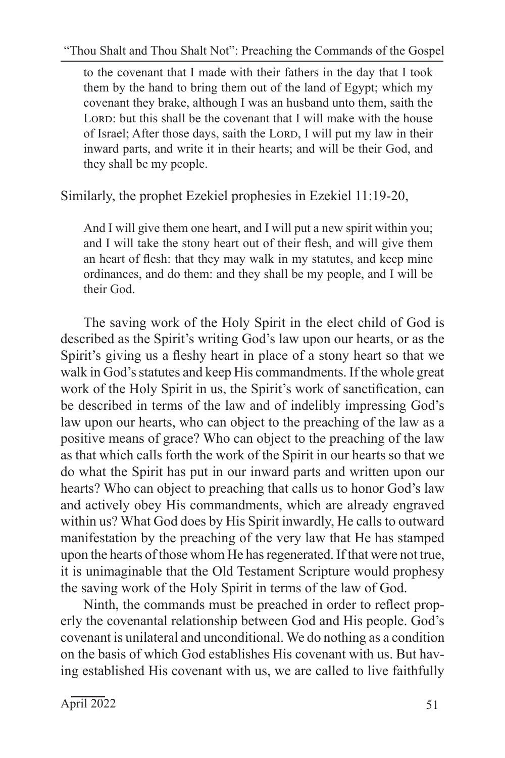to the covenant that I made with their fathers in the day that I took them by the hand to bring them out of the land of Egypt; which my covenant they brake, although I was an husband unto them, saith the LORD: but this shall be the covenant that I will make with the house of Israel; After those days, saith the LORD, I will put my law in their inward parts, and write it in their hearts; and will be their God, and they shall be my people.

Similarly, the prophet Ezekiel prophesies in Ezekiel 11:19-20,

And I will give them one heart, and I will put a new spirit within you; and I will take the stony heart out of their flesh, and will give them an heart of flesh: that they may walk in my statutes, and keep mine ordinances, and do them: and they shall be my people, and I will be their God.

The saving work of the Holy Spirit in the elect child of God is described as the Spirit's writing God's law upon our hearts, or as the Spirit's giving us a fleshy heart in place of a stony heart so that we walk in God's statutes and keep His commandments. If the whole great work of the Holy Spirit in us, the Spirit's work of sanctification, can be described in terms of the law and of indelibly impressing God's law upon our hearts, who can object to the preaching of the law as a positive means of grace? Who can object to the preaching of the law as that which calls forth the work of the Spirit in our hearts so that we do what the Spirit has put in our inward parts and written upon our hearts? Who can object to preaching that calls us to honor God's law and actively obey His commandments, which are already engraved within us? What God does by His Spirit inwardly, He calls to outward manifestation by the preaching of the very law that He has stamped upon the hearts of those whom He has regenerated. If that were not true, it is unimaginable that the Old Testament Scripture would prophesy the saving work of the Holy Spirit in terms of the law of God.

Ninth, the commands must be preached in order to reflect properly the covenantal relationship between God and His people. God's covenant is unilateral and unconditional. We do nothing as a condition on the basis of which God establishes His covenant with us. But having established His covenant with us, we are called to live faithfully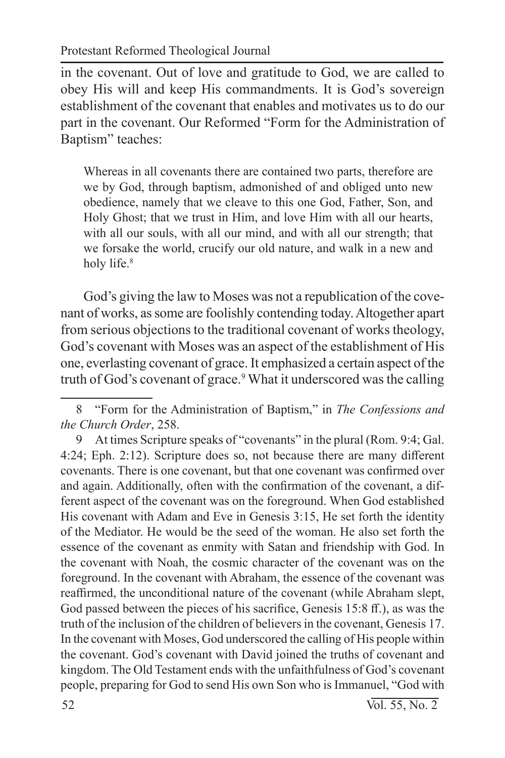in the covenant. Out of love and gratitude to God, we are called to obey His will and keep His commandments. It is God's sovereign establishment of the covenant that enables and motivates us to do our part in the covenant. Our Reformed "Form for the Administration of Baptism" teaches:

Whereas in all covenants there are contained two parts, therefore are we by God, through baptism, admonished of and obliged unto new obedience, namely that we cleave to this one God, Father, Son, and Holy Ghost; that we trust in Him, and love Him with all our hearts, with all our souls, with all our mind, and with all our strength; that we forsake the world, crucify our old nature, and walk in a new and holy life.<sup>8</sup>

God's giving the law to Moses was not a republication of the covenant of works, as some are foolishly contending today. Altogether apart from serious objections to the traditional covenant of works theology, God's covenant with Moses was an aspect of the establishment of His one, everlasting covenant of grace. It emphasized a certain aspect of the truth of God's covenant of grace.<sup>9</sup> What it underscored was the calling

<sup>8</sup> "Form for the Administration of Baptism," in *The Confessions and the Church Order*, 258.

<sup>9</sup> At times Scripture speaks of "covenants" in the plural (Rom. 9:4; Gal. 4:24; Eph. 2:12). Scripture does so, not because there are many different covenants. There is one covenant, but that one covenant was confirmed over and again. Additionally, often with the confirmation of the covenant, a different aspect of the covenant was on the foreground. When God established His covenant with Adam and Eve in Genesis 3:15, He set forth the identity of the Mediator. He would be the seed of the woman. He also set forth the essence of the covenant as enmity with Satan and friendship with God. In the covenant with Noah, the cosmic character of the covenant was on the foreground. In the covenant with Abraham, the essence of the covenant was reaffirmed, the unconditional nature of the covenant (while Abraham slept, God passed between the pieces of his sacrifice, Genesis 15:8 ff.), as was the truth of the inclusion of the children of believers in the covenant, Genesis 17. In the covenant with Moses, God underscored the calling of His people within the covenant. God's covenant with David joined the truths of covenant and kingdom. The Old Testament ends with the unfaithfulness of God's covenant people, preparing for God to send His own Son who is Immanuel, "God with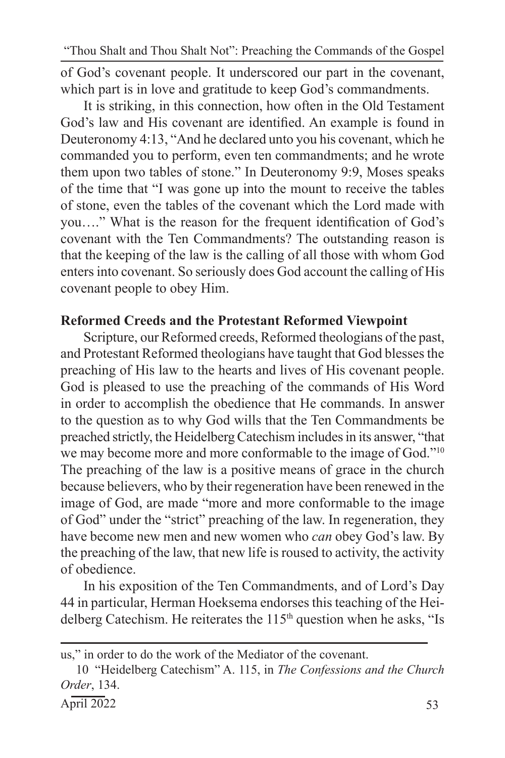of God's covenant people. It underscored our part in the covenant, which part is in love and gratitude to keep God's commandments.

It is striking, in this connection, how often in the Old Testament God's law and His covenant are identified. An example is found in Deuteronomy 4:13, "And he declared unto you his covenant, which he commanded you to perform, even ten commandments; and he wrote them upon two tables of stone." In Deuteronomy 9:9, Moses speaks of the time that "I was gone up into the mount to receive the tables of stone, even the tables of the covenant which the Lord made with you…." What is the reason for the frequent identification of God's covenant with the Ten Commandments? The outstanding reason is that the keeping of the law is the calling of all those with whom God enters into covenant. So seriously does God account the calling of His covenant people to obey Him.

### **Reformed Creeds and the Protestant Reformed Viewpoint**

Scripture, our Reformed creeds, Reformed theologians of the past, and Protestant Reformed theologians have taught that God blesses the preaching of His law to the hearts and lives of His covenant people. God is pleased to use the preaching of the commands of His Word in order to accomplish the obedience that He commands. In answer to the question as to why God wills that the Ten Commandments be preached strictly, the Heidelberg Catechism includes in its answer, "that we may become more and more conformable to the image of God."<sup>10</sup> The preaching of the law is a positive means of grace in the church because believers, who by their regeneration have been renewed in the image of God, are made "more and more conformable to the image of God" under the "strict" preaching of the law. In regeneration, they have become new men and new women who *can* obey God's law. By the preaching of the law, that new life is roused to activity, the activity of obedience.

In his exposition of the Ten Commandments, and of Lord's Day 44 in particular, Herman Hoeksema endorses this teaching of the Heidelberg Catechism. He reiterates the 115<sup>th</sup> question when he asks, "Is

us," in order to do the work of the Mediator of the covenant.

<sup>10</sup> "Heidelberg Catechism" A. 115, in *The Confessions and the Church Order*, 134.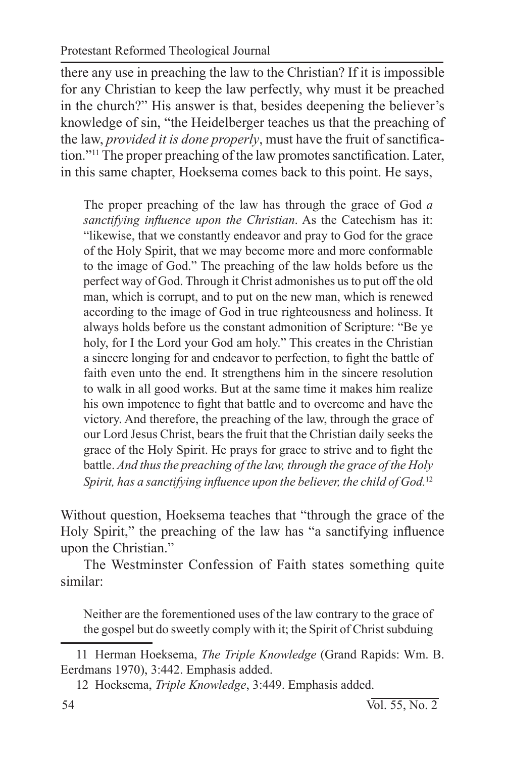there any use in preaching the law to the Christian? If it is impossible for any Christian to keep the law perfectly, why must it be preached in the church?" His answer is that, besides deepening the believer's knowledge of sin, "the Heidelberger teaches us that the preaching of the law, *provided it is done properly*, must have the fruit of sanctification."11 The proper preaching of the law promotes sanctification. Later, in this same chapter, Hoeksema comes back to this point. He says,

The proper preaching of the law has through the grace of God *a sanctifying influence upon the Christian*. As the Catechism has it: "likewise, that we constantly endeavor and pray to God for the grace of the Holy Spirit, that we may become more and more conformable to the image of God." The preaching of the law holds before us the perfect way of God. Through it Christ admonishes us to put off the old man, which is corrupt, and to put on the new man, which is renewed according to the image of God in true righteousness and holiness. It always holds before us the constant admonition of Scripture: "Be ye holy, for I the Lord your God am holy." This creates in the Christian a sincere longing for and endeavor to perfection, to fight the battle of faith even unto the end. It strengthens him in the sincere resolution to walk in all good works. But at the same time it makes him realize his own impotence to fight that battle and to overcome and have the victory. And therefore, the preaching of the law, through the grace of our Lord Jesus Christ, bears the fruit that the Christian daily seeks the grace of the Holy Spirit. He prays for grace to strive and to fight the battle. *And thus the preaching of the law, through the grace of the Holy Spirit, has a sanctifying influence upon the believer, the child of God.*<sup>12</sup>

Without question, Hoeksema teaches that "through the grace of the Holy Spirit," the preaching of the law has "a sanctifying influence upon the Christian."

The Westminster Confession of Faith states something quite similar:

Neither are the forementioned uses of the law contrary to the grace of the gospel but do sweetly comply with it; the Spirit of Christ subduing

<sup>11</sup> Herman Hoeksema, *The Triple Knowledge* (Grand Rapids: Wm. B. Eerdmans 1970), 3:442. Emphasis added.

<sup>12</sup> Hoeksema, *Triple Knowledge*, 3:449. Emphasis added.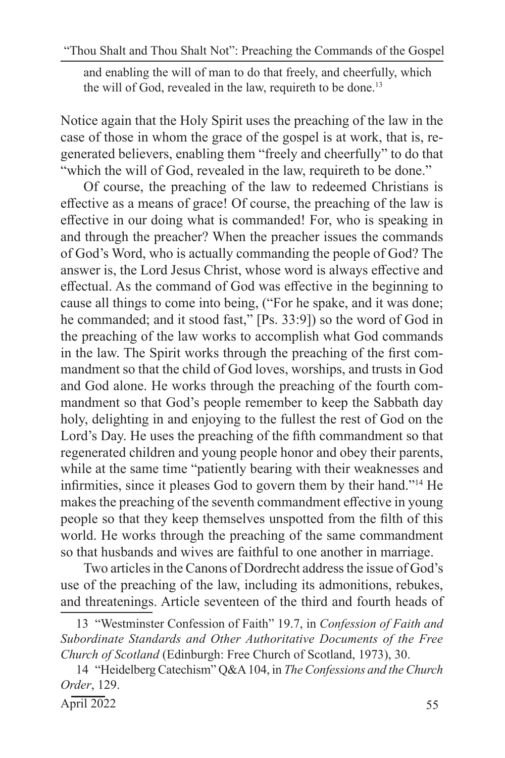and enabling the will of man to do that freely, and cheerfully, which the will of God, revealed in the law, requireth to be done.<sup>13</sup>

Notice again that the Holy Spirit uses the preaching of the law in the case of those in whom the grace of the gospel is at work, that is, regenerated believers, enabling them "freely and cheerfully" to do that "which the will of God, revealed in the law, requireth to be done."

Of course, the preaching of the law to redeemed Christians is effective as a means of grace! Of course, the preaching of the law is effective in our doing what is commanded! For, who is speaking in and through the preacher? When the preacher issues the commands of God's Word, who is actually commanding the people of God? The answer is, the Lord Jesus Christ, whose word is always effective and effectual. As the command of God was effective in the beginning to cause all things to come into being, ("For he spake, and it was done; he commanded; and it stood fast," [Ps. 33:9]) so the word of God in the preaching of the law works to accomplish what God commands in the law. The Spirit works through the preaching of the first commandment so that the child of God loves, worships, and trusts in God and God alone. He works through the preaching of the fourth commandment so that God's people remember to keep the Sabbath day holy, delighting in and enjoying to the fullest the rest of God on the Lord's Day. He uses the preaching of the fifth commandment so that regenerated children and young people honor and obey their parents, while at the same time "patiently bearing with their weaknesses and infirmities, since it pleases God to govern them by their hand."14 He makes the preaching of the seventh commandment effective in young people so that they keep themselves unspotted from the filth of this world. He works through the preaching of the same commandment so that husbands and wives are faithful to one another in marriage.

Two articles in the Canons of Dordrecht address the issue of God's use of the preaching of the law, including its admonitions, rebukes, and threatenings. Article seventeen of the third and fourth heads of

<sup>13</sup> "Westminster Confession of Faith" 19.7, in *Confession of Faith and Subordinate Standards and Other Authoritative Documents of the Free Church of Scotland* (Edinburgh: Free Church of Scotland, 1973), 30.

<sup>14</sup> "Heidelberg Catechism" Q&A 104, in *The Confessions and the Church Order*, 129.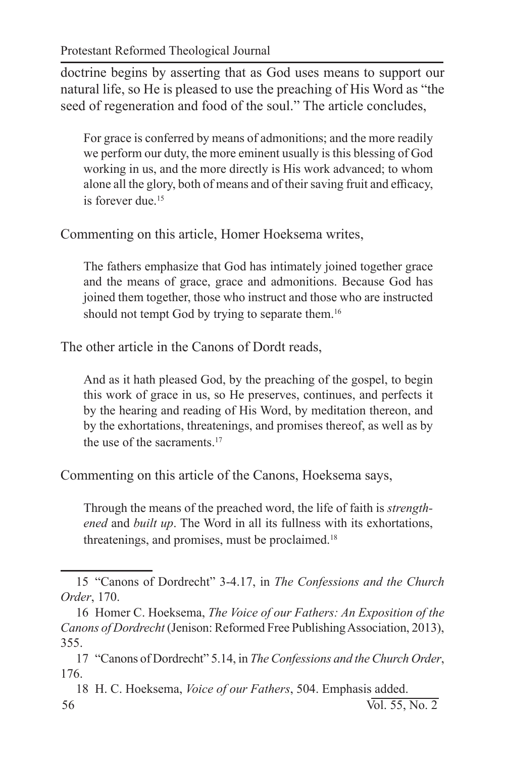doctrine begins by asserting that as God uses means to support our natural life, so He is pleased to use the preaching of His Word as "the seed of regeneration and food of the soul." The article concludes,

For grace is conferred by means of admonitions; and the more readily we perform our duty, the more eminent usually is this blessing of God working in us, and the more directly is His work advanced; to whom alone all the glory, both of means and of their saving fruit and efficacy, is forever due.<sup>15</sup>

Commenting on this article, Homer Hoeksema writes,

The fathers emphasize that God has intimately joined together grace and the means of grace, grace and admonitions. Because God has joined them together, those who instruct and those who are instructed should not tempt God by trying to separate them.<sup>16</sup>

The other article in the Canons of Dordt reads,

And as it hath pleased God, by the preaching of the gospel, to begin this work of grace in us, so He preserves, continues, and perfects it by the hearing and reading of His Word, by meditation thereon, and by the exhortations, threatenings, and promises thereof, as well as by the use of the sacraments.<sup>17</sup>

Commenting on this article of the Canons, Hoeksema says,

Through the means of the preached word, the life of faith is *strengthened* and *built up*. The Word in all its fullness with its exhortations, threatenings, and promises, must be proclaimed.<sup>18</sup>

<sup>15</sup> "Canons of Dordrecht" 3-4.17, in *The Confessions and the Church Order*, 170.

<sup>16</sup> Homer C. Hoeksema, *The Voice of our Fathers: An Exposition of the Canons of Dordrecht* (Jenison: Reformed Free Publishing Association, 2013), 355.

<sup>17</sup> "Canons of Dordrecht" 5.14, in *The Confessions and the Church Order*, 176.

<sup>56</sup> Vol. 55, No. 2 18 H. C. Hoeksema, *Voice of our Fathers*, 504. Emphasis added.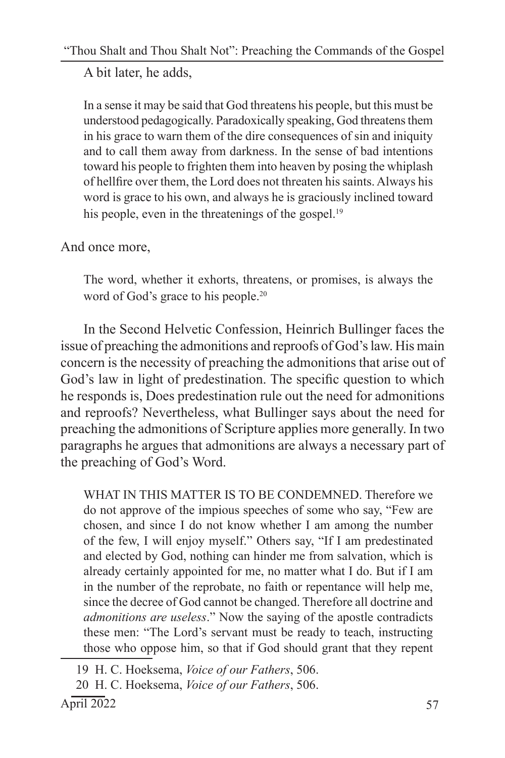A bit later, he adds,

In a sense it may be said that God threatens his people, but this must be understood pedagogically. Paradoxically speaking, God threatens them in his grace to warn them of the dire consequences of sin and iniquity and to call them away from darkness. In the sense of bad intentions toward his people to frighten them into heaven by posing the whiplash of hellfire over them, the Lord does not threaten his saints. Always his word is grace to his own, and always he is graciously inclined toward his people, even in the threatenings of the gospel.<sup>19</sup>

And once more,

The word, whether it exhorts, threatens, or promises, is always the word of God's grace to his people.<sup>20</sup>

In the Second Helvetic Confession, Heinrich Bullinger faces the issue of preaching the admonitions and reproofs of God's law. His main concern is the necessity of preaching the admonitions that arise out of God's law in light of predestination. The specific question to which he responds is, Does predestination rule out the need for admonitions and reproofs? Nevertheless, what Bullinger says about the need for preaching the admonitions of Scripture applies more generally. In two paragraphs he argues that admonitions are always a necessary part of the preaching of God's Word.

WHAT IN THIS MATTER IS TO BE CONDEMNED. Therefore we do not approve of the impious speeches of some who say, "Few are chosen, and since I do not know whether I am among the number of the few, I will enjoy myself." Others say, "If I am predestinated and elected by God, nothing can hinder me from salvation, which is already certainly appointed for me, no matter what I do. But if I am in the number of the reprobate, no faith or repentance will help me, since the decree of God cannot be changed. Therefore all doctrine and *admonitions are useless*." Now the saying of the apostle contradicts these men: "The Lord's servant must be ready to teach, instructing those who oppose him, so that if God should grant that they repent

<sup>19</sup> H. C. Hoeksema, *Voice of our Fathers*, 506.

<sup>20</sup> H. C. Hoeksema, *Voice of our Fathers*, 506.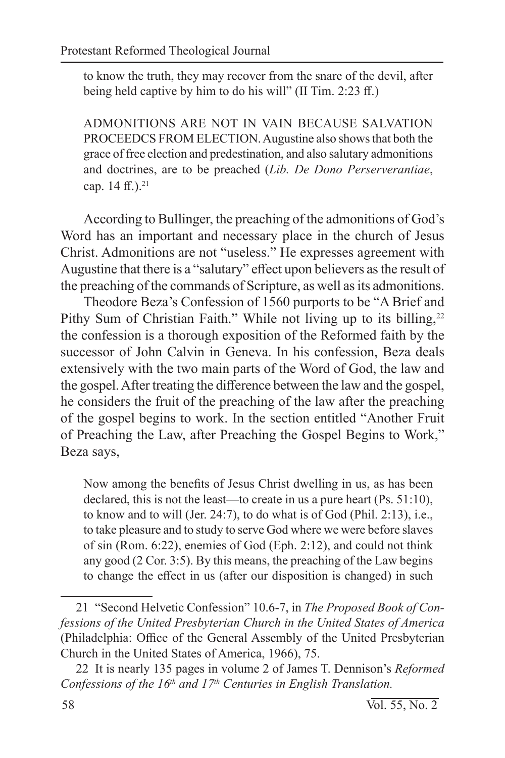to know the truth, they may recover from the snare of the devil, after being held captive by him to do his will" (II Tim. 2:23 ff.)

ADMONITIONS ARE NOT IN VAIN BECAUSE SALVATION PROCEEDCS FROM ELECTION. Augustine also shows that both the grace of free election and predestination, and also salutary admonitions and doctrines, are to be preached (*Lib. De Dono Perserverantiae*, cap.  $14$  ff. $).^{21}$ 

According to Bullinger, the preaching of the admonitions of God's Word has an important and necessary place in the church of Jesus Christ. Admonitions are not "useless." He expresses agreement with Augustine that there is a "salutary" effect upon believers as the result of the preaching of the commands of Scripture, as well as its admonitions.

Theodore Beza's Confession of 1560 purports to be "A Brief and Pithy Sum of Christian Faith." While not living up to its billing, $22$ the confession is a thorough exposition of the Reformed faith by the successor of John Calvin in Geneva. In his confession, Beza deals extensively with the two main parts of the Word of God, the law and the gospel. After treating the difference between the law and the gospel, he considers the fruit of the preaching of the law after the preaching of the gospel begins to work. In the section entitled "Another Fruit of Preaching the Law, after Preaching the Gospel Begins to Work," Beza says,

Now among the benefits of Jesus Christ dwelling in us, as has been declared, this is not the least—to create in us a pure heart (Ps. 51:10), to know and to will (Jer. 24:7), to do what is of God (Phil. 2:13), i.e., to take pleasure and to study to serve God where we were before slaves of sin (Rom. 6:22), enemies of God (Eph. 2:12), and could not think any good (2 Cor. 3:5). By this means, the preaching of the Law begins to change the effect in us (after our disposition is changed) in such

<sup>21</sup> "Second Helvetic Confession" 10.6-7, in *The Proposed Book of Confessions of the United Presbyterian Church in the United States of America* (Philadelphia: Office of the General Assembly of the United Presbyterian Church in the United States of America, 1966), 75.

<sup>22</sup> It is nearly 135 pages in volume 2 of James T. Dennison's *Reformed Confessions of the 16th and 17th Centuries in English Translation.*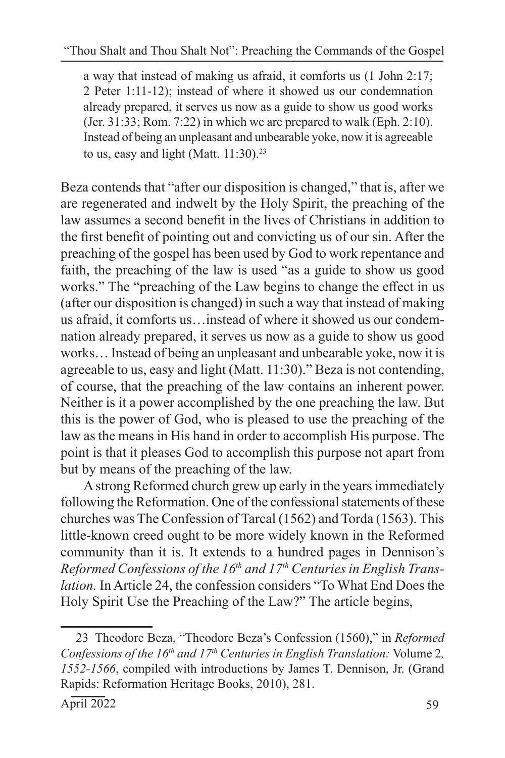a way that instead of making us afraid, it comforts us (1 John 2:17; 2 Peter 1:11-12); instead of where it showed us our condemnation already prepared, it serves us now as a guide to show us good works (Jer. 31:33; Rom. 7:22) in which we are prepared to walk (Eph. 2:10). Instead of being an unpleasant and unbearable yoke, now it is agreeable to us, easy and light (Matt.  $11:30$ ).<sup>23</sup>

Beza contends that "after our disposition is changed," that is, after we are regenerated and indwelt by the Holy Spirit, the preaching of the law assumes a second benefit in the lives of Christians in addition to the first benefit of pointing out and convicting us of our sin. After the preaching of the gospel has been used by God to work repentance and faith, the preaching of the law is used "as a guide to show us good works." The "preaching of the Law begins to change the effect in us (after our disposition is changed) in such a way that instead of making us afraid, it comforts us…instead of where it showed us our condemnation already prepared, it serves us now as a guide to show us good works… Instead of being an unpleasant and unbearable yoke, now it is agreeable to us, easy and light (Matt. 11:30)." Beza is not contending, of course, that the preaching of the law contains an inherent power. Neither is it a power accomplished by the one preaching the law. But this is the power of God, who is pleased to use the preaching of the law as the means in His hand in order to accomplish His purpose. The point is that it pleases God to accomplish this purpose not apart from but by means of the preaching of the law.

A strong Reformed church grew up early in the years immediately following the Reformation. One of the confessional statements of these churches was The Confession of Tarcal (1562) and Torda (1563). This little-known creed ought to be more widely known in the Reformed community than it is. It extends to a hundred pages in Dennison's *Reformed Confessions of the 16th and 17th Centuries in English Translation.* In Article 24, the confession considers "To What End Does the Holy Spirit Use the Preaching of the Law?" The article begins,

<sup>23</sup> Theodore Beza, "Theodore Beza's Confession (1560)," in *Reformed Confessions of the 16<sup>th</sup> and 17<sup>th</sup> Centuries in English Translation: Volume 2, 1552-1566*, compiled with introductions by James T. Dennison, Jr. (Grand Rapids: Reformation Heritage Books, 2010), 281.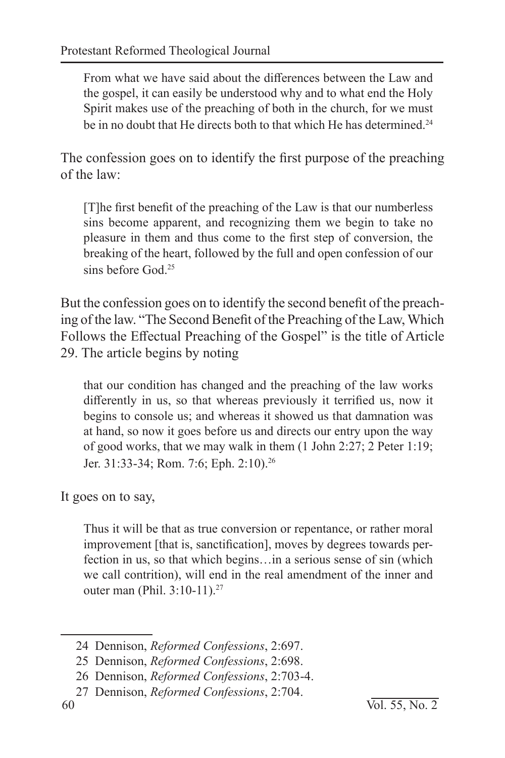From what we have said about the differences between the Law and the gospel, it can easily be understood why and to what end the Holy Spirit makes use of the preaching of both in the church, for we must be in no doubt that He directs both to that which He has determined.<sup>24</sup>

The confession goes on to identify the first purpose of the preaching of the law:

[T]he first benefit of the preaching of the Law is that our numberless sins become apparent, and recognizing them we begin to take no pleasure in them and thus come to the first step of conversion, the breaking of the heart, followed by the full and open confession of our sins before God<sup>25</sup>

But the confession goes on to identify the second benefit of the preaching of the law. "The Second Benefit of the Preaching of the Law, Which Follows the Effectual Preaching of the Gospel" is the title of Article 29. The article begins by noting

that our condition has changed and the preaching of the law works differently in us, so that whereas previously it terrified us, now it begins to console us; and whereas it showed us that damnation was at hand, so now it goes before us and directs our entry upon the way of good works, that we may walk in them (1 John 2:27; 2 Peter 1:19; Jer. 31:33-34; Rom. 7:6; Eph. 2:10).26

It goes on to say,

Thus it will be that as true conversion or repentance, or rather moral improvement [that is, sanctification], moves by degrees towards perfection in us, so that which begins…in a serious sense of sin (which we call contrition), will end in the real amendment of the inner and outer man (Phil. 3:10-11).<sup>27</sup>

<sup>24</sup> Dennison, *Reformed Confessions*, 2:697.

<sup>25</sup> Dennison, *Reformed Confessions*, 2:698.

<sup>26</sup> Dennison, *Reformed Confessions*, 2:703-4.

<sup>27</sup> Dennison, *Reformed Confessions*, 2:704.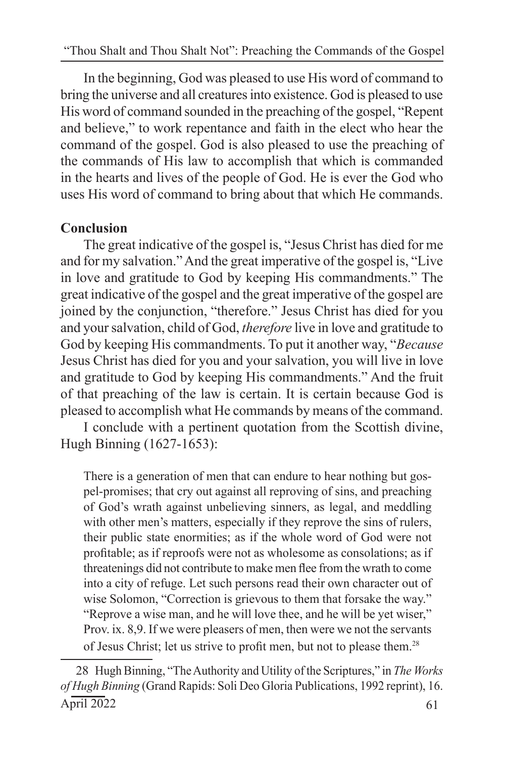In the beginning, God was pleased to use His word of command to bring the universe and all creatures into existence. God is pleased to use His word of command sounded in the preaching of the gospel, "Repent and believe," to work repentance and faith in the elect who hear the command of the gospel. God is also pleased to use the preaching of the commands of His law to accomplish that which is commanded in the hearts and lives of the people of God. He is ever the God who uses His word of command to bring about that which He commands.

## **Conclusion**

The great indicative of the gospel is, "Jesus Christ has died for me and for my salvation." And the great imperative of the gospel is, "Live in love and gratitude to God by keeping His commandments." The great indicative of the gospel and the great imperative of the gospel are joined by the conjunction, "therefore." Jesus Christ has died for you and your salvation, child of God, *therefore* live in love and gratitude to God by keeping His commandments. To put it another way, "*Because* Jesus Christ has died for you and your salvation, you will live in love and gratitude to God by keeping His commandments." And the fruit of that preaching of the law is certain. It is certain because God is pleased to accomplish what He commands by means of the command.

I conclude with a pertinent quotation from the Scottish divine, Hugh Binning (1627-1653):

There is a generation of men that can endure to hear nothing but gospel-promises; that cry out against all reproving of sins, and preaching of God's wrath against unbelieving sinners, as legal, and meddling with other men's matters, especially if they reprove the sins of rulers, their public state enormities; as if the whole word of God were not profitable; as if reproofs were not as wholesome as consolations; as if threatenings did not contribute to make men flee from the wrath to come into a city of refuge. Let such persons read their own character out of wise Solomon, "Correction is grievous to them that forsake the way." "Reprove a wise man, and he will love thee, and he will be yet wiser," Prov. ix. 8,9. If we were pleasers of men, then were we not the servants of Jesus Christ; let us strive to profit men, but not to please them.<sup>28</sup>

 $\text{April } 2022$  61 28 Hugh Binning, "The Authority and Utility of the Scriptures," in *The Works of Hugh Binning* (Grand Rapids: Soli Deo Gloria Publications, 1992 reprint), 16.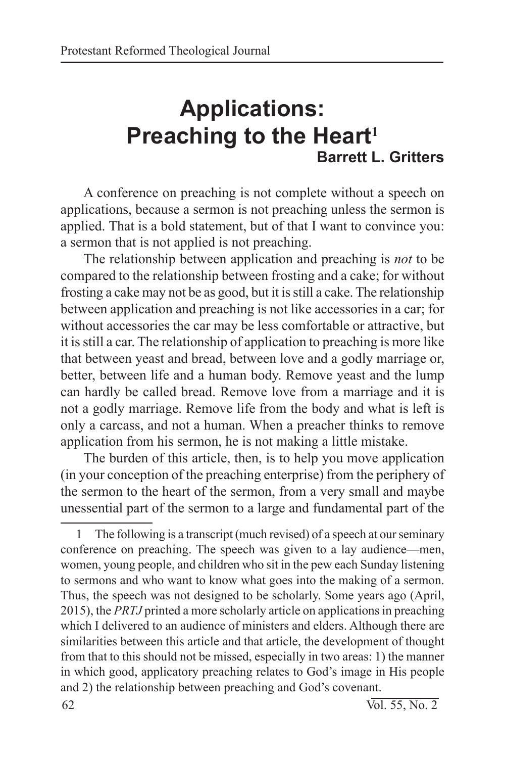# **Applications: Preaching to the Heart<sup>1</sup> Barrett L. Gritters**

A conference on preaching is not complete without a speech on applications, because a sermon is not preaching unless the sermon is applied. That is a bold statement, but of that I want to convince you: a sermon that is not applied is not preaching.

The relationship between application and preaching is *not* to be compared to the relationship between frosting and a cake; for without frosting a cake may not be as good, but it is still a cake. The relationship between application and preaching is not like accessories in a car; for without accessories the car may be less comfortable or attractive, but it is still a car. The relationship of application to preaching is more like that between yeast and bread, between love and a godly marriage or, better, between life and a human body. Remove yeast and the lump can hardly be called bread. Remove love from a marriage and it is not a godly marriage. Remove life from the body and what is left is only a carcass, and not a human. When a preacher thinks to remove application from his sermon, he is not making a little mistake.

The burden of this article, then, is to help you move application (in your conception of the preaching enterprise) from the periphery of the sermon to the heart of the sermon, from a very small and maybe unessential part of the sermon to a large and fundamental part of the

<sup>1</sup> The following is a transcript (much revised) of a speech at our seminary conference on preaching. The speech was given to a lay audience—men, women, young people, and children who sit in the pew each Sunday listening to sermons and who want to know what goes into the making of a sermon. Thus, the speech was not designed to be scholarly. Some years ago (April, 2015), the *PRTJ* printed a more scholarly article on applications in preaching which I delivered to an audience of ministers and elders. Although there are similarities between this article and that article, the development of thought from that to this should not be missed, especially in two areas: 1) the manner in which good, applicatory preaching relates to God's image in His people and 2) the relationship between preaching and God's covenant.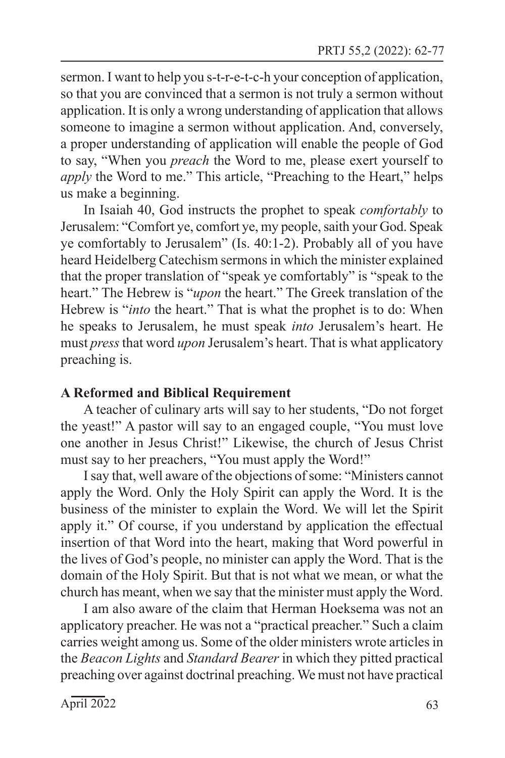sermon. I want to help you s-t-r-e-t-c-h your conception of application, so that you are convinced that a sermon is not truly a sermon without application. It is only a wrong understanding of application that allows someone to imagine a sermon without application. And, conversely, a proper understanding of application will enable the people of God to say, "When you *preach* the Word to me, please exert yourself to *apply* the Word to me." This article, "Preaching to the Heart," helps us make a beginning.

In Isaiah 40, God instructs the prophet to speak *comfortably* to Jerusalem: "Comfort ye, comfort ye, my people, saith your God. Speak ye comfortably to Jerusalem" (Is. 40:1-2). Probably all of you have heard Heidelberg Catechism sermons in which the minister explained that the proper translation of "speak ye comfortably" is "speak to the heart." The Hebrew is "*upon* the heart." The Greek translation of the Hebrew is "*into* the heart." That is what the prophet is to do: When he speaks to Jerusalem, he must speak *into* Jerusalem's heart. He must *press* that word *upon* Jerusalem's heart. That is what applicatory preaching is.

### **A Reformed and Biblical Requirement**

A teacher of culinary arts will say to her students, "Do not forget the yeast!" A pastor will say to an engaged couple, "You must love one another in Jesus Christ!" Likewise, the church of Jesus Christ must say to her preachers, "You must apply the Word!"

I say that, well aware of the objections of some: "Ministers cannot apply the Word. Only the Holy Spirit can apply the Word. It is the business of the minister to explain the Word. We will let the Spirit apply it." Of course, if you understand by application the effectual insertion of that Word into the heart, making that Word powerful in the lives of God's people, no minister can apply the Word. That is the domain of the Holy Spirit. But that is not what we mean, or what the church has meant, when we say that the minister must apply the Word.

I am also aware of the claim that Herman Hoeksema was not an applicatory preacher. He was not a "practical preacher." Such a claim carries weight among us. Some of the older ministers wrote articles in the *Beacon Lights* and *Standard Bearer* in which they pitted practical preaching over against doctrinal preaching. We must not have practical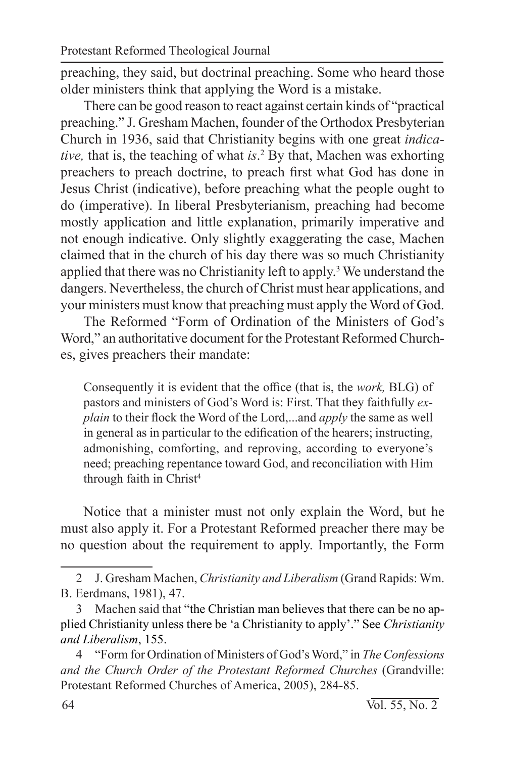preaching, they said, but doctrinal preaching. Some who heard those older ministers think that applying the Word is a mistake.

There can be good reason to react against certain kinds of "practical preaching." J. Gresham Machen, founder of the Orthodox Presbyterian Church in 1936, said that Christianity begins with one great *indicative,* that is, the teaching of what *is*. 2 By that, Machen was exhorting preachers to preach doctrine, to preach first what God has done in Jesus Christ (indicative), before preaching what the people ought to do (imperative). In liberal Presbyterianism, preaching had become mostly application and little explanation, primarily imperative and not enough indicative. Only slightly exaggerating the case, Machen claimed that in the church of his day there was so much Christianity applied that there was no Christianity left to apply.<sup>3</sup> We understand the dangers. Nevertheless, the church of Christ must hear applications, and your ministers must know that preaching must apply the Word of God.

The Reformed "Form of Ordination of the Ministers of God's Word," an authoritative document for the Protestant Reformed Churches, gives preachers their mandate:

Consequently it is evident that the office (that is, the *work,* BLG) of pastors and ministers of God's Word is: First. That they faithfully *explain* to their flock the Word of the Lord,...and *apply* the same as well in general as in particular to the edification of the hearers; instructing, admonishing, comforting, and reproving, according to everyone's need; preaching repentance toward God, and reconciliation with Him through faith in Christ<sup>4</sup>

Notice that a minister must not only explain the Word, but he must also apply it. For a Protestant Reformed preacher there may be no question about the requirement to apply. Importantly, the Form

<sup>2</sup> J. Gresham Machen, *Christianity and Liberalism* (Grand Rapids: Wm. B. Eerdmans, 1981), 47.

<sup>3</sup> Machen said that "the Christian man believes that there can be no applied Christianity unless there be 'a Christianity to apply'." See *Christianity and Liberalism*, 155.

<sup>4</sup> "Form for Ordination of Ministers of God's Word," in *The Confessions and the Church Order of the Protestant Reformed Churches* (Grandville: Protestant Reformed Churches of America, 2005), 284-85.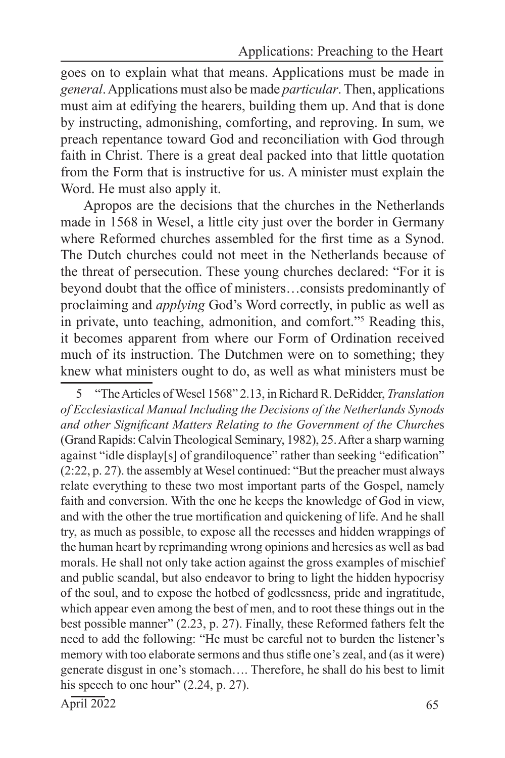goes on to explain what that means. Applications must be made in *general*. Applications must also be made *particular*. Then, applications must aim at edifying the hearers, building them up. And that is done by instructing, admonishing, comforting, and reproving. In sum, we preach repentance toward God and reconciliation with God through faith in Christ. There is a great deal packed into that little quotation from the Form that is instructive for us. A minister must explain the Word. He must also apply it.

Apropos are the decisions that the churches in the Netherlands made in 1568 in Wesel, a little city just over the border in Germany where Reformed churches assembled for the first time as a Synod. The Dutch churches could not meet in the Netherlands because of the threat of persecution. These young churches declared: "For it is beyond doubt that the office of ministers…consists predominantly of proclaiming and *applying* God's Word correctly, in public as well as in private, unto teaching, admonition, and comfort."5 Reading this, it becomes apparent from where our Form of Ordination received much of its instruction. The Dutchmen were on to something; they knew what ministers ought to do, as well as what ministers must be

5 "The Articles of Wesel 1568" 2.13, in Richard R. DeRidder, *Translation of Ecclesiastical Manual Including the Decisions of the Netherlands Synods and other Significant Matters Relating to the Government of the Churche*s (Grand Rapids: Calvin Theological Seminary, 1982), 25. After a sharp warning against "idle display[s] of grandiloquence" rather than seeking "edification" (2:22, p. 27). the assembly at Wesel continued: "But the preacher must always relate everything to these two most important parts of the Gospel, namely faith and conversion. With the one he keeps the knowledge of God in view, and with the other the true mortification and quickening of life. And he shall try, as much as possible, to expose all the recesses and hidden wrappings of the human heart by reprimanding wrong opinions and heresies as well as bad morals. He shall not only take action against the gross examples of mischief and public scandal, but also endeavor to bring to light the hidden hypocrisy of the soul, and to expose the hotbed of godlessness, pride and ingratitude, which appear even among the best of men, and to root these things out in the best possible manner" (2.23, p. 27). Finally, these Reformed fathers felt the need to add the following: "He must be careful not to burden the listener's memory with too elaborate sermons and thus stifle one's zeal, and (as it were) generate disgust in one's stomach…. Therefore, he shall do his best to limit his speech to one hour" (2.24, p. 27).

 $\text{April } 2022$  65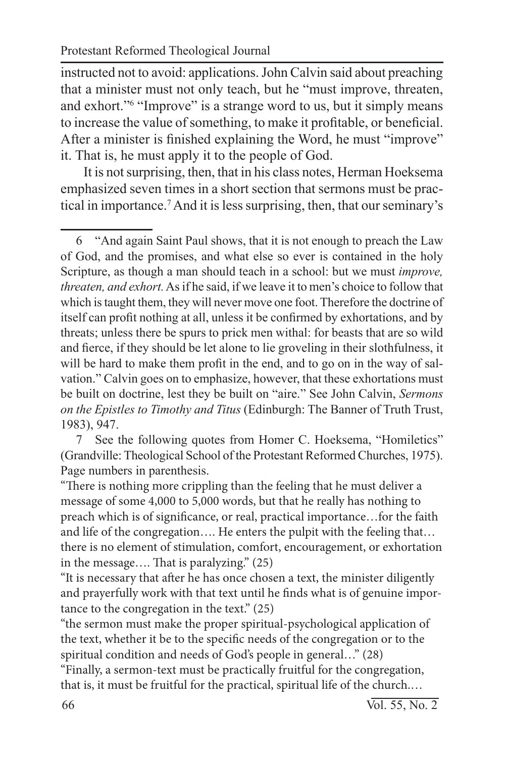instructed not to avoid: applications. John Calvin said about preaching that a minister must not only teach, but he "must improve, threaten, and exhort."<sup>6</sup> "Improve" is a strange word to us, but it simply means to increase the value of something, to make it profitable, or beneficial. After a minister is finished explaining the Word, he must "improve" it. That is, he must apply it to the people of God.

It is not surprising, then, that in his class notes, Herman Hoeksema emphasized seven times in a short section that sermons must be practical in importance.<sup>7</sup> And it is less surprising, then, that our seminary's

6 "And again Saint Paul shows, that it is not enough to preach the Law of God, and the promises, and what else so ever is contained in the holy Scripture, as though a man should teach in a school: but we must *improve, threaten, and exhort.* As if he said, if we leave it to men's choice to follow that which is taught them, they will never move one foot. Therefore the doctrine of itself can profit nothing at all, unless it be confirmed by exhortations, and by threats; unless there be spurs to prick men withal: for beasts that are so wild and fierce, if they should be let alone to lie groveling in their slothfulness, it will be hard to make them profit in the end, and to go on in the way of salvation." Calvin goes on to emphasize, however, that these exhortations must be built on doctrine, lest they be built on "aire." See John Calvin, *Sermons on the Epistles to Timothy and Titus* (Edinburgh: The Banner of Truth Trust, 1983), 947.

7 See the following quotes from Homer C. Hoeksema, "Homiletics" (Grandville: Theological School of the Protestant Reformed Churches, 1975). Page numbers in parenthesis.

"There is nothing more crippling than the feeling that he must deliver a message of some 4,000 to 5,000 words, but that he really has nothing to preach which is of significance, or real, practical importance…for the faith and life of the congregation…. He enters the pulpit with the feeling that… there is no element of stimulation, comfort, encouragement, or exhortation in the message…. That is paralyzing." (25)

"It is necessary that after he has once chosen a text, the minister diligently and prayerfully work with that text until he finds what is of genuine importance to the congregation in the text." (25)

"the sermon must make the proper spiritual-psychological application of the text, whether it be to the specific needs of the congregation or to the spiritual condition and needs of God's people in general…" (28)

"Finally, a sermon-text must be practically fruitful for the congregation, that is, it must be fruitful for the practical, spiritual life of the church.…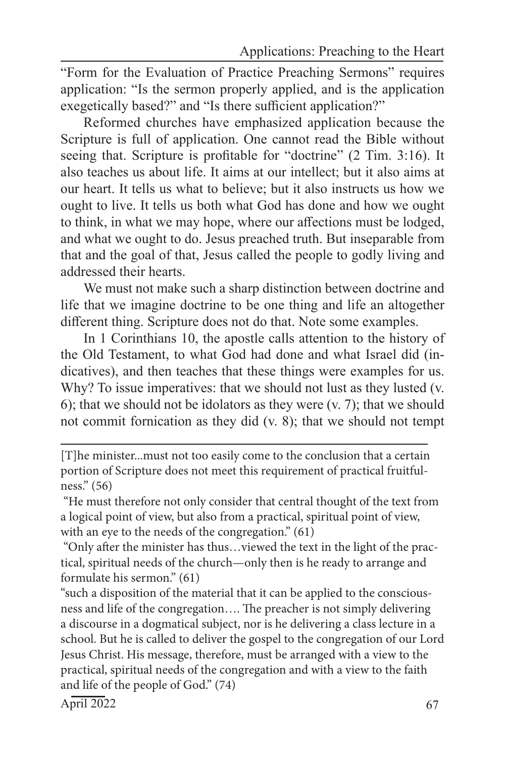"Form for the Evaluation of Practice Preaching Sermons" requires application: "Is the sermon properly applied, and is the application exegetically based?" and "Is there sufficient application?"

Reformed churches have emphasized application because the Scripture is full of application. One cannot read the Bible without seeing that. Scripture is profitable for "doctrine" (2 Tim. 3:16). It also teaches us about life. It aims at our intellect; but it also aims at our heart. It tells us what to believe; but it also instructs us how we ought to live. It tells us both what God has done and how we ought to think, in what we may hope, where our affections must be lodged, and what we ought to do. Jesus preached truth. But inseparable from that and the goal of that, Jesus called the people to godly living and addressed their hearts.

We must not make such a sharp distinction between doctrine and life that we imagine doctrine to be one thing and life an altogether different thing. Scripture does not do that. Note some examples.

In 1 Corinthians 10, the apostle calls attention to the history of the Old Testament, to what God had done and what Israel did (indicatives), and then teaches that these things were examples for us. Why? To issue imperatives: that we should not lust as they lusted (v. 6); that we should not be idolators as they were  $(v. 7)$ ; that we should not commit fornication as they did (v. 8); that we should not tempt

"such a disposition of the material that it can be applied to the consciousness and life of the congregation…. The preacher is not simply delivering a discourse in a dogmatical subject, nor is he delivering a class lecture in a school. But he is called to deliver the gospel to the congregation of our Lord Jesus Christ. His message, therefore, must be arranged with a view to the practical, spiritual needs of the congregation and with a view to the faith and life of the people of God." (74)

 $\text{April } 2022$  67

<sup>[</sup>T]he minister...must not too easily come to the conclusion that a certain portion of Scripture does not meet this requirement of practical fruitfulness." (56)

 <sup>&</sup>quot;He must therefore not only consider that central thought of the text from a logical point of view, but also from a practical, spiritual point of view, with an eye to the needs of the congregation." (61)

 <sup>&</sup>quot;Only after the minister has thus…viewed the text in the light of the practical, spiritual needs of the church—only then is he ready to arrange and formulate his sermon." (61)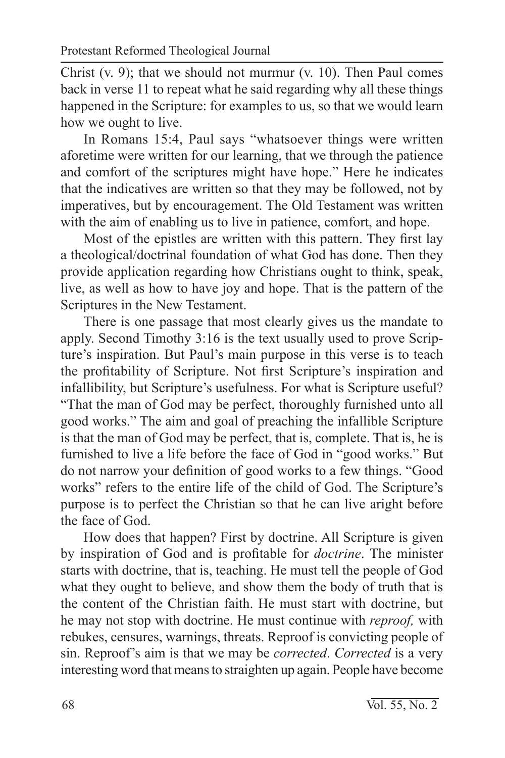Christ (v. 9); that we should not murmur (v. 10). Then Paul comes back in verse 11 to repeat what he said regarding why all these things happened in the Scripture: for examples to us, so that we would learn how we ought to live.

In Romans 15:4, Paul says "whatsoever things were written aforetime were written for our learning, that we through the patience and comfort of the scriptures might have hope." Here he indicates that the indicatives are written so that they may be followed, not by imperatives, but by encouragement. The Old Testament was written with the aim of enabling us to live in patience, comfort, and hope.

Most of the epistles are written with this pattern. They first lay a theological/doctrinal foundation of what God has done. Then they provide application regarding how Christians ought to think, speak, live, as well as how to have joy and hope. That is the pattern of the Scriptures in the New Testament.

There is one passage that most clearly gives us the mandate to apply. Second Timothy 3:16 is the text usually used to prove Scripture's inspiration. But Paul's main purpose in this verse is to teach the profitability of Scripture. Not first Scripture's inspiration and infallibility, but Scripture's usefulness. For what is Scripture useful? "That the man of God may be perfect, thoroughly furnished unto all good works." The aim and goal of preaching the infallible Scripture is that the man of God may be perfect, that is, complete. That is, he is furnished to live a life before the face of God in "good works." But do not narrow your definition of good works to a few things. "Good works" refers to the entire life of the child of God. The Scripture's purpose is to perfect the Christian so that he can live aright before the face of God.

How does that happen? First by doctrine. All Scripture is given by inspiration of God and is profitable for *doctrine*. The minister starts with doctrine, that is, teaching. He must tell the people of God what they ought to believe, and show them the body of truth that is the content of the Christian faith. He must start with doctrine, but he may not stop with doctrine. He must continue with *reproof,* with rebukes, censures, warnings, threats. Reproof is convicting people of sin. Reproof's aim is that we may be *corrected*. *Corrected* is a very interesting word that means to straighten up again. People have become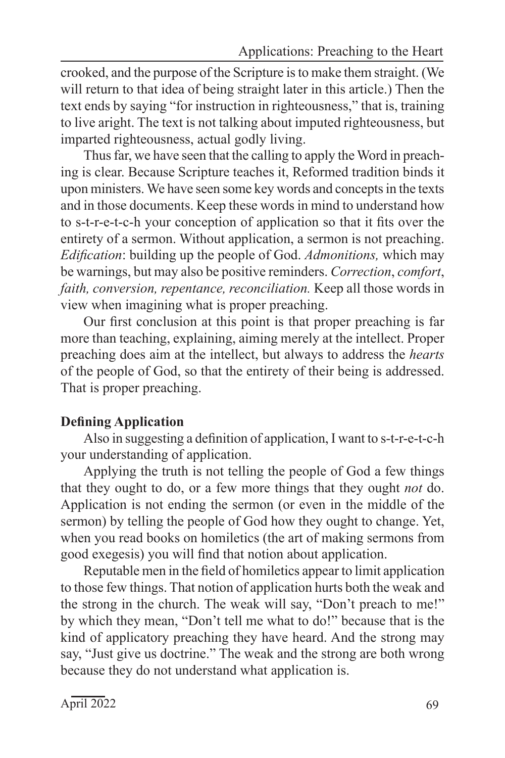crooked, and the purpose of the Scripture is to make them straight. (We will return to that idea of being straight later in this article.) Then the text ends by saying "for instruction in righteousness," that is, training to live aright. The text is not talking about imputed righteousness, but imparted righteousness, actual godly living.

Thus far, we have seen that the calling to apply the Word in preaching is clear. Because Scripture teaches it, Reformed tradition binds it upon ministers. We have seen some key words and concepts in the texts and in those documents. Keep these words in mind to understand how to s-t-r-e-t-c-h your conception of application so that it fits over the entirety of a sermon. Without application, a sermon is not preaching. *Edification*: building up the people of God. *Admonitions,* which may be warnings, but may also be positive reminders. *Correction*, *comfort*, *faith, conversion, repentance, reconciliation.* Keep all those words in view when imagining what is proper preaching.

Our first conclusion at this point is that proper preaching is far more than teaching, explaining, aiming merely at the intellect. Proper preaching does aim at the intellect, but always to address the *hearts* of the people of God, so that the entirety of their being is addressed. That is proper preaching.

## **Defining Application**

Also in suggesting a definition of application, I want to s-t-r-e-t-c-h your understanding of application.

Applying the truth is not telling the people of God a few things that they ought to do, or a few more things that they ought *not* do. Application is not ending the sermon (or even in the middle of the sermon) by telling the people of God how they ought to change. Yet, when you read books on homiletics (the art of making sermons from good exegesis) you will find that notion about application.

Reputable men in the field of homiletics appear to limit application to those few things. That notion of application hurts both the weak and the strong in the church. The weak will say, "Don't preach to me!" by which they mean, "Don't tell me what to do!" because that is the kind of applicatory preaching they have heard. And the strong may say, "Just give us doctrine." The weak and the strong are both wrong because they do not understand what application is.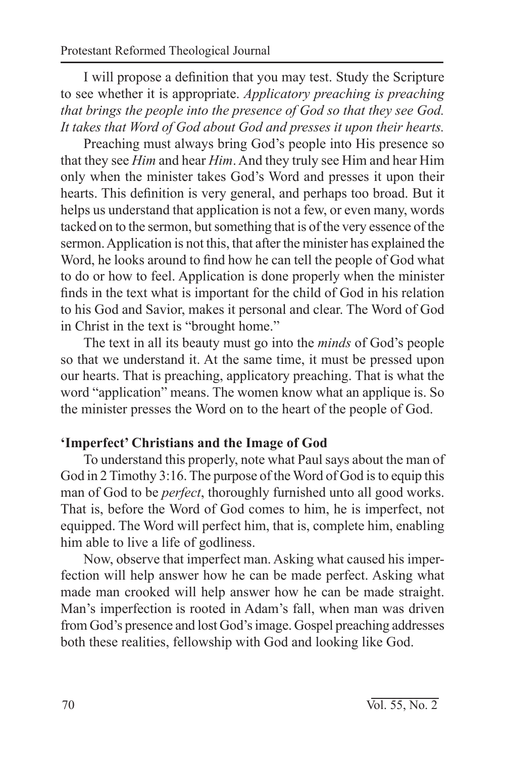I will propose a definition that you may test. Study the Scripture to see whether it is appropriate. *Applicatory preaching is preaching that brings the people into the presence of God so that they see God. It takes that Word of God about God and presses it upon their hearts.*

Preaching must always bring God's people into His presence so that they see *Him* and hear *Him*. And they truly see Him and hear Him only when the minister takes God's Word and presses it upon their hearts. This definition is very general, and perhaps too broad. But it helps us understand that application is not a few, or even many, words tacked on to the sermon, but something that is of the very essence of the sermon. Application is not this, that after the minister has explained the Word, he looks around to find how he can tell the people of God what to do or how to feel. Application is done properly when the minister finds in the text what is important for the child of God in his relation to his God and Savior, makes it personal and clear. The Word of God in Christ in the text is "brought home."

The text in all its beauty must go into the *minds* of God's people so that we understand it. At the same time, it must be pressed upon our hearts. That is preaching, applicatory preaching. That is what the word "application" means. The women know what an applique is. So the minister presses the Word on to the heart of the people of God.

## **'Imperfect' Christians and the Image of God**

To understand this properly, note what Paul says about the man of God in 2 Timothy 3:16. The purpose of the Word of God is to equip this man of God to be *perfect*, thoroughly furnished unto all good works. That is, before the Word of God comes to him, he is imperfect, not equipped. The Word will perfect him, that is, complete him, enabling him able to live a life of godliness.

Now, observe that imperfect man. Asking what caused his imperfection will help answer how he can be made perfect. Asking what made man crooked will help answer how he can be made straight. Man's imperfection is rooted in Adam's fall, when man was driven from God's presence and lost God's image. Gospel preaching addresses both these realities, fellowship with God and looking like God.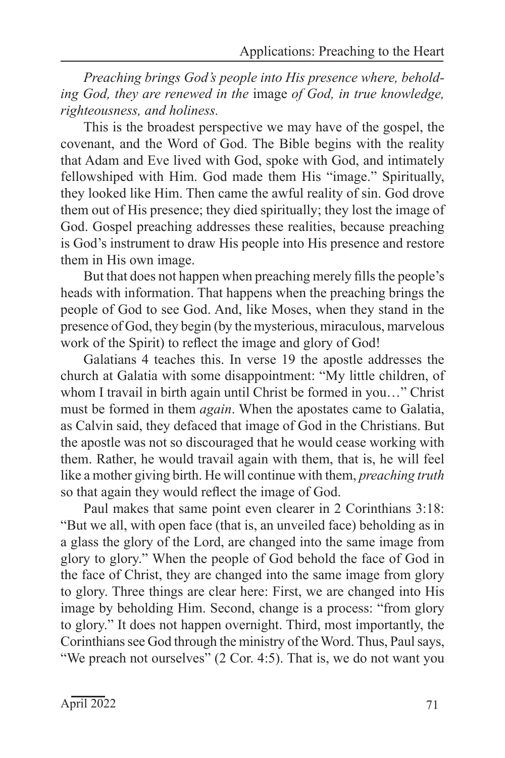*Preaching brings God's people into His presence where, beholding God, they are renewed in the* image *of God, in true knowledge, righteousness, and holiness.*

This is the broadest perspective we may have of the gospel, the covenant, and the Word of God. The Bible begins with the reality that Adam and Eve lived with God, spoke with God, and intimately fellowshiped with Him. God made them His "image." Spiritually, they looked like Him. Then came the awful reality of sin. God drove them out of His presence; they died spiritually; they lost the image of God. Gospel preaching addresses these realities, because preaching is God's instrument to draw His people into His presence and restore them in His own image.

But that does not happen when preaching merely fills the people's heads with information. That happens when the preaching brings the people of God to see God. And, like Moses, when they stand in the presence of God, they begin (by the mysterious, miraculous, marvelous work of the Spirit) to reflect the image and glory of God!

Galatians 4 teaches this. In verse 19 the apostle addresses the church at Galatia with some disappointment: "My little children, of whom I travail in birth again until Christ be formed in you…" Christ must be formed in them *again*. When the apostates came to Galatia, as Calvin said, they defaced that image of God in the Christians. But the apostle was not so discouraged that he would cease working with them. Rather, he would travail again with them, that is, he will feel like a mother giving birth. He will continue with them, *preaching truth* so that again they would reflect the image of God.

Paul makes that same point even clearer in 2 Corinthians 3:18: "But we all, with open face (that is, an unveiled face) beholding as in a glass the glory of the Lord, are changed into the same image from glory to glory." When the people of God behold the face of God in the face of Christ, they are changed into the same image from glory to glory. Three things are clear here: First, we are changed into His image by beholding Him. Second, change is a process: "from glory to glory." It does not happen overnight. Third, most importantly, the Corinthians see God through the ministry of the Word. Thus, Paul says, "We preach not ourselves" (2 Cor. 4:5). That is, we do not want you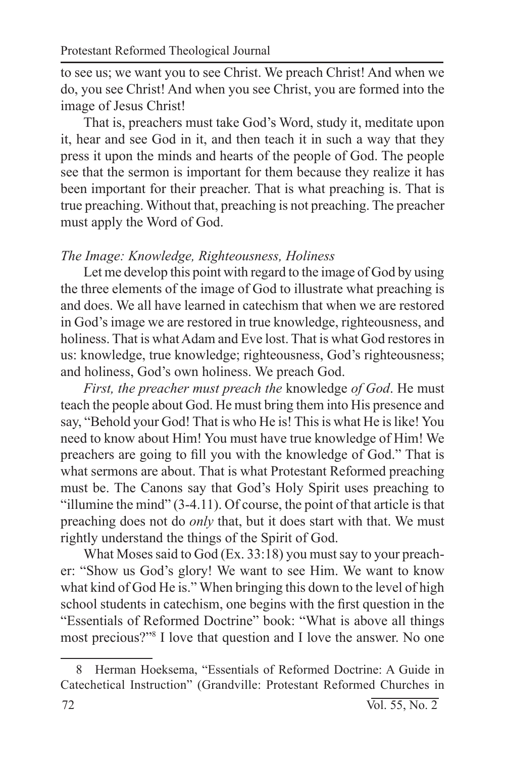to see us; we want you to see Christ. We preach Christ! And when we do, you see Christ! And when you see Christ, you are formed into the image of Jesus Christ!

That is, preachers must take God's Word, study it, meditate upon it, hear and see God in it, and then teach it in such a way that they press it upon the minds and hearts of the people of God. The people see that the sermon is important for them because they realize it has been important for their preacher. That is what preaching is. That is true preaching. Without that, preaching is not preaching. The preacher must apply the Word of God.

#### *The Image: Knowledge, Righteousness, Holiness*

Let me develop this point with regard to the image of God by using the three elements of the image of God to illustrate what preaching is and does. We all have learned in catechism that when we are restored in God's image we are restored in true knowledge, righteousness, and holiness. That is what Adam and Eve lost. That is what God restores in us: knowledge, true knowledge; righteousness, God's righteousness; and holiness, God's own holiness. We preach God.

*First, the preacher must preach the* knowledge *of God*. He must teach the people about God. He must bring them into His presence and say, "Behold your God! That is who He is! This is what He is like! You need to know about Him! You must have true knowledge of Him! We preachers are going to fill you with the knowledge of God." That is what sermons are about. That is what Protestant Reformed preaching must be. The Canons say that God's Holy Spirit uses preaching to "illumine the mind" (3-4.11). Of course, the point of that article is that preaching does not do *only* that, but it does start with that. We must rightly understand the things of the Spirit of God.

What Moses said to God (Ex. 33:18) you must say to your preacher: "Show us God's glory! We want to see Him. We want to know what kind of God He is." When bringing this down to the level of high school students in catechism, one begins with the first question in the "Essentials of Reformed Doctrine" book: "What is above all things most precious?"8 I love that question and I love the answer. No one

<sup>8</sup> Herman Hoeksema, "Essentials of Reformed Doctrine: A Guide in Catechetical Instruction" (Grandville: Protestant Reformed Churches in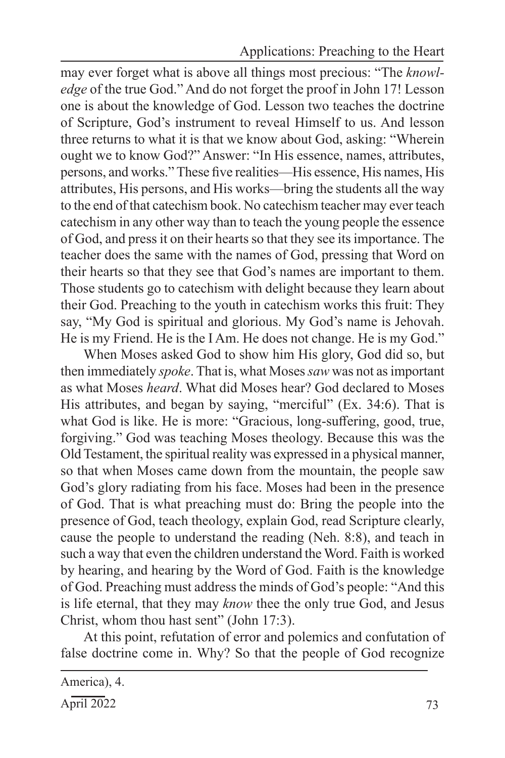Applications: Preaching to the Heart

may ever forget what is above all things most precious: "The *knowledge* of the true God." And do not forget the proof in John 17! Lesson one is about the knowledge of God. Lesson two teaches the doctrine of Scripture, God's instrument to reveal Himself to us. And lesson three returns to what it is that we know about God, asking: "Wherein ought we to know God?" Answer: "In His essence, names, attributes, persons, and works." These five realities—His essence, His names, His attributes, His persons, and His works—bring the students all the way to the end of that catechism book. No catechism teacher may ever teach catechism in any other way than to teach the young people the essence of God, and press it on their hearts so that they see its importance. The teacher does the same with the names of God, pressing that Word on their hearts so that they see that God's names are important to them. Those students go to catechism with delight because they learn about their God. Preaching to the youth in catechism works this fruit: They say, "My God is spiritual and glorious. My God's name is Jehovah. He is my Friend. He is the I Am. He does not change. He is my God."

When Moses asked God to show him His glory, God did so, but then immediately *spoke*. That is, what Moses *saw* was not as important as what Moses *heard*. What did Moses hear? God declared to Moses His attributes, and began by saying, "merciful" (Ex. 34:6). That is what God is like. He is more: "Gracious, long-suffering, good, true, forgiving." God was teaching Moses theology. Because this was the Old Testament, the spiritual reality was expressed in a physical manner, so that when Moses came down from the mountain, the people saw God's glory radiating from his face. Moses had been in the presence of God. That is what preaching must do: Bring the people into the presence of God, teach theology, explain God, read Scripture clearly, cause the people to understand the reading (Neh. 8:8), and teach in such a way that even the children understand the Word. Faith is worked by hearing, and hearing by the Word of God. Faith is the knowledge of God. Preaching must address the minds of God's people: "And this is life eternal, that they may *know* thee the only true God, and Jesus Christ, whom thou hast sent" (John 17:3).

At this point, refutation of error and polemics and confutation of false doctrine come in. Why? So that the people of God recognize

America), 4.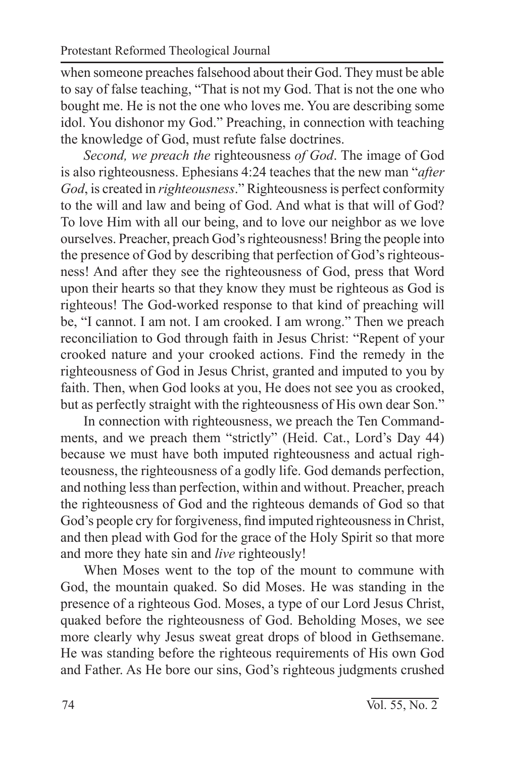when someone preaches falsehood about their God. They must be able to say of false teaching, "That is not my God. That is not the one who bought me. He is not the one who loves me. You are describing some idol. You dishonor my God." Preaching, in connection with teaching the knowledge of God, must refute false doctrines.

*Second, we preach the* righteousness *of God*. The image of God is also righteousness. Ephesians 4:24 teaches that the new man "*after God*, is created in *righteousness*." Righteousness is perfect conformity to the will and law and being of God. And what is that will of God? To love Him with all our being, and to love our neighbor as we love ourselves. Preacher, preach God's righteousness! Bring the people into the presence of God by describing that perfection of God's righteousness! And after they see the righteousness of God, press that Word upon their hearts so that they know they must be righteous as God is righteous! The God-worked response to that kind of preaching will be, "I cannot. I am not. I am crooked. I am wrong." Then we preach reconciliation to God through faith in Jesus Christ: "Repent of your crooked nature and your crooked actions. Find the remedy in the righteousness of God in Jesus Christ, granted and imputed to you by faith. Then, when God looks at you, He does not see you as crooked, but as perfectly straight with the righteousness of His own dear Son."

In connection with righteousness, we preach the Ten Commandments, and we preach them "strictly" (Heid. Cat., Lord's Day 44) because we must have both imputed righteousness and actual righteousness, the righteousness of a godly life. God demands perfection, and nothing less than perfection, within and without. Preacher, preach the righteousness of God and the righteous demands of God so that God's people cry for forgiveness, find imputed righteousness in Christ, and then plead with God for the grace of the Holy Spirit so that more and more they hate sin and *live* righteously!

When Moses went to the top of the mount to commune with God, the mountain quaked. So did Moses. He was standing in the presence of a righteous God. Moses, a type of our Lord Jesus Christ, quaked before the righteousness of God. Beholding Moses, we see more clearly why Jesus sweat great drops of blood in Gethsemane. He was standing before the righteous requirements of His own God and Father. As He bore our sins, God's righteous judgments crushed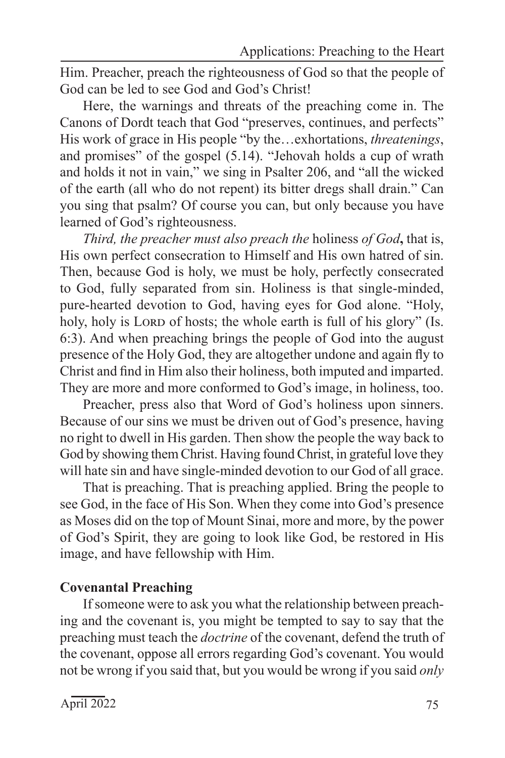Him. Preacher, preach the righteousness of God so that the people of God can be led to see God and God's Christ!

Here, the warnings and threats of the preaching come in. The Canons of Dordt teach that God "preserves, continues, and perfects" His work of grace in His people "by the…exhortations, *threatenings*, and promises" of the gospel (5.14). "Jehovah holds a cup of wrath and holds it not in vain," we sing in Psalter 206, and "all the wicked of the earth (all who do not repent) its bitter dregs shall drain." Can you sing that psalm? Of course you can, but only because you have learned of God's righteousness.

*Third, the preacher must also preach the* holiness *of God***,** that is, His own perfect consecration to Himself and His own hatred of sin. Then, because God is holy, we must be holy, perfectly consecrated to God, fully separated from sin. Holiness is that single-minded, pure-hearted devotion to God, having eyes for God alone. "Holy, holy, holy is Lord of hosts; the whole earth is full of his glory" (Is. 6:3). And when preaching brings the people of God into the august presence of the Holy God, they are altogether undone and again fly to Christ and find in Him also their holiness, both imputed and imparted. They are more and more conformed to God's image, in holiness, too.

Preacher, press also that Word of God's holiness upon sinners. Because of our sins we must be driven out of God's presence, having no right to dwell in His garden. Then show the people the way back to God by showing them Christ. Having found Christ, in grateful love they will hate sin and have single-minded devotion to our God of all grace.

That is preaching. That is preaching applied. Bring the people to see God, in the face of His Son. When they come into God's presence as Moses did on the top of Mount Sinai, more and more, by the power of God's Spirit, they are going to look like God, be restored in His image, and have fellowship with Him.

## **Covenantal Preaching**

If someone were to ask you what the relationship between preaching and the covenant is, you might be tempted to say to say that the preaching must teach the *doctrine* of the covenant, defend the truth of the covenant, oppose all errors regarding God's covenant. You would not be wrong if you said that, but you would be wrong if you said *only*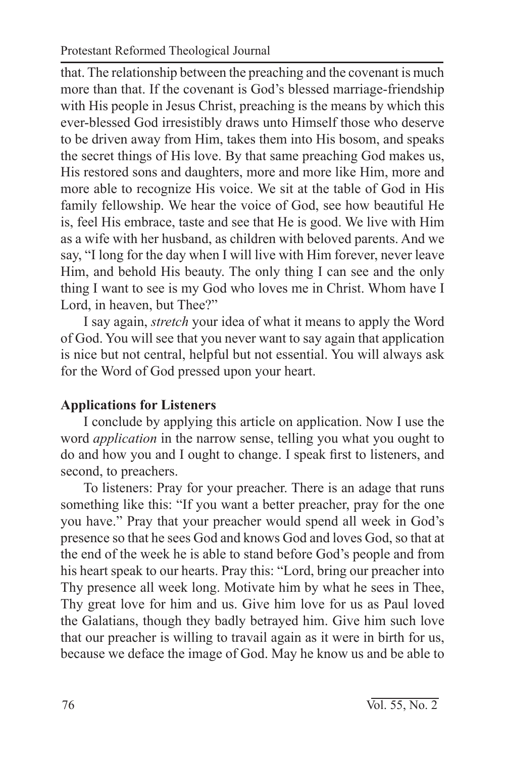that. The relationship between the preaching and the covenant is much more than that. If the covenant is God's blessed marriage-friendship with His people in Jesus Christ, preaching is the means by which this ever-blessed God irresistibly draws unto Himself those who deserve to be driven away from Him, takes them into His bosom, and speaks the secret things of His love. By that same preaching God makes us, His restored sons and daughters, more and more like Him, more and more able to recognize His voice. We sit at the table of God in His family fellowship. We hear the voice of God, see how beautiful He is, feel His embrace, taste and see that He is good. We live with Him as a wife with her husband, as children with beloved parents. And we say, "I long for the day when I will live with Him forever, never leave Him, and behold His beauty. The only thing I can see and the only thing I want to see is my God who loves me in Christ. Whom have I Lord, in heaven, but Thee?"

I say again, *stretch* your idea of what it means to apply the Word of God. You will see that you never want to say again that application is nice but not central, helpful but not essential. You will always ask for the Word of God pressed upon your heart.

# **Applications for Listeners**

I conclude by applying this article on application. Now I use the word *application* in the narrow sense, telling you what you ought to do and how you and I ought to change. I speak first to listeners, and second, to preachers.

To listeners: Pray for your preacher. There is an adage that runs something like this: "If you want a better preacher, pray for the one you have." Pray that your preacher would spend all week in God's presence so that he sees God and knows God and loves God, so that at the end of the week he is able to stand before God's people and from his heart speak to our hearts. Pray this: "Lord, bring our preacher into Thy presence all week long. Motivate him by what he sees in Thee, Thy great love for him and us. Give him love for us as Paul loved the Galatians, though they badly betrayed him. Give him such love that our preacher is willing to travail again as it were in birth for us, because we deface the image of God. May he know us and be able to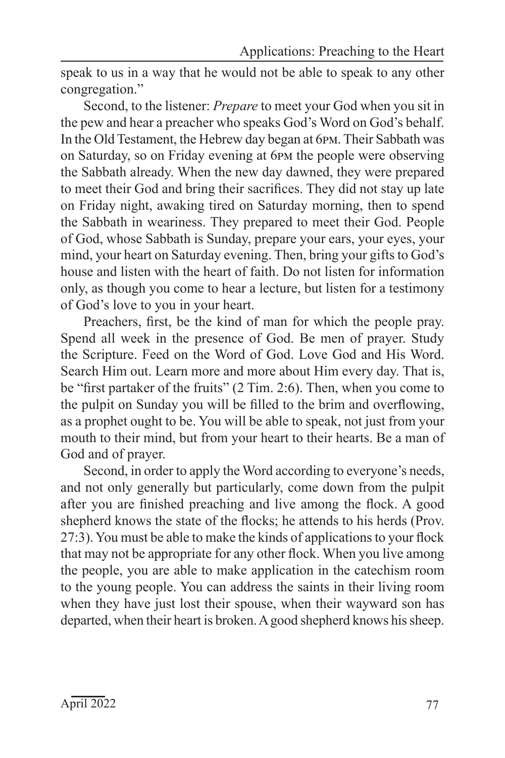speak to us in a way that he would not be able to speak to any other congregation."

Second, to the listener: *Prepare* to meet your God when you sit in the pew and hear a preacher who speaks God's Word on God's behalf. In the Old Testament, the Hebrew day began at 6pm. Their Sabbath was on Saturday, so on Friday evening at 6pm the people were observing the Sabbath already. When the new day dawned, they were prepared to meet their God and bring their sacrifices. They did not stay up late on Friday night, awaking tired on Saturday morning, then to spend the Sabbath in weariness. They prepared to meet their God. People of God, whose Sabbath is Sunday, prepare your ears, your eyes, your mind, your heart on Saturday evening. Then, bring your gifts to God's house and listen with the heart of faith. Do not listen for information only, as though you come to hear a lecture, but listen for a testimony of God's love to you in your heart.

Preachers, first, be the kind of man for which the people pray. Spend all week in the presence of God. Be men of prayer. Study the Scripture. Feed on the Word of God. Love God and His Word. Search Him out. Learn more and more about Him every day. That is, be "first partaker of the fruits" (2 Tim. 2:6). Then, when you come to the pulpit on Sunday you will be filled to the brim and overflowing, as a prophet ought to be. You will be able to speak, not just from your mouth to their mind, but from your heart to their hearts. Be a man of God and of prayer.

Second, in order to apply the Word according to everyone's needs, and not only generally but particularly, come down from the pulpit after you are finished preaching and live among the flock. A good shepherd knows the state of the flocks; he attends to his herds (Prov. 27:3). You must be able to make the kinds of applications to your flock that may not be appropriate for any other flock. When you live among the people, you are able to make application in the catechism room to the young people. You can address the saints in their living room when they have just lost their spouse, when their wayward son has departed, when their heart is broken. A good shepherd knows his sheep.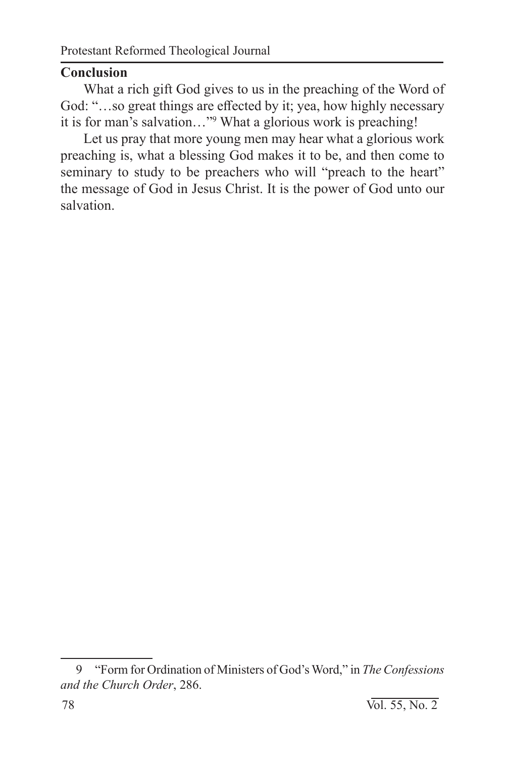## **Conclusion**

What a rich gift God gives to us in the preaching of the Word of God: "…so great things are effected by it; yea, how highly necessary it is for man's salvation…"9 What a glorious work is preaching!

Let us pray that more young men may hear what a glorious work preaching is, what a blessing God makes it to be, and then come to seminary to study to be preachers who will "preach to the heart" the message of God in Jesus Christ. It is the power of God unto our salvation.

<sup>9</sup> "Form for Ordination of Ministers of God's Word," in *The Confessions and the Church Order*, 286.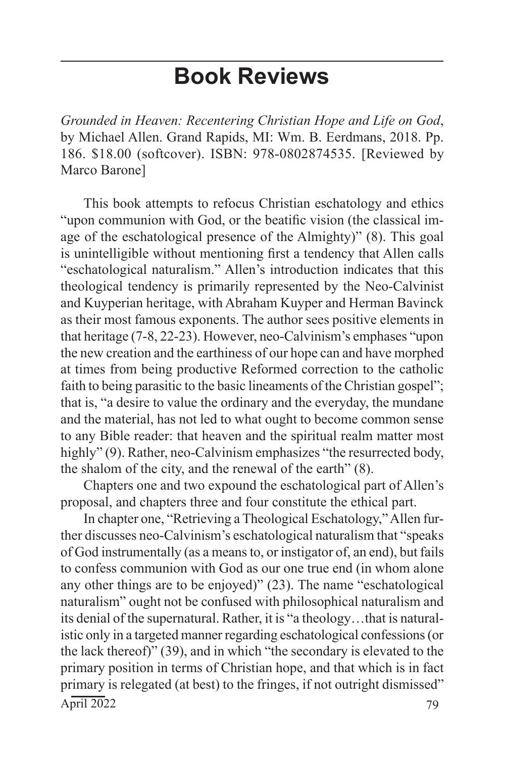# **Book Reviews**

*Grounded in Heaven: Recentering Christian Hope and Life on God*, by Michael Allen. Grand Rapids, MI: Wm. B. Eerdmans, 2018. Pp. 186. \$18.00 (softcover). ISBN: 978-0802874535. [Reviewed by Marco Barone]

This book attempts to refocus Christian eschatology and ethics "upon communion with God, or the beatific vision (the classical image of the eschatological presence of the Almighty)" (8). This goal is unintelligible without mentioning first a tendency that Allen calls "eschatological naturalism." Allen's introduction indicates that this theological tendency is primarily represented by the Neo-Calvinist and Kuyperian heritage, with Abraham Kuyper and Herman Bavinck as their most famous exponents. The author sees positive elements in that heritage (7-8, 22-23). However, neo-Calvinism's emphases "upon the new creation and the earthiness of our hope can and have morphed at times from being productive Reformed correction to the catholic faith to being parasitic to the basic lineaments of the Christian gospel"; that is, "a desire to value the ordinary and the everyday, the mundane and the material, has not led to what ought to become common sense to any Bible reader: that heaven and the spiritual realm matter most highly" (9). Rather, neo-Calvinism emphasizes "the resurrected body, the shalom of the city, and the renewal of the earth" (8).

Chapters one and two expound the eschatological part of Allen's proposal, and chapters three and four constitute the ethical part.

 $\text{April } 2022$  79 In chapter one, "Retrieving a Theological Eschatology," Allen further discusses neo-Calvinism's eschatological naturalism that "speaks of God instrumentally (as a means to, or instigator of, an end), but fails to confess communion with God as our one true end (in whom alone any other things are to be enjoyed)" (23). The name "eschatological naturalism" ought not be confused with philosophical naturalism and its denial of the supernatural. Rather, it is "a theology…that is naturalistic only in a targeted manner regarding eschatological confessions (or the lack thereof)" (39), and in which "the secondary is elevated to the primary position in terms of Christian hope, and that which is in fact primary is relegated (at best) to the fringes, if not outright dismissed"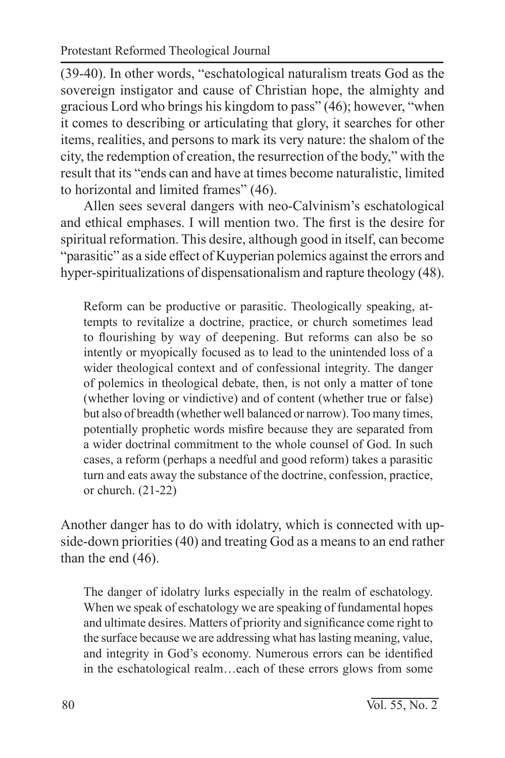(39-40). In other words, "eschatological naturalism treats God as the sovereign instigator and cause of Christian hope, the almighty and gracious Lord who brings his kingdom to pass" (46); however, "when it comes to describing or articulating that glory, it searches for other items, realities, and persons to mark its very nature: the shalom of the city, the redemption of creation, the resurrection of the body," with the result that its "ends can and have at times become naturalistic, limited to horizontal and limited frames" (46).

Allen sees several dangers with neo-Calvinism's eschatological and ethical emphases. I will mention two. The first is the desire for spiritual reformation. This desire, although good in itself, can become "parasitic" as a side effect of Kuyperian polemics against the errors and hyper-spiritualizations of dispensationalism and rapture theology (48).

Reform can be productive or parasitic. Theologically speaking, attempts to revitalize a doctrine, practice, or church sometimes lead to flourishing by way of deepening. But reforms can also be so intently or myopically focused as to lead to the unintended loss of a wider theological context and of confessional integrity. The danger of polemics in theological debate, then, is not only a matter of tone (whether loving or vindictive) and of content (whether true or false) but also of breadth (whether well balanced or narrow). Too many times, potentially prophetic words misfire because they are separated from a wider doctrinal commitment to the whole counsel of God. In such cases, a reform (perhaps a needful and good reform) takes a parasitic turn and eats away the substance of the doctrine, confession, practice, or church. (21-22)

Another danger has to do with idolatry, which is connected with upside-down priorities (40) and treating God as a means to an end rather than the end (46).

The danger of idolatry lurks especially in the realm of eschatology. When we speak of eschatology we are speaking of fundamental hopes and ultimate desires. Matters of priority and significance come right to the surface because we are addressing what has lasting meaning, value, and integrity in God's economy. Numerous errors can be identified in the eschatological realm…each of these errors glows from some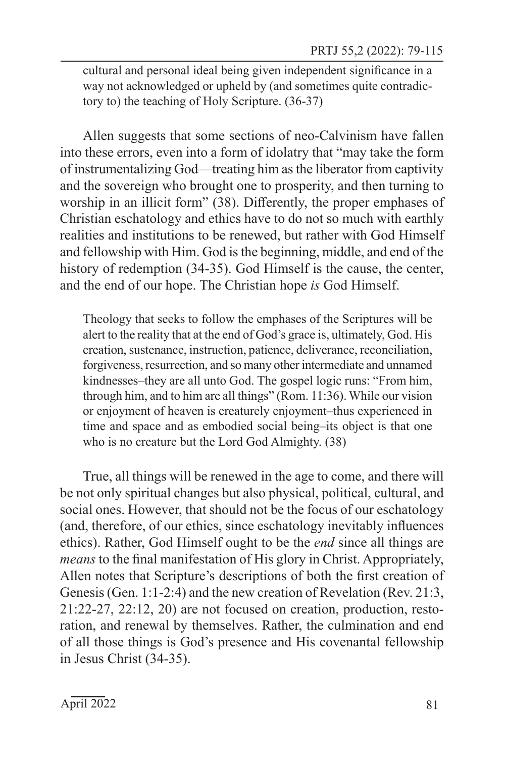cultural and personal ideal being given independent significance in a way not acknowledged or upheld by (and sometimes quite contradictory to) the teaching of Holy Scripture. (36-37)

Allen suggests that some sections of neo-Calvinism have fallen into these errors, even into a form of idolatry that "may take the form of instrumentalizing God—treating him as the liberator from captivity and the sovereign who brought one to prosperity, and then turning to worship in an illicit form" (38). Differently, the proper emphases of Christian eschatology and ethics have to do not so much with earthly realities and institutions to be renewed, but rather with God Himself and fellowship with Him. God is the beginning, middle, and end of the history of redemption (34-35). God Himself is the cause, the center, and the end of our hope. The Christian hope *is* God Himself.

Theology that seeks to follow the emphases of the Scriptures will be alert to the reality that at the end of God's grace is, ultimately, God. His creation, sustenance, instruction, patience, deliverance, reconciliation, forgiveness, resurrection, and so many other intermediate and unnamed kindnesses–they are all unto God. The gospel logic runs: "From him, through him, and to him are all things" (Rom. 11:36). While our vision or enjoyment of heaven is creaturely enjoyment–thus experienced in time and space and as embodied social being–its object is that one who is no creature but the Lord God Almighty. (38)

True, all things will be renewed in the age to come, and there will be not only spiritual changes but also physical, political, cultural, and social ones. However, that should not be the focus of our eschatology (and, therefore, of our ethics, since eschatology inevitably influences ethics). Rather, God Himself ought to be the *end* since all things are *means* to the final manifestation of His glory in Christ. Appropriately, Allen notes that Scripture's descriptions of both the first creation of Genesis (Gen. 1:1-2:4) and the new creation of Revelation (Rev. 21:3, 21:22-27, 22:12, 20) are not focused on creation, production, restoration, and renewal by themselves. Rather, the culmination and end of all those things is God's presence and His covenantal fellowship in Jesus Christ (34-35).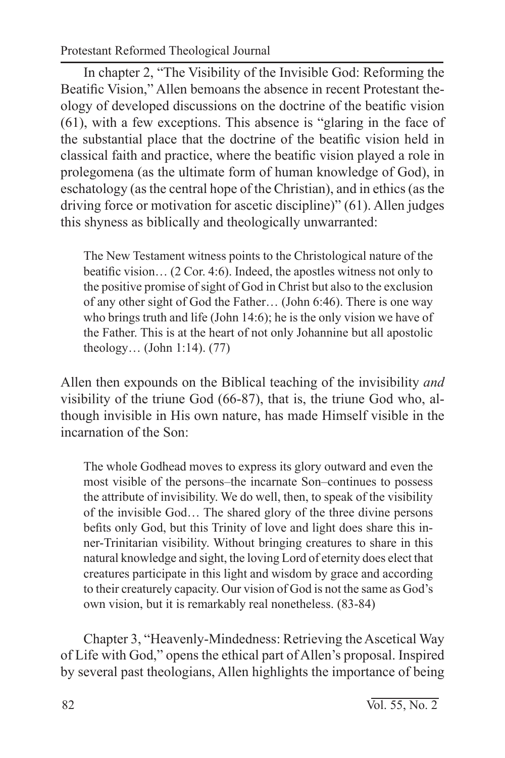Protestant Reformed Theological Journal

In chapter 2, "The Visibility of the Invisible God: Reforming the Beatific Vision," Allen bemoans the absence in recent Protestant theology of developed discussions on the doctrine of the beatific vision (61), with a few exceptions. This absence is "glaring in the face of the substantial place that the doctrine of the beatific vision held in classical faith and practice, where the beatific vision played a role in prolegomena (as the ultimate form of human knowledge of God), in eschatology (as the central hope of the Christian), and in ethics (as the driving force or motivation for ascetic discipline)" (61). Allen judges this shyness as biblically and theologically unwarranted:

The New Testament witness points to the Christological nature of the beatific vision… (2 Cor. 4:6). Indeed, the apostles witness not only to the positive promise of sight of God in Christ but also to the exclusion of any other sight of God the Father… (John 6:46). There is one way who brings truth and life (John 14:6); he is the only vision we have of the Father. This is at the heart of not only Johannine but all apostolic theology… (John 1:14). (77)

Allen then expounds on the Biblical teaching of the invisibility *and*  visibility of the triune God (66-87), that is, the triune God who, although invisible in His own nature, has made Himself visible in the incarnation of the Son:

The whole Godhead moves to express its glory outward and even the most visible of the persons–the incarnate Son–continues to possess the attribute of invisibility. We do well, then, to speak of the visibility of the invisible God… The shared glory of the three divine persons befits only God, but this Trinity of love and light does share this inner-Trinitarian visibility. Without bringing creatures to share in this natural knowledge and sight, the loving Lord of eternity does elect that creatures participate in this light and wisdom by grace and according to their creaturely capacity. Our vision of God is not the same as God's own vision, but it is remarkably real nonetheless. (83-84)

Chapter 3, "Heavenly-Mindedness: Retrieving the Ascetical Way of Life with God," opens the ethical part of Allen's proposal. Inspired by several past theologians, Allen highlights the importance of being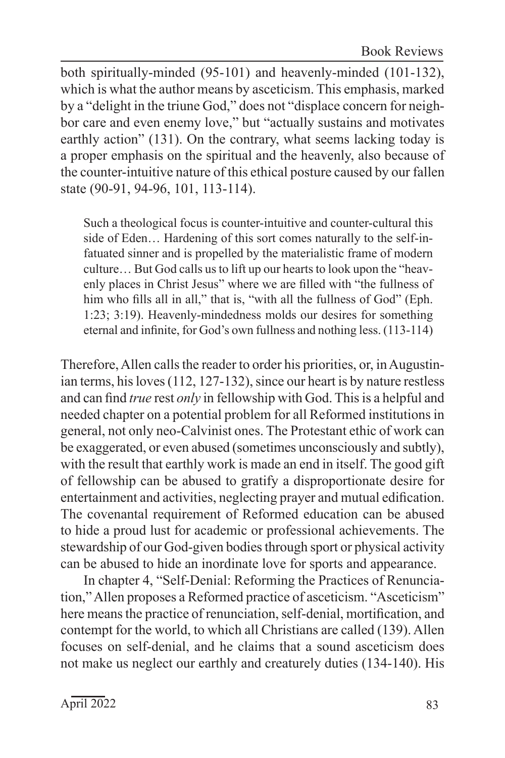Book Reviews

both spiritually-minded (95-101) and heavenly-minded (101-132), which is what the author means by asceticism. This emphasis, marked by a "delight in the triune God," does not "displace concern for neighbor care and even enemy love," but "actually sustains and motivates earthly action" (131). On the contrary, what seems lacking today is a proper emphasis on the spiritual and the heavenly, also because of the counter-intuitive nature of this ethical posture caused by our fallen state (90-91, 94-96, 101, 113-114).

Such a theological focus is counter-intuitive and counter-cultural this side of Eden… Hardening of this sort comes naturally to the self-infatuated sinner and is propelled by the materialistic frame of modern culture… But God calls us to lift up our hearts to look upon the "heavenly places in Christ Jesus" where we are filled with "the fullness of him who fills all in all," that is, "with all the fullness of God" (Eph. 1:23; 3:19). Heavenly-mindedness molds our desires for something eternal and infinite, for God's own fullness and nothing less. (113-114)

Therefore, Allen calls the reader to order his priorities, or, in Augustinian terms, his loves (112, 127-132), since our heart is by nature restless and can find *true* rest *only* in fellowship with God. This is a helpful and needed chapter on a potential problem for all Reformed institutions in general, not only neo-Calvinist ones. The Protestant ethic of work can be exaggerated, or even abused (sometimes unconsciously and subtly), with the result that earthly work is made an end in itself. The good gift of fellowship can be abused to gratify a disproportionate desire for entertainment and activities, neglecting prayer and mutual edification. The covenantal requirement of Reformed education can be abused to hide a proud lust for academic or professional achievements. The stewardship of our God-given bodies through sport or physical activity can be abused to hide an inordinate love for sports and appearance.

In chapter 4, "Self-Denial: Reforming the Practices of Renunciation," Allen proposes a Reformed practice of asceticism. "Asceticism" here means the practice of renunciation, self-denial, mortification, and contempt for the world, to which all Christians are called (139). Allen focuses on self-denial, and he claims that a sound asceticism does not make us neglect our earthly and creaturely duties (134-140). His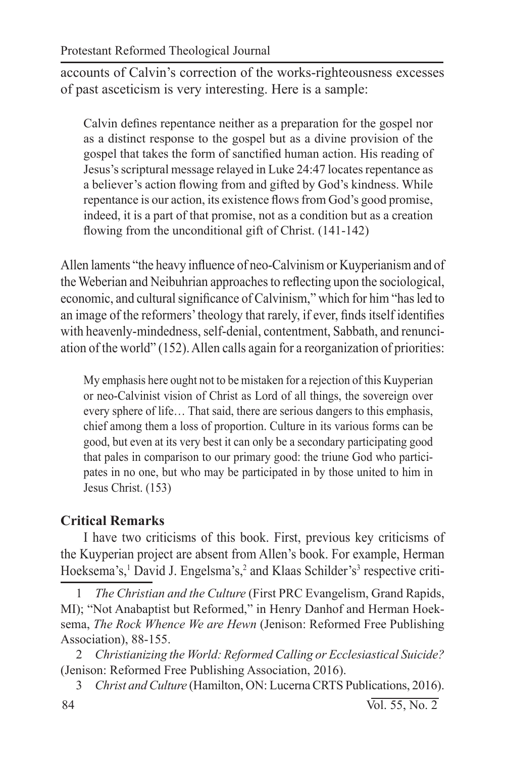accounts of Calvin's correction of the works-righteousness excesses of past asceticism is very interesting. Here is a sample:

Calvin defines repentance neither as a preparation for the gospel nor as a distinct response to the gospel but as a divine provision of the gospel that takes the form of sanctified human action. His reading of Jesus's scriptural message relayed in Luke 24:47 locates repentance as a believer's action flowing from and gifted by God's kindness. While repentance is our action, its existence flows from God's good promise, indeed, it is a part of that promise, not as a condition but as a creation flowing from the unconditional gift of Christ. (141-142)

Allen laments "the heavy influence of neo-Calvinism or Kuyperianism and of the Weberian and Neibuhrian approaches to reflecting upon the sociological, economic, and cultural significance of Calvinism," which for him "has led to an image of the reformers' theology that rarely, if ever, finds itself identifies with heavenly-mindedness, self-denial, contentment, Sabbath, and renunciation of the world" (152). Allen calls again for a reorganization of priorities:

My emphasis here ought not to be mistaken for a rejection of this Kuyperian or neo-Calvinist vision of Christ as Lord of all things, the sovereign over every sphere of life… That said, there are serious dangers to this emphasis, chief among them a loss of proportion. Culture in its various forms can be good, but even at its very best it can only be a secondary participating good that pales in comparison to our primary good: the triune God who participates in no one, but who may be participated in by those united to him in Jesus Christ. (153)

# **Critical Remarks**

I have two criticisms of this book. First, previous key criticisms of the Kuyperian project are absent from Allen's book. For example, Herman Hoeksema's,<sup>1</sup> David J. Engelsma's,<sup>2</sup> and Klaas Schilder's<sup>3</sup> respective criti-

1 *The Christian and the Culture* (First PRC Evangelism, Grand Rapids, MI); "Not Anabaptist but Reformed," in Henry Danhof and Herman Hoeksema, *The Rock Whence We are Hewn* (Jenison: Reformed Free Publishing Association), 88-155.

2 *Christianizing the World: Reformed Calling or Ecclesiastical Suicide?*  (Jenison: Reformed Free Publishing Association, 2016).

3 *Christ and Culture* (Hamilton, ON: Lucerna CRTS Publications, 2016).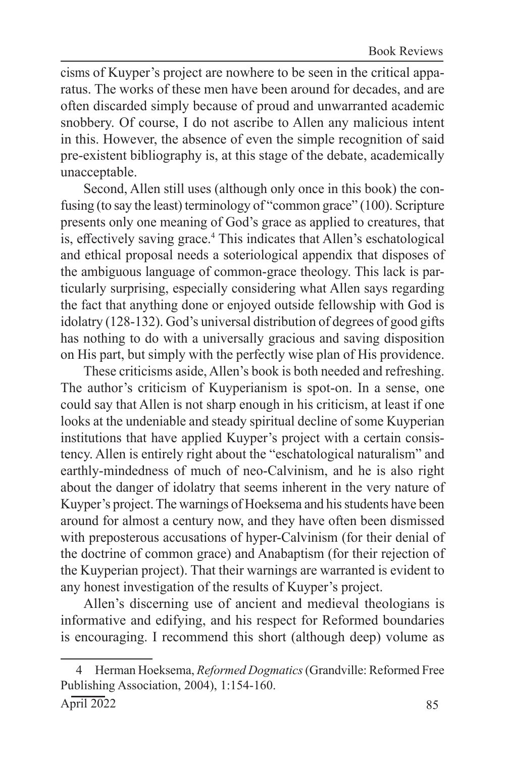cisms of Kuyper's project are nowhere to be seen in the critical apparatus. The works of these men have been around for decades, and are often discarded simply because of proud and unwarranted academic snobbery. Of course, I do not ascribe to Allen any malicious intent in this. However, the absence of even the simple recognition of said pre-existent bibliography is, at this stage of the debate, academically unacceptable.

Second, Allen still uses (although only once in this book) the confusing (to say the least) terminology of "common grace" (100). Scripture presents only one meaning of God's grace as applied to creatures, that is, effectively saving grace.<sup>4</sup> This indicates that Allen's eschatological and ethical proposal needs a soteriological appendix that disposes of the ambiguous language of common-grace theology. This lack is particularly surprising, especially considering what Allen says regarding the fact that anything done or enjoyed outside fellowship with God is idolatry (128-132). God's universal distribution of degrees of good gifts has nothing to do with a universally gracious and saving disposition on His part, but simply with the perfectly wise plan of His providence.

These criticisms aside, Allen's book is both needed and refreshing. The author's criticism of Kuyperianism is spot-on. In a sense, one could say that Allen is not sharp enough in his criticism, at least if one looks at the undeniable and steady spiritual decline of some Kuyperian institutions that have applied Kuyper's project with a certain consistency. Allen is entirely right about the "eschatological naturalism" and earthly-mindedness of much of neo-Calvinism, and he is also right about the danger of idolatry that seems inherent in the very nature of Kuyper's project. The warnings of Hoeksema and his students have been around for almost a century now, and they have often been dismissed with preposterous accusations of hyper-Calvinism (for their denial of the doctrine of common grace) and Anabaptism (for their rejection of the Kuyperian project). That their warnings are warranted is evident to any honest investigation of the results of Kuyper's project.

Allen's discerning use of ancient and medieval theologians is informative and edifying, and his respect for Reformed boundaries is encouraging. I recommend this short (although deep) volume as

<sup>4</sup> Herman Hoeksema, *Reformed Dogmatics* (Grandville: Reformed Free Publishing Association, 2004), 1:154-160.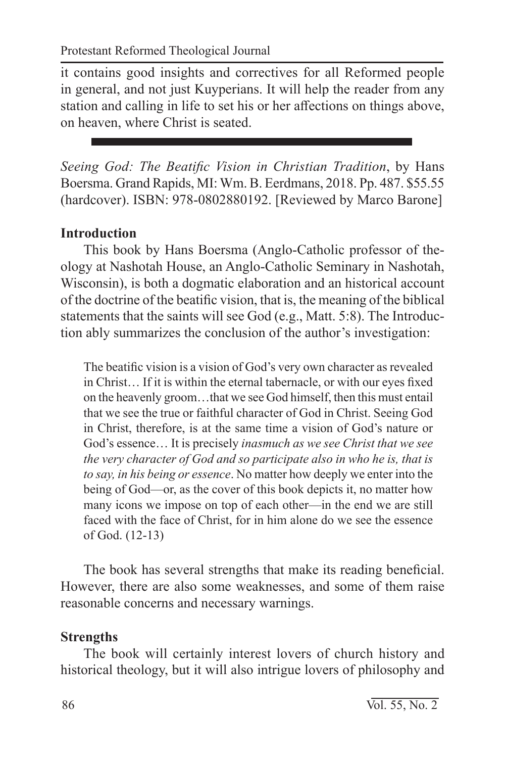it contains good insights and correctives for all Reformed people in general, and not just Kuyperians. It will help the reader from any station and calling in life to set his or her affections on things above, on heaven, where Christ is seated.

*Seeing God: The Beatific Vision in Christian Tradition*, by Hans Boersma. Grand Rapids, MI: Wm. B. Eerdmans, 2018. Pp. 487. \$55.55 (hardcover). ISBN: 978-0802880192. [Reviewed by Marco Barone]

# **Introduction**

This book by Hans Boersma (Anglo-Catholic professor of theology at Nashotah House, an Anglo-Catholic Seminary in Nashotah, Wisconsin), is both a dogmatic elaboration and an historical account of the doctrine of the beatific vision, that is, the meaning of the biblical statements that the saints will see God (e.g., Matt. 5:8). The Introduction ably summarizes the conclusion of the author's investigation:

The beatific vision is a vision of God's very own character as revealed in Christ… If it is within the eternal tabernacle, or with our eyes fixed on the heavenly groom…that we see God himself, then this must entail that we see the true or faithful character of God in Christ. Seeing God in Christ, therefore, is at the same time a vision of God's nature or God's essence… It is precisely *inasmuch as we see Christ that we see the very character of God and so participate also in who he is, that is to say, in his being or essence*. No matter how deeply we enter into the being of God—or, as the cover of this book depicts it, no matter how many icons we impose on top of each other—in the end we are still faced with the face of Christ, for in him alone do we see the essence of God. (12-13)

The book has several strengths that make its reading beneficial. However, there are also some weaknesses, and some of them raise reasonable concerns and necessary warnings.

# **Strengths**

The book will certainly interest lovers of church history and historical theology, but it will also intrigue lovers of philosophy and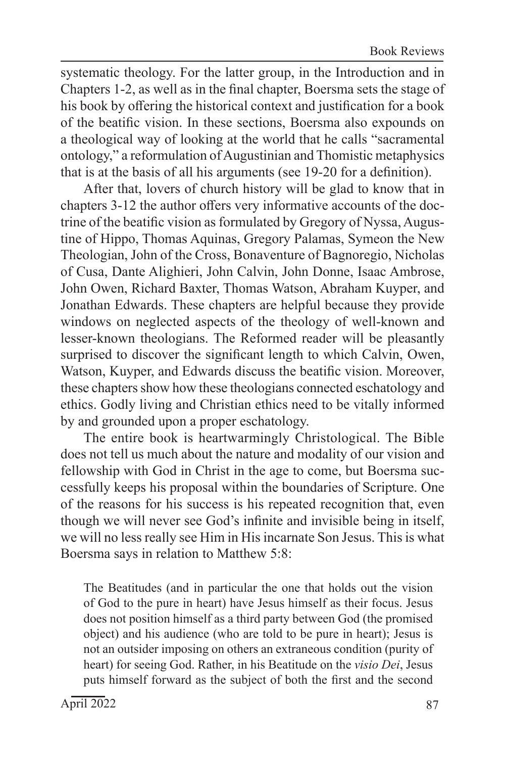systematic theology. For the latter group, in the Introduction and in Chapters 1-2, as well as in the final chapter, Boersma sets the stage of his book by offering the historical context and justification for a book of the beatific vision. In these sections, Boersma also expounds on a theological way of looking at the world that he calls "sacramental ontology," a reformulation of Augustinian and Thomistic metaphysics that is at the basis of all his arguments (see 19-20 for a definition).

After that, lovers of church history will be glad to know that in chapters 3-12 the author offers very informative accounts of the doctrine of the beatific vision as formulated by Gregory of Nyssa, Augustine of Hippo, Thomas Aquinas, Gregory Palamas, Symeon the New Theologian, John of the Cross, Bonaventure of Bagnoregio, Nicholas of Cusa, Dante Alighieri, John Calvin, John Donne, Isaac Ambrose, John Owen, Richard Baxter, Thomas Watson, Abraham Kuyper, and Jonathan Edwards. These chapters are helpful because they provide windows on neglected aspects of the theology of well-known and lesser-known theologians. The Reformed reader will be pleasantly surprised to discover the significant length to which Calvin, Owen, Watson, Kuyper, and Edwards discuss the beatific vision. Moreover, these chapters show how these theologians connected eschatology and ethics. Godly living and Christian ethics need to be vitally informed by and grounded upon a proper eschatology.

The entire book is heartwarmingly Christological. The Bible does not tell us much about the nature and modality of our vision and fellowship with God in Christ in the age to come, but Boersma successfully keeps his proposal within the boundaries of Scripture. One of the reasons for his success is his repeated recognition that, even though we will never see God's infinite and invisible being in itself, we will no less really see Him in His incarnate Son Jesus. This is what Boersma says in relation to Matthew 5:8:

The Beatitudes (and in particular the one that holds out the vision of God to the pure in heart) have Jesus himself as their focus. Jesus does not position himself as a third party between God (the promised object) and his audience (who are told to be pure in heart); Jesus is not an outsider imposing on others an extraneous condition (purity of heart) for seeing God. Rather, in his Beatitude on the *visio Dei*, Jesus puts himself forward as the subject of both the first and the second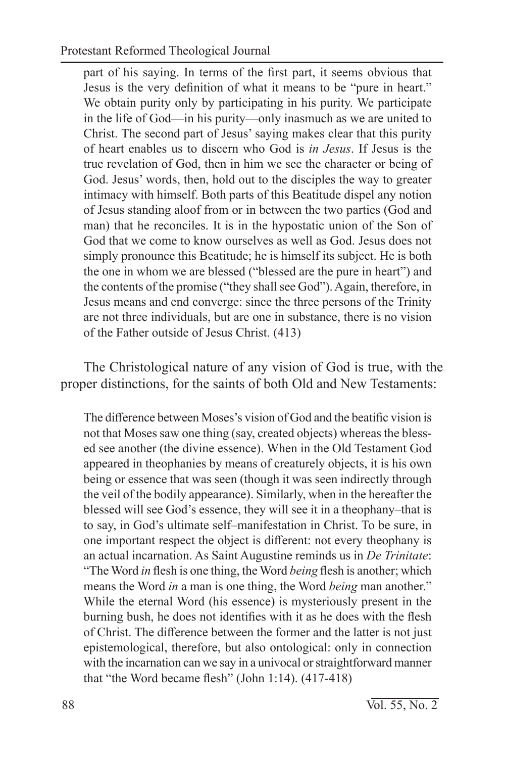part of his saying. In terms of the first part, it seems obvious that Jesus is the very definition of what it means to be "pure in heart." We obtain purity only by participating in his purity. We participate in the life of God—in his purity—only inasmuch as we are united to Christ. The second part of Jesus' saying makes clear that this purity of heart enables us to discern who God is *in Jesus*. If Jesus is the true revelation of God, then in him we see the character or being of God. Jesus' words, then, hold out to the disciples the way to greater intimacy with himself. Both parts of this Beatitude dispel any notion of Jesus standing aloof from or in between the two parties (God and man) that he reconciles. It is in the hypostatic union of the Son of God that we come to know ourselves as well as God. Jesus does not simply pronounce this Beatitude; he is himself its subject. He is both the one in whom we are blessed ("blessed are the pure in heart") and the contents of the promise ("they shall see God"). Again, therefore, in Jesus means and end converge: since the three persons of the Trinity are not three individuals, but are one in substance, there is no vision of the Father outside of Jesus Christ. (413)

The Christological nature of any vision of God is true, with the proper distinctions, for the saints of both Old and New Testaments:

The difference between Moses's vision of God and the beatific vision is not that Moses saw one thing (say, created objects) whereas the blessed see another (the divine essence). When in the Old Testament God appeared in theophanies by means of creaturely objects, it is his own being or essence that was seen (though it was seen indirectly through the veil of the bodily appearance). Similarly, when in the hereafter the blessed will see God's essence, they will see it in a theophany–that is to say, in God's ultimate self–manifestation in Christ. To be sure, in one important respect the object is different: not every theophany is an actual incarnation. As Saint Augustine reminds us in *De Trinitate*: "The Word *in* flesh is one thing, the Word *being* flesh is another; which means the Word *in* a man is one thing, the Word *being* man another." While the eternal Word (his essence) is mysteriously present in the burning bush, he does not identifies with it as he does with the flesh of Christ. The difference between the former and the latter is not just epistemological, therefore, but also ontological: only in connection with the incarnation can we say in a univocal or straightforward manner that "the Word became flesh" (John 1:14). (417-418)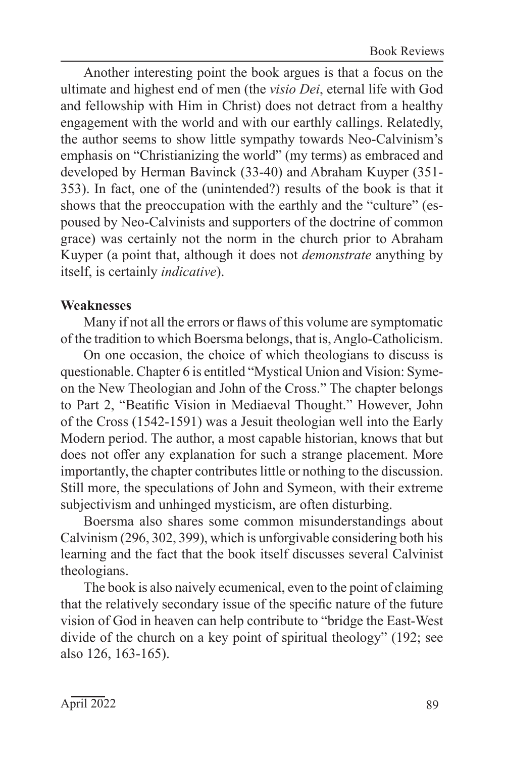Book Reviews

Another interesting point the book argues is that a focus on the ultimate and highest end of men (the *visio Dei*, eternal life with God and fellowship with Him in Christ) does not detract from a healthy engagement with the world and with our earthly callings. Relatedly, the author seems to show little sympathy towards Neo-Calvinism's emphasis on "Christianizing the world" (my terms) as embraced and developed by Herman Bavinck (33-40) and Abraham Kuyper (351- 353). In fact, one of the (unintended?) results of the book is that it shows that the preoccupation with the earthly and the "culture" (espoused by Neo-Calvinists and supporters of the doctrine of common grace) was certainly not the norm in the church prior to Abraham Kuyper (a point that, although it does not *demonstrate* anything by itself, is certainly *indicative*).

#### **Weaknesses**

Many if not all the errors or flaws of this volume are symptomatic of the tradition to which Boersma belongs, that is, Anglo-Catholicism.

On one occasion, the choice of which theologians to discuss is questionable. Chapter 6 is entitled "Mystical Union and Vision: Symeon the New Theologian and John of the Cross." The chapter belongs to Part 2, "Beatific Vision in Mediaeval Thought." However, John of the Cross (1542-1591) was a Jesuit theologian well into the Early Modern period. The author, a most capable historian, knows that but does not offer any explanation for such a strange placement. More importantly, the chapter contributes little or nothing to the discussion. Still more, the speculations of John and Symeon, with their extreme subjectivism and unhinged mysticism, are often disturbing.

Boersma also shares some common misunderstandings about Calvinism (296, 302, 399), which is unforgivable considering both his learning and the fact that the book itself discusses several Calvinist theologians.

The book is also naively ecumenical, even to the point of claiming that the relatively secondary issue of the specific nature of the future vision of God in heaven can help contribute to "bridge the East-West divide of the church on a key point of spiritual theology" (192; see also 126, 163-165).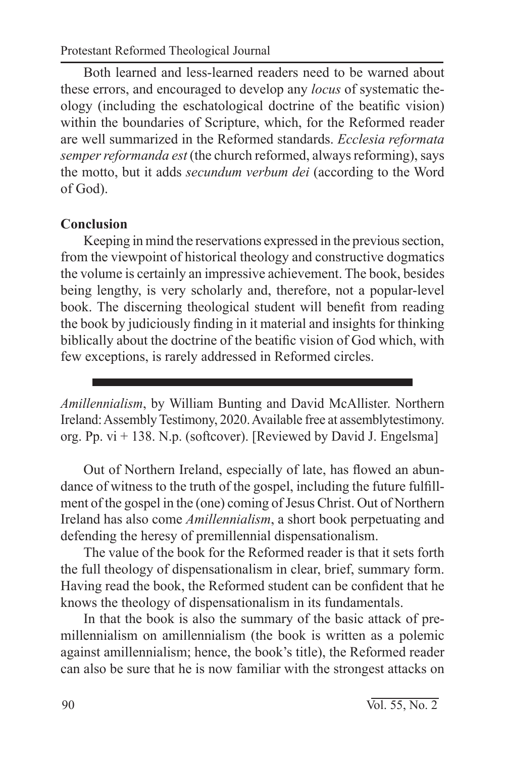Protestant Reformed Theological Journal

Both learned and less-learned readers need to be warned about these errors, and encouraged to develop any *locus* of systematic theology (including the eschatological doctrine of the beatific vision) within the boundaries of Scripture, which, for the Reformed reader are well summarized in the Reformed standards. *Ecclesia reformata semper reformanda est* (the church reformed, always reforming), says the motto, but it adds *secundum verbum dei* (according to the Word of God).

#### **Conclusion**

Keeping in mind the reservations expressed in the previous section, from the viewpoint of historical theology and constructive dogmatics the volume is certainly an impressive achievement. The book, besides being lengthy, is very scholarly and, therefore, not a popular-level book. The discerning theological student will benefit from reading the book by judiciously finding in it material and insights for thinking biblically about the doctrine of the beatific vision of God which, with few exceptions, is rarely addressed in Reformed circles.

*Amillennialism*, by William Bunting and David McAllister. Northern Ireland: Assembly Testimony, 2020. Available free at assemblytestimony. org. Pp.  $vi + 138$ . N.p. (softcover). [Reviewed by David J. Engelsma]

Out of Northern Ireland, especially of late, has flowed an abundance of witness to the truth of the gospel, including the future fulfillment of the gospel in the (one) coming of Jesus Christ. Out of Northern Ireland has also come *Amillennialism*, a short book perpetuating and defending the heresy of premillennial dispensationalism.

The value of the book for the Reformed reader is that it sets forth the full theology of dispensationalism in clear, brief, summary form. Having read the book, the Reformed student can be confident that he knows the theology of dispensationalism in its fundamentals.

In that the book is also the summary of the basic attack of premillennialism on amillennialism (the book is written as a polemic against amillennialism; hence, the book's title), the Reformed reader can also be sure that he is now familiar with the strongest attacks on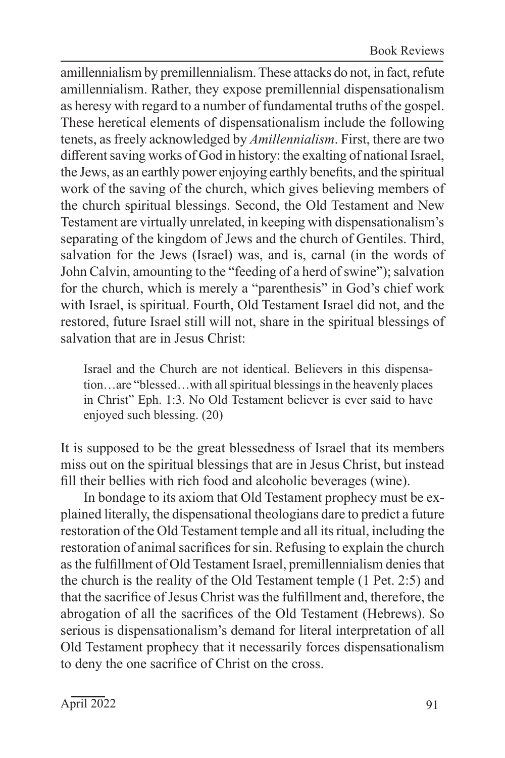amillennialism by premillennialism. These attacks do not, in fact, refute amillennialism. Rather, they expose premillennial dispensationalism as heresy with regard to a number of fundamental truths of the gospel. These heretical elements of dispensationalism include the following tenets, as freely acknowledged by *Amillennialism*. First, there are two different saving works of God in history: the exalting of national Israel, the Jews, as an earthly power enjoying earthly benefits, and the spiritual work of the saving of the church, which gives believing members of the church spiritual blessings. Second, the Old Testament and New Testament are virtually unrelated, in keeping with dispensationalism's separating of the kingdom of Jews and the church of Gentiles. Third, salvation for the Jews (Israel) was, and is, carnal (in the words of John Calvin, amounting to the "feeding of a herd of swine"); salvation for the church, which is merely a "parenthesis" in God's chief work with Israel, is spiritual. Fourth, Old Testament Israel did not, and the restored, future Israel still will not, share in the spiritual blessings of salvation that are in Jesus Christ:

Israel and the Church are not identical. Believers in this dispensation…are "blessed…with all spiritual blessings in the heavenly places in Christ" Eph. 1:3. No Old Testament believer is ever said to have enjoyed such blessing. (20)

It is supposed to be the great blessedness of Israel that its members miss out on the spiritual blessings that are in Jesus Christ, but instead fill their bellies with rich food and alcoholic beverages (wine).

In bondage to its axiom that Old Testament prophecy must be explained literally, the dispensational theologians dare to predict a future restoration of the Old Testament temple and all its ritual, including the restoration of animal sacrifices for sin. Refusing to explain the church as the fulfillment of Old Testament Israel, premillennialism denies that the church is the reality of the Old Testament temple (1 Pet. 2:5) and that the sacrifice of Jesus Christ was the fulfillment and, therefore, the abrogation of all the sacrifices of the Old Testament (Hebrews). So serious is dispensationalism's demand for literal interpretation of all Old Testament prophecy that it necessarily forces dispensationalism to deny the one sacrifice of Christ on the cross.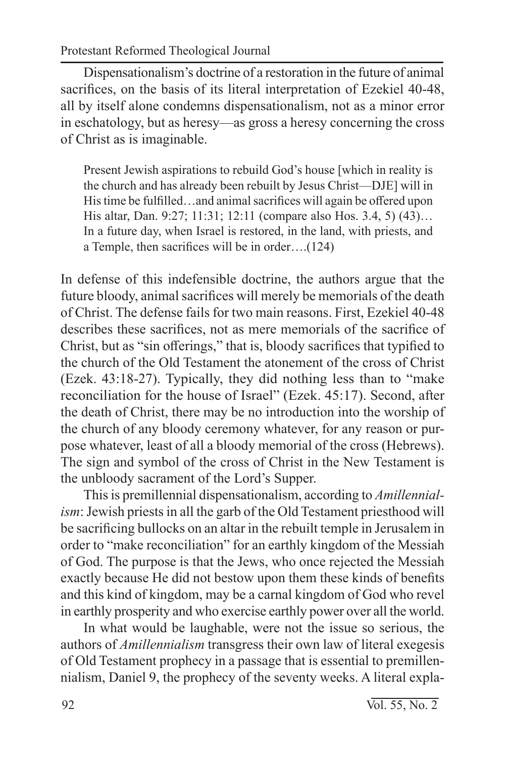Dispensationalism's doctrine of a restoration in the future of animal sacrifices, on the basis of its literal interpretation of Ezekiel 40-48, all by itself alone condemns dispensationalism, not as a minor error in eschatology, but as heresy—as gross a heresy concerning the cross of Christ as is imaginable.

Present Jewish aspirations to rebuild God's house [which in reality is the church and has already been rebuilt by Jesus Christ—DJE] will in His time be fulfilled…and animal sacrifices will again be offered upon His altar, Dan. 9:27; 11:31; 12:11 (compare also Hos. 3.4, 5) (43)… In a future day, when Israel is restored, in the land, with priests, and a Temple, then sacrifices will be in order….(124)

In defense of this indefensible doctrine, the authors argue that the future bloody, animal sacrifices will merely be memorials of the death of Christ. The defense fails for two main reasons. First, Ezekiel 40-48 describes these sacrifices, not as mere memorials of the sacrifice of Christ, but as "sin offerings," that is, bloody sacrifices that typified to the church of the Old Testament the atonement of the cross of Christ (Ezek. 43:18-27). Typically, they did nothing less than to "make reconciliation for the house of Israel" (Ezek. 45:17). Second, after the death of Christ, there may be no introduction into the worship of the church of any bloody ceremony whatever, for any reason or purpose whatever, least of all a bloody memorial of the cross (Hebrews). The sign and symbol of the cross of Christ in the New Testament is the unbloody sacrament of the Lord's Supper.

This is premillennial dispensationalism, according to *Amillennialism*: Jewish priests in all the garb of the Old Testament priesthood will be sacrificing bullocks on an altar in the rebuilt temple in Jerusalem in order to "make reconciliation" for an earthly kingdom of the Messiah of God. The purpose is that the Jews, who once rejected the Messiah exactly because He did not bestow upon them these kinds of benefits and this kind of kingdom, may be a carnal kingdom of God who revel in earthly prosperity and who exercise earthly power over all the world.

In what would be laughable, were not the issue so serious, the authors of *Amillennialism* transgress their own law of literal exegesis of Old Testament prophecy in a passage that is essential to premillennialism, Daniel 9, the prophecy of the seventy weeks. A literal expla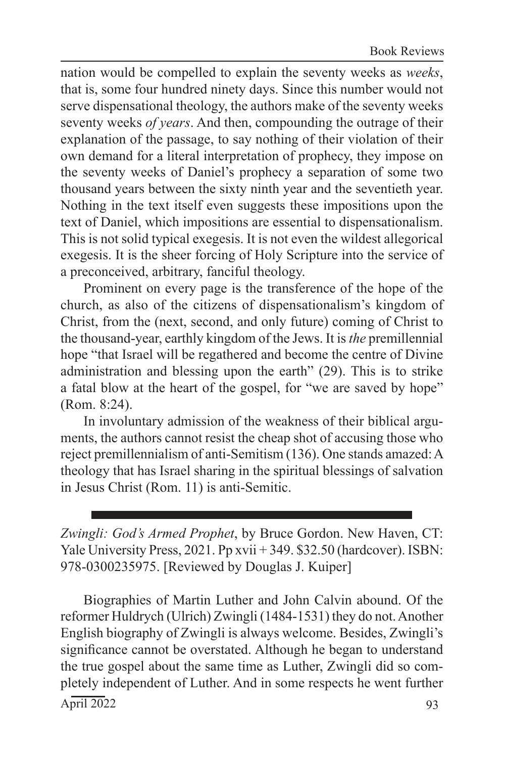nation would be compelled to explain the seventy weeks as *weeks*, that is, some four hundred ninety days. Since this number would not serve dispensational theology, the authors make of the seventy weeks seventy weeks *of years*. And then, compounding the outrage of their explanation of the passage, to say nothing of their violation of their own demand for a literal interpretation of prophecy, they impose on the seventy weeks of Daniel's prophecy a separation of some two thousand years between the sixty ninth year and the seventieth year. Nothing in the text itself even suggests these impositions upon the text of Daniel, which impositions are essential to dispensationalism. This is not solid typical exegesis. It is not even the wildest allegorical exegesis. It is the sheer forcing of Holy Scripture into the service of a preconceived, arbitrary, fanciful theology.

Prominent on every page is the transference of the hope of the church, as also of the citizens of dispensationalism's kingdom of Christ, from the (next, second, and only future) coming of Christ to the thousand-year, earthly kingdom of the Jews. It is *the* premillennial hope "that Israel will be regathered and become the centre of Divine administration and blessing upon the earth" (29). This is to strike a fatal blow at the heart of the gospel, for "we are saved by hope" (Rom. 8:24).

In involuntary admission of the weakness of their biblical arguments, the authors cannot resist the cheap shot of accusing those who reject premillennialism of anti-Semitism (136). One stands amazed: A theology that has Israel sharing in the spiritual blessings of salvation in Jesus Christ (Rom. 11) is anti-Semitic.

*Zwingli: God's Armed Prophet*, by Bruce Gordon. New Haven, CT: Yale University Press, 2021. Pp xvii + 349. \$32.50 (hardcover). ISBN: 978-0300235975. [Reviewed by Douglas J. Kuiper]

 $\overline{\text{April } 2022}$  93 Biographies of Martin Luther and John Calvin abound. Of the reformer Huldrych (Ulrich) Zwingli (1484-1531) they do not. Another English biography of Zwingli is always welcome. Besides, Zwingli's significance cannot be overstated. Although he began to understand the true gospel about the same time as Luther, Zwingli did so completely independent of Luther. And in some respects he went further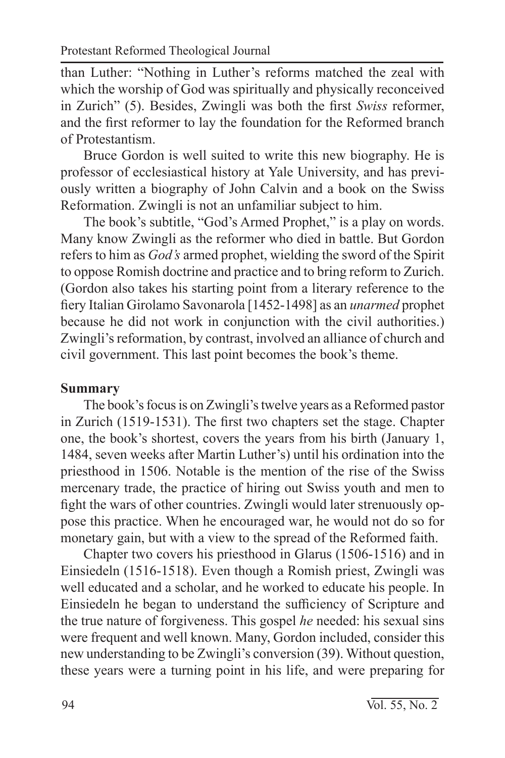than Luther: "Nothing in Luther's reforms matched the zeal with which the worship of God was spiritually and physically reconceived in Zurich" (5). Besides, Zwingli was both the first *Swiss* reformer, and the first reformer to lay the foundation for the Reformed branch of Protestantism.

Bruce Gordon is well suited to write this new biography. He is professor of ecclesiastical history at Yale University, and has previously written a biography of John Calvin and a book on the Swiss Reformation. Zwingli is not an unfamiliar subject to him.

The book's subtitle, "God's Armed Prophet," is a play on words. Many know Zwingli as the reformer who died in battle. But Gordon refers to him as *God's* armed prophet, wielding the sword of the Spirit to oppose Romish doctrine and practice and to bring reform to Zurich. (Gordon also takes his starting point from a literary reference to the fiery Italian Girolamo Savonarola [1452-1498] as an *unarmed* prophet because he did not work in conjunction with the civil authorities.) Zwingli's reformation, by contrast, involved an alliance of church and civil government. This last point becomes the book's theme.

### **Summary**

The book's focus is on Zwingli's twelve years as a Reformed pastor in Zurich (1519-1531). The first two chapters set the stage. Chapter one, the book's shortest, covers the years from his birth (January 1, 1484, seven weeks after Martin Luther's) until his ordination into the priesthood in 1506. Notable is the mention of the rise of the Swiss mercenary trade, the practice of hiring out Swiss youth and men to fight the wars of other countries. Zwingli would later strenuously oppose this practice. When he encouraged war, he would not do so for monetary gain, but with a view to the spread of the Reformed faith.

Chapter two covers his priesthood in Glarus (1506-1516) and in Einsiedeln (1516-1518). Even though a Romish priest, Zwingli was well educated and a scholar, and he worked to educate his people. In Einsiedeln he began to understand the sufficiency of Scripture and the true nature of forgiveness. This gospel *he* needed: his sexual sins were frequent and well known. Many, Gordon included, consider this new understanding to be Zwingli's conversion (39). Without question, these years were a turning point in his life, and were preparing for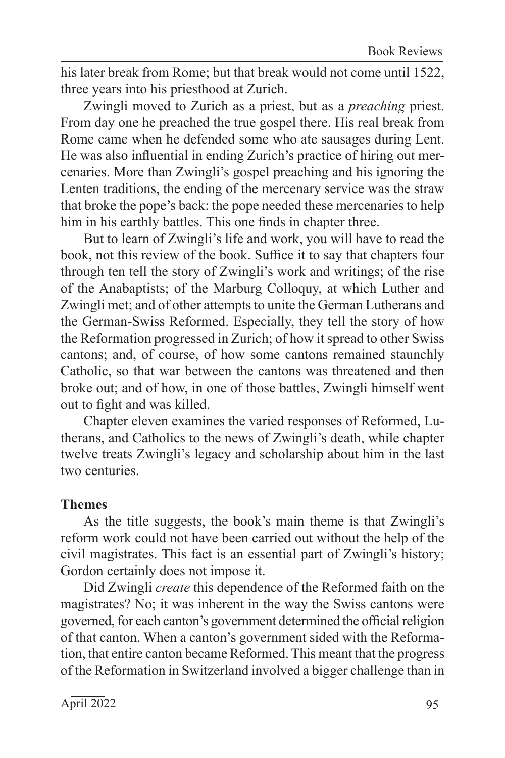his later break from Rome; but that break would not come until 1522, three years into his priesthood at Zurich.

Zwingli moved to Zurich as a priest, but as a *preaching* priest. From day one he preached the true gospel there. His real break from Rome came when he defended some who ate sausages during Lent. He was also influential in ending Zurich's practice of hiring out mercenaries. More than Zwingli's gospel preaching and his ignoring the Lenten traditions, the ending of the mercenary service was the straw that broke the pope's back: the pope needed these mercenaries to help him in his earthly battles. This one finds in chapter three.

But to learn of Zwingli's life and work, you will have to read the book, not this review of the book. Suffice it to say that chapters four through ten tell the story of Zwingli's work and writings; of the rise of the Anabaptists; of the Marburg Colloquy, at which Luther and Zwingli met; and of other attempts to unite the German Lutherans and the German-Swiss Reformed. Especially, they tell the story of how the Reformation progressed in Zurich; of how it spread to other Swiss cantons; and, of course, of how some cantons remained staunchly Catholic, so that war between the cantons was threatened and then broke out; and of how, in one of those battles, Zwingli himself went out to fight and was killed.

Chapter eleven examines the varied responses of Reformed, Lutherans, and Catholics to the news of Zwingli's death, while chapter twelve treats Zwingli's legacy and scholarship about him in the last two centuries.

#### **Themes**

As the title suggests, the book's main theme is that Zwingli's reform work could not have been carried out without the help of the civil magistrates. This fact is an essential part of Zwingli's history; Gordon certainly does not impose it.

Did Zwingli *create* this dependence of the Reformed faith on the magistrates? No; it was inherent in the way the Swiss cantons were governed, for each canton's government determined the official religion of that canton. When a canton's government sided with the Reformation, that entire canton became Reformed. This meant that the progress of the Reformation in Switzerland involved a bigger challenge than in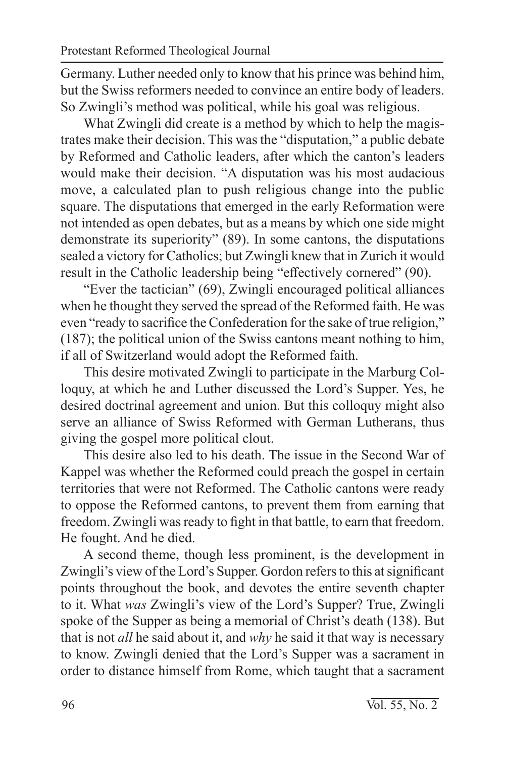Germany. Luther needed only to know that his prince was behind him, but the Swiss reformers needed to convince an entire body of leaders. So Zwingli's method was political, while his goal was religious.

What Zwingli did create is a method by which to help the magistrates make their decision. This was the "disputation," a public debate by Reformed and Catholic leaders, after which the canton's leaders would make their decision. "A disputation was his most audacious move, a calculated plan to push religious change into the public square. The disputations that emerged in the early Reformation were not intended as open debates, but as a means by which one side might demonstrate its superiority" (89). In some cantons, the disputations sealed a victory for Catholics; but Zwingli knew that in Zurich it would result in the Catholic leadership being "effectively cornered" (90).

"Ever the tactician" (69), Zwingli encouraged political alliances when he thought they served the spread of the Reformed faith. He was even "ready to sacrifice the Confederation for the sake of true religion," (187); the political union of the Swiss cantons meant nothing to him, if all of Switzerland would adopt the Reformed faith.

This desire motivated Zwingli to participate in the Marburg Colloquy, at which he and Luther discussed the Lord's Supper. Yes, he desired doctrinal agreement and union. But this colloquy might also serve an alliance of Swiss Reformed with German Lutherans, thus giving the gospel more political clout.

This desire also led to his death. The issue in the Second War of Kappel was whether the Reformed could preach the gospel in certain territories that were not Reformed. The Catholic cantons were ready to oppose the Reformed cantons, to prevent them from earning that freedom. Zwingli was ready to fight in that battle, to earn that freedom. He fought. And he died.

A second theme, though less prominent, is the development in Zwingli's view of the Lord's Supper. Gordon refers to this at significant points throughout the book, and devotes the entire seventh chapter to it. What *was* Zwingli's view of the Lord's Supper? True, Zwingli spoke of the Supper as being a memorial of Christ's death (138). But that is not *all* he said about it, and *why* he said it that way is necessary to know. Zwingli denied that the Lord's Supper was a sacrament in order to distance himself from Rome, which taught that a sacrament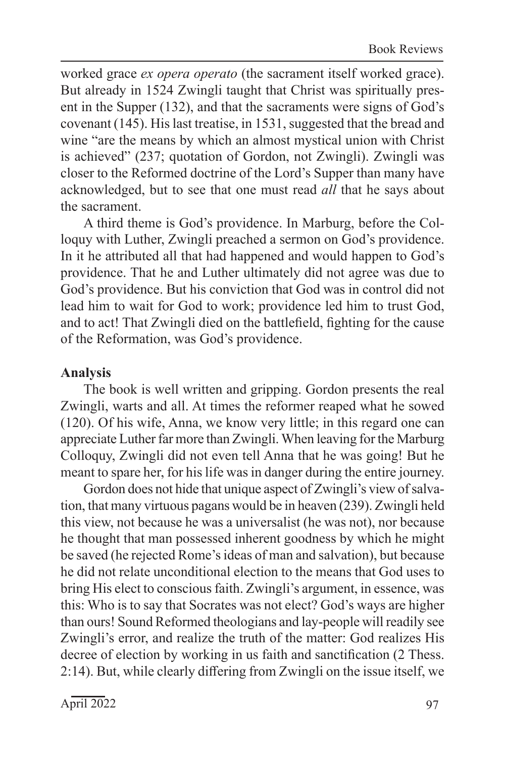worked grace *ex opera operato* (the sacrament itself worked grace). But already in 1524 Zwingli taught that Christ was spiritually present in the Supper (132), and that the sacraments were signs of God's covenant (145). His last treatise, in 1531, suggested that the bread and wine "are the means by which an almost mystical union with Christ is achieved" (237; quotation of Gordon, not Zwingli). Zwingli was closer to the Reformed doctrine of the Lord's Supper than many have acknowledged, but to see that one must read *all* that he says about the sacrament.

A third theme is God's providence. In Marburg, before the Colloquy with Luther, Zwingli preached a sermon on God's providence. In it he attributed all that had happened and would happen to God's providence. That he and Luther ultimately did not agree was due to God's providence. But his conviction that God was in control did not lead him to wait for God to work; providence led him to trust God, and to act! That Zwingli died on the battlefield, fighting for the cause of the Reformation, was God's providence.

#### **Analysis**

The book is well written and gripping. Gordon presents the real Zwingli, warts and all. At times the reformer reaped what he sowed (120). Of his wife, Anna, we know very little; in this regard one can appreciate Luther far more than Zwingli. When leaving for the Marburg Colloquy, Zwingli did not even tell Anna that he was going! But he meant to spare her, for his life was in danger during the entire journey.

Gordon does not hide that unique aspect of Zwingli's view of salvation, that many virtuous pagans would be in heaven (239). Zwingli held this view, not because he was a universalist (he was not), nor because he thought that man possessed inherent goodness by which he might be saved (he rejected Rome's ideas of man and salvation), but because he did not relate unconditional election to the means that God uses to bring His elect to conscious faith. Zwingli's argument, in essence, was this: Who is to say that Socrates was not elect? God's ways are higher than ours! Sound Reformed theologians and lay-people will readily see Zwingli's error, and realize the truth of the matter: God realizes His decree of election by working in us faith and sanctification (2 Thess. 2:14). But, while clearly differing from Zwingli on the issue itself, we

 $\overline{\text{April 2022}}$  97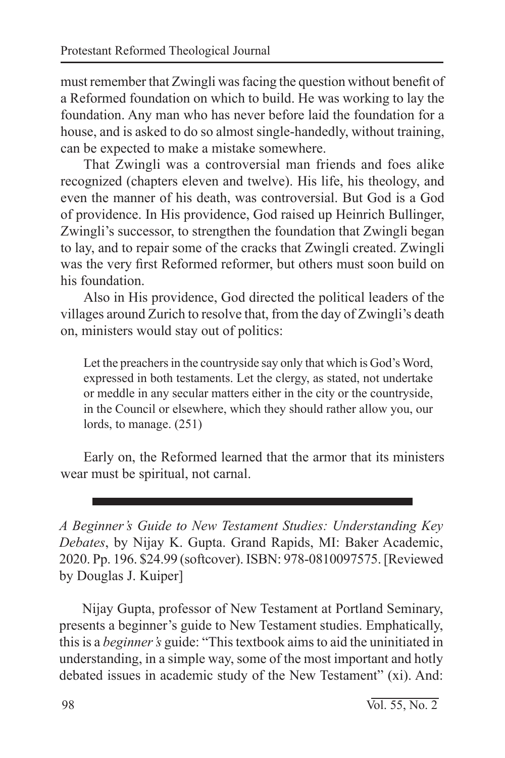must remember that Zwingli was facing the question without benefit of a Reformed foundation on which to build. He was working to lay the foundation. Any man who has never before laid the foundation for a house, and is asked to do so almost single-handedly, without training, can be expected to make a mistake somewhere.

That Zwingli was a controversial man friends and foes alike recognized (chapters eleven and twelve). His life, his theology, and even the manner of his death, was controversial. But God is a God of providence. In His providence, God raised up Heinrich Bullinger, Zwingli's successor, to strengthen the foundation that Zwingli began to lay, and to repair some of the cracks that Zwingli created. Zwingli was the very first Reformed reformer, but others must soon build on his foundation.

Also in His providence, God directed the political leaders of the villages around Zurich to resolve that, from the day of Zwingli's death on, ministers would stay out of politics:

Let the preachers in the countryside say only that which is God's Word, expressed in both testaments. Let the clergy, as stated, not undertake or meddle in any secular matters either in the city or the countryside, in the Council or elsewhere, which they should rather allow you, our lords, to manage. (251)

Early on, the Reformed learned that the armor that its ministers wear must be spiritual, not carnal.

*A Beginner's Guide to New Testament Studies: Understanding Key Debates*, by Nijay K. Gupta. Grand Rapids, MI: Baker Academic, 2020. Pp. 196. \$24.99 (softcover). ISBN: 978-0810097575. [Reviewed by Douglas J. Kuiper]

Nijay Gupta, professor of New Testament at Portland Seminary, presents a beginner's guide to New Testament studies. Emphatically, this is a *beginner's* guide: "This textbook aims to aid the uninitiated in understanding, in a simple way, some of the most important and hotly debated issues in academic study of the New Testament" (xi). And: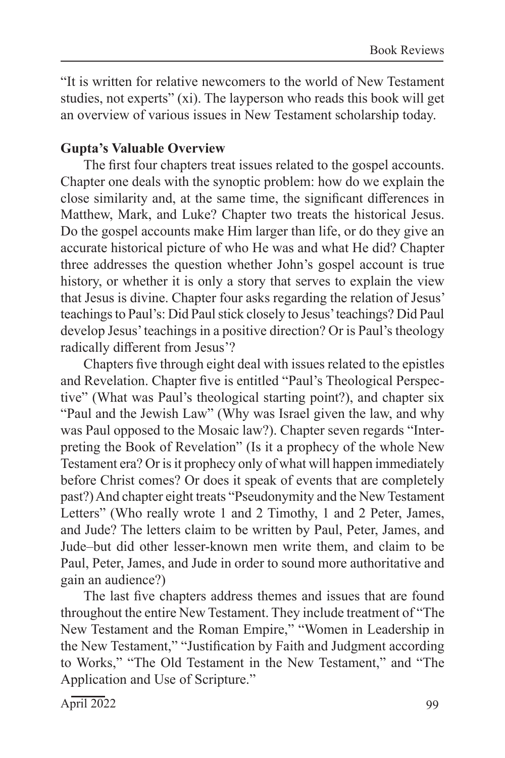"It is written for relative newcomers to the world of New Testament studies, not experts" (xi). The layperson who reads this book will get an overview of various issues in New Testament scholarship today.

## **Gupta's Valuable Overview**

The first four chapters treat issues related to the gospel accounts. Chapter one deals with the synoptic problem: how do we explain the close similarity and, at the same time, the significant differences in Matthew, Mark, and Luke? Chapter two treats the historical Jesus. Do the gospel accounts make Him larger than life, or do they give an accurate historical picture of who He was and what He did? Chapter three addresses the question whether John's gospel account is true history, or whether it is only a story that serves to explain the view that Jesus is divine. Chapter four asks regarding the relation of Jesus' teachings to Paul's: Did Paul stick closely to Jesus' teachings? Did Paul develop Jesus' teachings in a positive direction? Or is Paul's theology radically different from Jesus'?

Chapters five through eight deal with issues related to the epistles and Revelation. Chapter five is entitled "Paul's Theological Perspective" (What was Paul's theological starting point?), and chapter six "Paul and the Jewish Law" (Why was Israel given the law, and why was Paul opposed to the Mosaic law?). Chapter seven regards "Interpreting the Book of Revelation" (Is it a prophecy of the whole New Testament era? Or is it prophecy only of what will happen immediately before Christ comes? Or does it speak of events that are completely past?) And chapter eight treats "Pseudonymity and the New Testament Letters" (Who really wrote 1 and 2 Timothy, 1 and 2 Peter, James, and Jude? The letters claim to be written by Paul, Peter, James, and Jude–but did other lesser-known men write them, and claim to be Paul, Peter, James, and Jude in order to sound more authoritative and gain an audience?)

The last five chapters address themes and issues that are found throughout the entire New Testament. They include treatment of "The New Testament and the Roman Empire," "Women in Leadership in the New Testament," "Justification by Faith and Judgment according to Works," "The Old Testament in the New Testament," and "The Application and Use of Scripture."

April 2022 99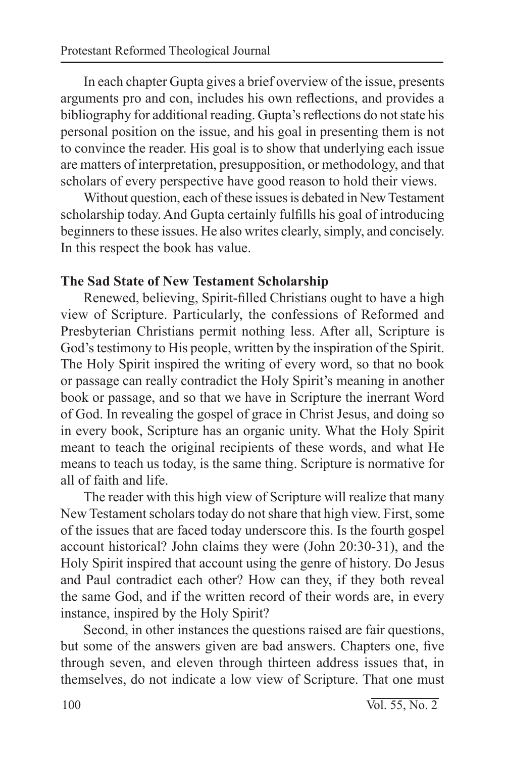In each chapter Gupta gives a brief overview of the issue, presents arguments pro and con, includes his own reflections, and provides a bibliography for additional reading. Gupta's reflections do not state his personal position on the issue, and his goal in presenting them is not to convince the reader. His goal is to show that underlying each issue are matters of interpretation, presupposition, or methodology, and that scholars of every perspective have good reason to hold their views.

Without question, each of these issues is debated in New Testament scholarship today. And Gupta certainly fulfills his goal of introducing beginners to these issues. He also writes clearly, simply, and concisely. In this respect the book has value.

## **The Sad State of New Testament Scholarship**

Renewed, believing, Spirit-filled Christians ought to have a high view of Scripture. Particularly, the confessions of Reformed and Presbyterian Christians permit nothing less. After all, Scripture is God's testimony to His people, written by the inspiration of the Spirit. The Holy Spirit inspired the writing of every word, so that no book or passage can really contradict the Holy Spirit's meaning in another book or passage, and so that we have in Scripture the inerrant Word of God. In revealing the gospel of grace in Christ Jesus, and doing so in every book, Scripture has an organic unity. What the Holy Spirit meant to teach the original recipients of these words, and what He means to teach us today, is the same thing. Scripture is normative for all of faith and life.

The reader with this high view of Scripture will realize that many New Testament scholars today do not share that high view. First, some of the issues that are faced today underscore this. Is the fourth gospel account historical? John claims they were (John 20:30-31), and the Holy Spirit inspired that account using the genre of history. Do Jesus and Paul contradict each other? How can they, if they both reveal the same God, and if the written record of their words are, in every instance, inspired by the Holy Spirit?

Second, in other instances the questions raised are fair questions, but some of the answers given are bad answers. Chapters one, five through seven, and eleven through thirteen address issues that, in themselves, do not indicate a low view of Scripture. That one must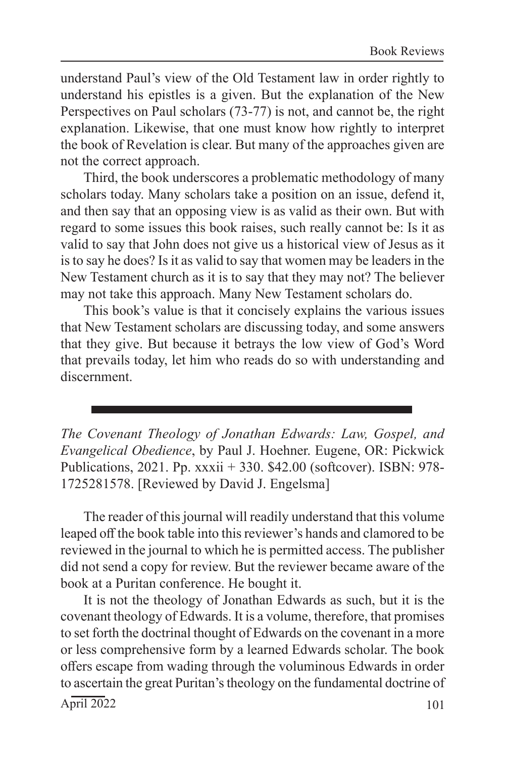understand Paul's view of the Old Testament law in order rightly to understand his epistles is a given. But the explanation of the New Perspectives on Paul scholars (73-77) is not, and cannot be, the right explanation. Likewise, that one must know how rightly to interpret the book of Revelation is clear. But many of the approaches given are not the correct approach.

Third, the book underscores a problematic methodology of many scholars today. Many scholars take a position on an issue, defend it, and then say that an opposing view is as valid as their own. But with regard to some issues this book raises, such really cannot be: Is it as valid to say that John does not give us a historical view of Jesus as it is to say he does? Is it as valid to say that women may be leaders in the New Testament church as it is to say that they may not? The believer may not take this approach. Many New Testament scholars do.

This book's value is that it concisely explains the various issues that New Testament scholars are discussing today, and some answers that they give. But because it betrays the low view of God's Word that prevails today, let him who reads do so with understanding and discernment.

*The Covenant Theology of Jonathan Edwards: Law, Gospel, and Evangelical Obedience*, by Paul J. Hoehner. Eugene, OR: Pickwick Publications, 2021. Pp. xxxii + 330. \$42.00 (softcover). ISBN: 978- 1725281578. [Reviewed by David J. Engelsma]

The reader of this journal will readily understand that this volume leaped off the book table into this reviewer's hands and clamored to be reviewed in the journal to which he is permitted access. The publisher did not send a copy for review. But the reviewer became aware of the book at a Puritan conference. He bought it.

It is not the theology of Jonathan Edwards as such, but it is the covenant theology of Edwards. It is a volume, therefore, that promises to set forth the doctrinal thought of Edwards on the covenant in a more or less comprehensive form by a learned Edwards scholar. The book offers escape from wading through the voluminous Edwards in order to ascertain the great Puritan's theology on the fundamental doctrine of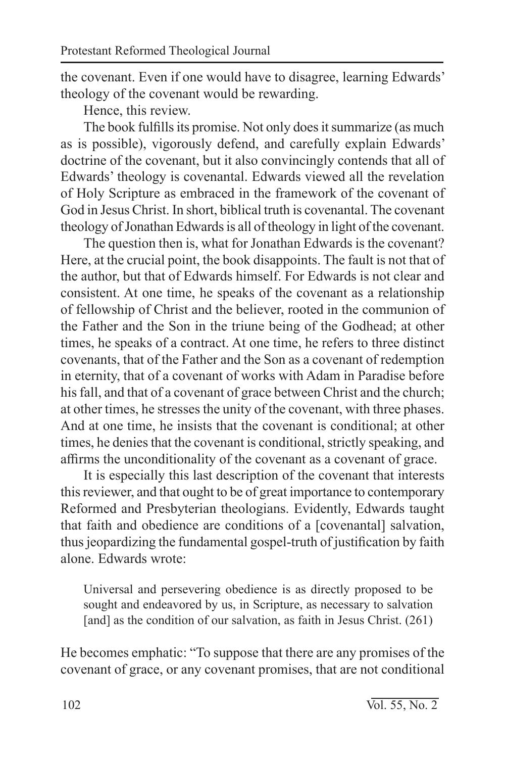the covenant. Even if one would have to disagree, learning Edwards' theology of the covenant would be rewarding.

Hence, this review.

The book fulfills its promise. Not only does it summarize (as much as is possible), vigorously defend, and carefully explain Edwards' doctrine of the covenant, but it also convincingly contends that all of Edwards' theology is covenantal. Edwards viewed all the revelation of Holy Scripture as embraced in the framework of the covenant of God in Jesus Christ. In short, biblical truth is covenantal. The covenant theology of Jonathan Edwards is all of theology in light of the covenant.

The question then is, what for Jonathan Edwards is the covenant? Here, at the crucial point, the book disappoints. The fault is not that of the author, but that of Edwards himself. For Edwards is not clear and consistent. At one time, he speaks of the covenant as a relationship of fellowship of Christ and the believer, rooted in the communion of the Father and the Son in the triune being of the Godhead; at other times, he speaks of a contract. At one time, he refers to three distinct covenants, that of the Father and the Son as a covenant of redemption in eternity, that of a covenant of works with Adam in Paradise before his fall, and that of a covenant of grace between Christ and the church; at other times, he stresses the unity of the covenant, with three phases. And at one time, he insists that the covenant is conditional; at other times, he denies that the covenant is conditional, strictly speaking, and affirms the unconditionality of the covenant as a covenant of grace.

It is especially this last description of the covenant that interests this reviewer, and that ought to be of great importance to contemporary Reformed and Presbyterian theologians. Evidently, Edwards taught that faith and obedience are conditions of a [covenantal] salvation, thus jeopardizing the fundamental gospel-truth of justification by faith alone. Edwards wrote:

Universal and persevering obedience is as directly proposed to be sought and endeavored by us, in Scripture, as necessary to salvation [and] as the condition of our salvation, as faith in Jesus Christ. (261)

He becomes emphatic: "To suppose that there are any promises of the covenant of grace, or any covenant promises, that are not conditional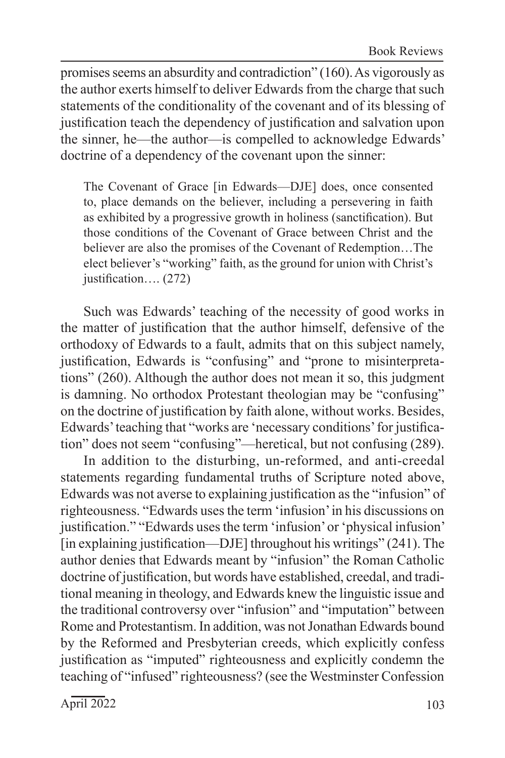promises seems an absurdity and contradiction" (160). As vigorously as the author exerts himself to deliver Edwards from the charge that such statements of the conditionality of the covenant and of its blessing of justification teach the dependency of justification and salvation upon the sinner, he—the author—is compelled to acknowledge Edwards' doctrine of a dependency of the covenant upon the sinner:

The Covenant of Grace [in Edwards—DJE] does, once consented to, place demands on the believer, including a persevering in faith as exhibited by a progressive growth in holiness (sanctification). But those conditions of the Covenant of Grace between Christ and the believer are also the promises of the Covenant of Redemption…The elect believer's "working" faith, as the ground for union with Christ's justification…. (272)

Such was Edwards' teaching of the necessity of good works in the matter of justification that the author himself, defensive of the orthodoxy of Edwards to a fault, admits that on this subject namely, justification, Edwards is "confusing" and "prone to misinterpretations" (260). Although the author does not mean it so, this judgment is damning. No orthodox Protestant theologian may be "confusing" on the doctrine of justification by faith alone, without works. Besides, Edwards' teaching that "works are 'necessary conditions' for justification" does not seem "confusing"—heretical, but not confusing (289).

In addition to the disturbing, un-reformed, and anti-creedal statements regarding fundamental truths of Scripture noted above, Edwards was not averse to explaining justification as the "infusion" of righteousness. "Edwards uses the term 'infusion' in his discussions on justification." "Edwards uses the term 'infusion' or 'physical infusion' [in explaining justification—DJE] throughout his writings" (241). The author denies that Edwards meant by "infusion" the Roman Catholic doctrine of justification, but words have established, creedal, and traditional meaning in theology, and Edwards knew the linguistic issue and the traditional controversy over "infusion" and "imputation" between Rome and Protestantism. In addition, was not Jonathan Edwards bound by the Reformed and Presbyterian creeds, which explicitly confess justification as "imputed" righteousness and explicitly condemn the teaching of "infused" righteousness? (see the Westminster Confession

 $\overline{\text{April 2022}}$  103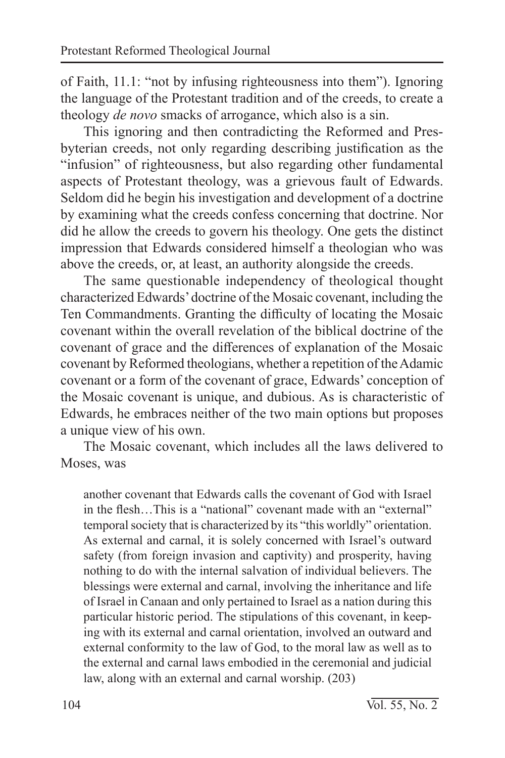of Faith, 11.1: "not by infusing righteousness into them"). Ignoring the language of the Protestant tradition and of the creeds, to create a theology *de novo* smacks of arrogance, which also is a sin.

This ignoring and then contradicting the Reformed and Presbyterian creeds, not only regarding describing justification as the "infusion" of righteousness, but also regarding other fundamental aspects of Protestant theology, was a grievous fault of Edwards. Seldom did he begin his investigation and development of a doctrine by examining what the creeds confess concerning that doctrine. Nor did he allow the creeds to govern his theology. One gets the distinct impression that Edwards considered himself a theologian who was above the creeds, or, at least, an authority alongside the creeds.

The same questionable independency of theological thought characterized Edwards' doctrine of the Mosaic covenant, including the Ten Commandments. Granting the difficulty of locating the Mosaic covenant within the overall revelation of the biblical doctrine of the covenant of grace and the differences of explanation of the Mosaic covenant by Reformed theologians, whether a repetition of the Adamic covenant or a form of the covenant of grace, Edwards' conception of the Mosaic covenant is unique, and dubious. As is characteristic of Edwards, he embraces neither of the two main options but proposes a unique view of his own.

The Mosaic covenant, which includes all the laws delivered to Moses, was

another covenant that Edwards calls the covenant of God with Israel in the flesh…This is a "national" covenant made with an "external" temporal society that is characterized by its "this worldly" orientation. As external and carnal, it is solely concerned with Israel's outward safety (from foreign invasion and captivity) and prosperity, having nothing to do with the internal salvation of individual believers. The blessings were external and carnal, involving the inheritance and life of Israel in Canaan and only pertained to Israel as a nation during this particular historic period. The stipulations of this covenant, in keeping with its external and carnal orientation, involved an outward and external conformity to the law of God, to the moral law as well as to the external and carnal laws embodied in the ceremonial and judicial law, along with an external and carnal worship. (203)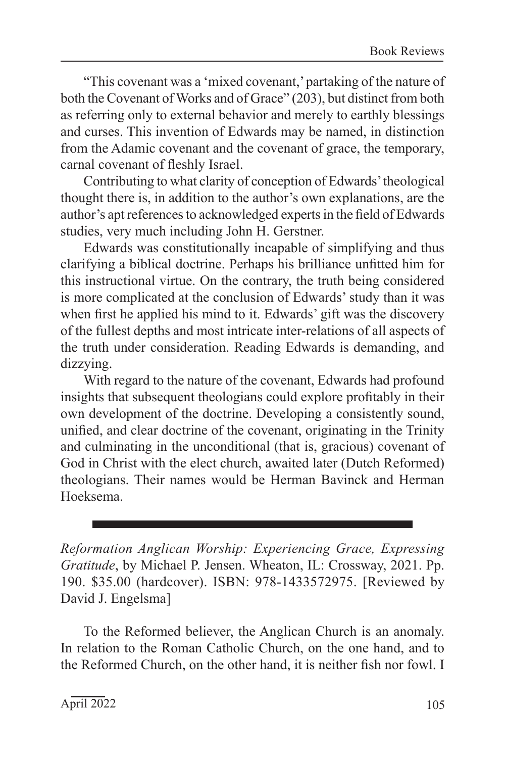"This covenant was a 'mixed covenant,' partaking of the nature of both the Covenant of Works and of Grace" (203), but distinct from both as referring only to external behavior and merely to earthly blessings and curses. This invention of Edwards may be named, in distinction from the Adamic covenant and the covenant of grace, the temporary, carnal covenant of fleshly Israel.

Contributing to what clarity of conception of Edwards' theological thought there is, in addition to the author's own explanations, are the author's apt references to acknowledged experts in the field of Edwards studies, very much including John H. Gerstner.

Edwards was constitutionally incapable of simplifying and thus clarifying a biblical doctrine. Perhaps his brilliance unfitted him for this instructional virtue. On the contrary, the truth being considered is more complicated at the conclusion of Edwards' study than it was when first he applied his mind to it. Edwards' gift was the discovery of the fullest depths and most intricate inter-relations of all aspects of the truth under consideration. Reading Edwards is demanding, and dizzying.

With regard to the nature of the covenant, Edwards had profound insights that subsequent theologians could explore profitably in their own development of the doctrine. Developing a consistently sound, unified, and clear doctrine of the covenant, originating in the Trinity and culminating in the unconditional (that is, gracious) covenant of God in Christ with the elect church, awaited later (Dutch Reformed) theologians. Their names would be Herman Bavinck and Herman Hoeksema.

*Reformation Anglican Worship: Experiencing Grace, Expressing Gratitude*, by Michael P. Jensen. Wheaton, IL: Crossway, 2021. Pp. 190. \$35.00 (hardcover). ISBN: 978-1433572975. [Reviewed by David J. Engelsma]

To the Reformed believer, the Anglican Church is an anomaly. In relation to the Roman Catholic Church, on the one hand, and to the Reformed Church, on the other hand, it is neither fish nor fowl. I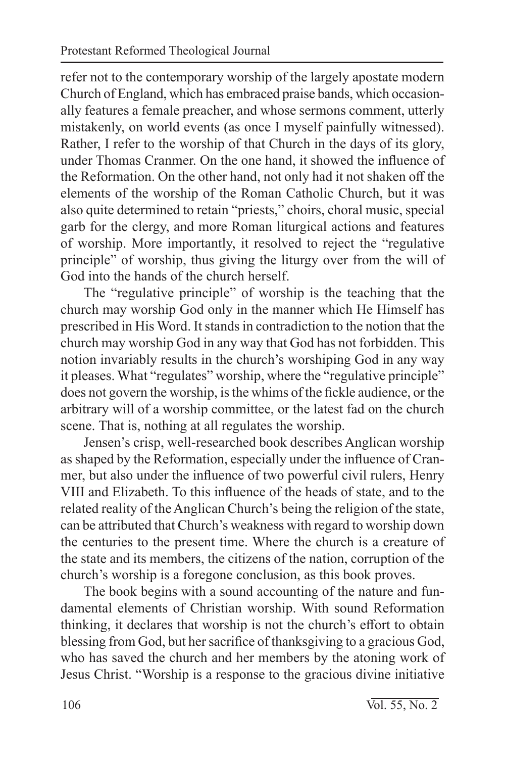refer not to the contemporary worship of the largely apostate modern Church of England, which has embraced praise bands, which occasionally features a female preacher, and whose sermons comment, utterly mistakenly, on world events (as once I myself painfully witnessed). Rather, I refer to the worship of that Church in the days of its glory, under Thomas Cranmer. On the one hand, it showed the influence of the Reformation. On the other hand, not only had it not shaken off the elements of the worship of the Roman Catholic Church, but it was also quite determined to retain "priests," choirs, choral music, special garb for the clergy, and more Roman liturgical actions and features of worship. More importantly, it resolved to reject the "regulative principle" of worship, thus giving the liturgy over from the will of God into the hands of the church herself.

The "regulative principle" of worship is the teaching that the church may worship God only in the manner which He Himself has prescribed in His Word. It stands in contradiction to the notion that the church may worship God in any way that God has not forbidden. This notion invariably results in the church's worshiping God in any way it pleases. What "regulates" worship, where the "regulative principle" does not govern the worship, is the whims of the fickle audience, or the arbitrary will of a worship committee, or the latest fad on the church scene. That is, nothing at all regulates the worship.

Jensen's crisp, well-researched book describes Anglican worship as shaped by the Reformation, especially under the influence of Cranmer, but also under the influence of two powerful civil rulers, Henry VIII and Elizabeth. To this influence of the heads of state, and to the related reality of the Anglican Church's being the religion of the state, can be attributed that Church's weakness with regard to worship down the centuries to the present time. Where the church is a creature of the state and its members, the citizens of the nation, corruption of the church's worship is a foregone conclusion, as this book proves.

The book begins with a sound accounting of the nature and fundamental elements of Christian worship. With sound Reformation thinking, it declares that worship is not the church's effort to obtain blessing from God, but her sacrifice of thanksgiving to a gracious God, who has saved the church and her members by the atoning work of Jesus Christ. "Worship is a response to the gracious divine initiative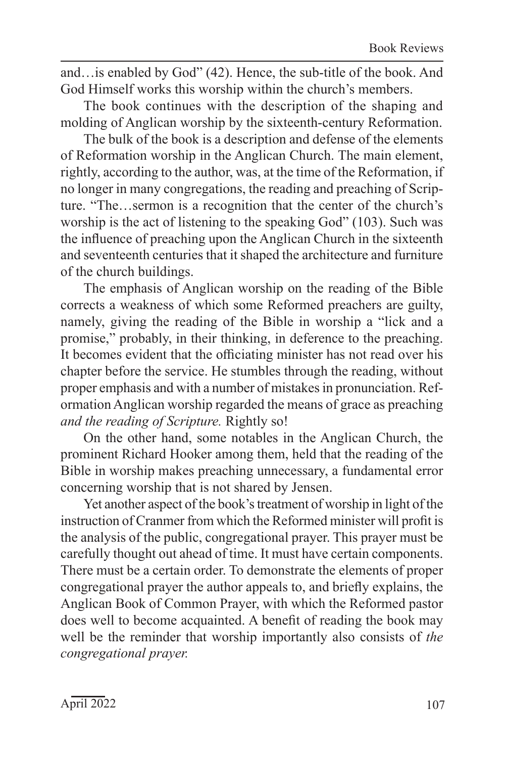and…is enabled by God" (42). Hence, the sub-title of the book. And God Himself works this worship within the church's members.

The book continues with the description of the shaping and molding of Anglican worship by the sixteenth-century Reformation.

The bulk of the book is a description and defense of the elements of Reformation worship in the Anglican Church. The main element, rightly, according to the author, was, at the time of the Reformation, if no longer in many congregations, the reading and preaching of Scripture. "The…sermon is a recognition that the center of the church's worship is the act of listening to the speaking God" (103). Such was the influence of preaching upon the Anglican Church in the sixteenth and seventeenth centuries that it shaped the architecture and furniture of the church buildings.

The emphasis of Anglican worship on the reading of the Bible corrects a weakness of which some Reformed preachers are guilty, namely, giving the reading of the Bible in worship a "lick and a promise," probably, in their thinking, in deference to the preaching. It becomes evident that the officiating minister has not read over his chapter before the service. He stumbles through the reading, without proper emphasis and with a number of mistakes in pronunciation. Reformation Anglican worship regarded the means of grace as preaching *and the reading of Scripture.* Rightly so!

On the other hand, some notables in the Anglican Church, the prominent Richard Hooker among them, held that the reading of the Bible in worship makes preaching unnecessary, a fundamental error concerning worship that is not shared by Jensen.

Yet another aspect of the book's treatment of worship in light of the instruction of Cranmer from which the Reformed minister will profit is the analysis of the public, congregational prayer. This prayer must be carefully thought out ahead of time. It must have certain components. There must be a certain order. To demonstrate the elements of proper congregational prayer the author appeals to, and briefly explains, the Anglican Book of Common Prayer, with which the Reformed pastor does well to become acquainted. A benefit of reading the book may well be the reminder that worship importantly also consists of *the congregational prayer.*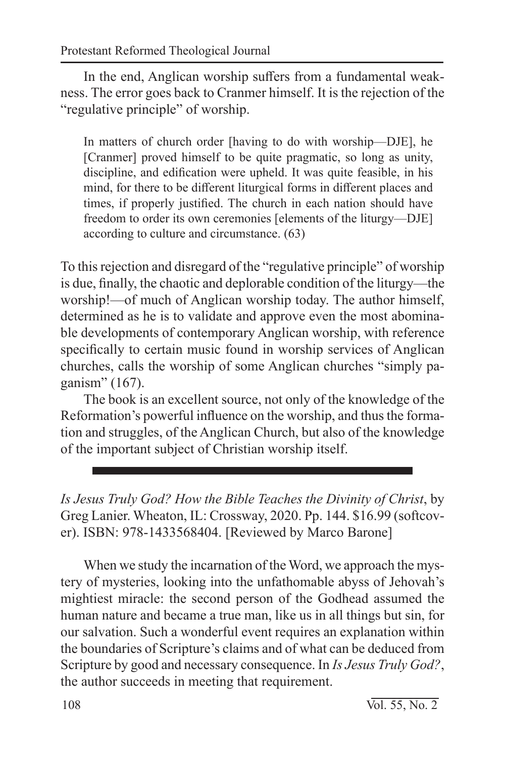In the end, Anglican worship suffers from a fundamental weakness. The error goes back to Cranmer himself. It is the rejection of the "regulative principle" of worship.

In matters of church order [having to do with worship—DJE], he [Cranmer] proved himself to be quite pragmatic, so long as unity, discipline, and edification were upheld. It was quite feasible, in his mind, for there to be different liturgical forms in different places and times, if properly justified. The church in each nation should have freedom to order its own ceremonies [elements of the liturgy—DJE] according to culture and circumstance. (63)

To this rejection and disregard of the "regulative principle" of worship is due, finally, the chaotic and deplorable condition of the liturgy—the worship!—of much of Anglican worship today. The author himself, determined as he is to validate and approve even the most abominable developments of contemporary Anglican worship, with reference specifically to certain music found in worship services of Anglican churches, calls the worship of some Anglican churches "simply paganism" (167).

The book is an excellent source, not only of the knowledge of the Reformation's powerful influence on the worship, and thus the formation and struggles, of the Anglican Church, but also of the knowledge of the important subject of Christian worship itself.

*Is Jesus Truly God? How the Bible Teaches the Divinity of Christ*, by Greg Lanier. Wheaton, IL: Crossway, 2020. Pp. 144. \$16.99 (softcover). ISBN: 978-1433568404. [Reviewed by Marco Barone]

When we study the incarnation of the Word, we approach the mystery of mysteries, looking into the unfathomable abyss of Jehovah's mightiest miracle: the second person of the Godhead assumed the human nature and became a true man, like us in all things but sin, for our salvation. Such a wonderful event requires an explanation within the boundaries of Scripture's claims and of what can be deduced from Scripture by good and necessary consequence. In *Is Jesus Truly God?*, the author succeeds in meeting that requirement.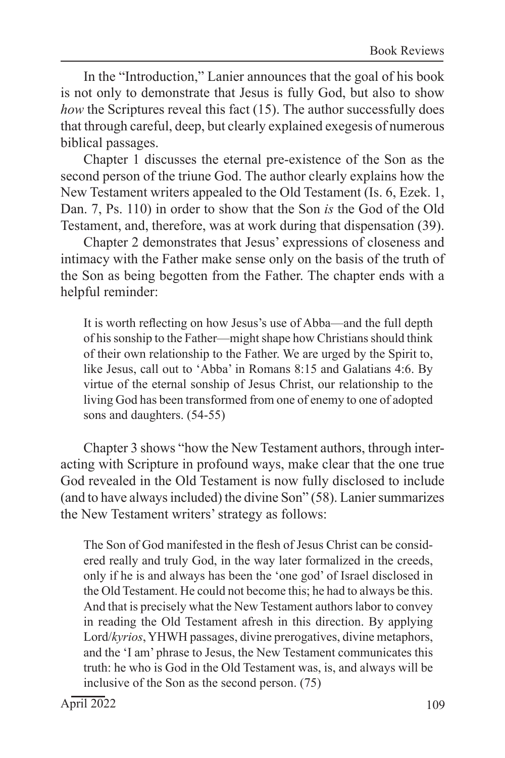In the "Introduction," Lanier announces that the goal of his book is not only to demonstrate that Jesus is fully God, but also to show *how* the Scriptures reveal this fact (15). The author successfully does that through careful, deep, but clearly explained exegesis of numerous biblical passages.

Chapter 1 discusses the eternal pre-existence of the Son as the second person of the triune God. The author clearly explains how the New Testament writers appealed to the Old Testament (Is. 6, Ezek. 1, Dan. 7, Ps. 110) in order to show that the Son *is* the God of the Old Testament, and, therefore, was at work during that dispensation (39).

Chapter 2 demonstrates that Jesus' expressions of closeness and intimacy with the Father make sense only on the basis of the truth of the Son as being begotten from the Father. The chapter ends with a helpful reminder:

It is worth reflecting on how Jesus's use of Abba—and the full depth of his sonship to the Father—might shape how Christians should think of their own relationship to the Father. We are urged by the Spirit to, like Jesus, call out to 'Abba' in Romans 8:15 and Galatians 4:6. By virtue of the eternal sonship of Jesus Christ, our relationship to the living God has been transformed from one of enemy to one of adopted sons and daughters. (54-55)

Chapter 3 shows "how the New Testament authors, through interacting with Scripture in profound ways, make clear that the one true God revealed in the Old Testament is now fully disclosed to include (and to have always included) the divine Son" (58). Lanier summarizes the New Testament writers' strategy as follows:

The Son of God manifested in the flesh of Jesus Christ can be considered really and truly God, in the way later formalized in the creeds, only if he is and always has been the 'one god' of Israel disclosed in the Old Testament. He could not become this; he had to always be this. And that is precisely what the New Testament authors labor to convey in reading the Old Testament afresh in this direction. By applying Lord/*kyrios*, YHWH passages, divine prerogatives, divine metaphors, and the 'I am' phrase to Jesus, the New Testament communicates this truth: he who is God in the Old Testament was, is, and always will be inclusive of the Son as the second person. (75)

 $\text{April } 2022$  109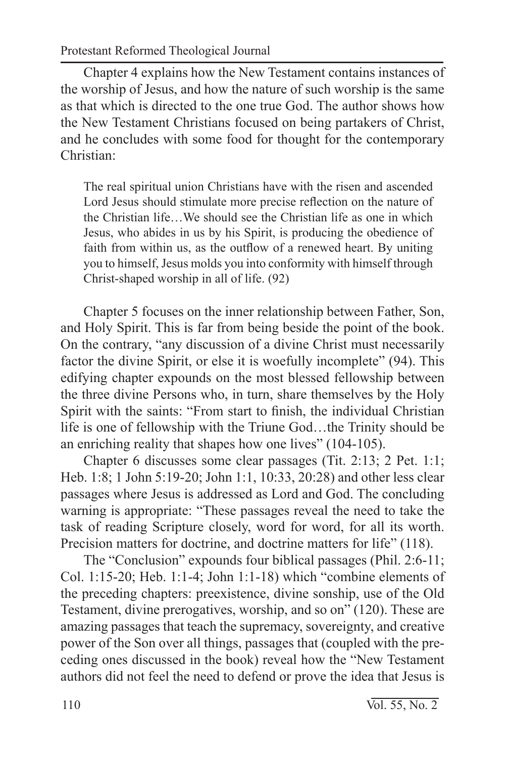Protestant Reformed Theological Journal

Chapter 4 explains how the New Testament contains instances of the worship of Jesus, and how the nature of such worship is the same as that which is directed to the one true God. The author shows how the New Testament Christians focused on being partakers of Christ, and he concludes with some food for thought for the contemporary Christian:

The real spiritual union Christians have with the risen and ascended Lord Jesus should stimulate more precise reflection on the nature of the Christian life…We should see the Christian life as one in which Jesus, who abides in us by his Spirit, is producing the obedience of faith from within us, as the outflow of a renewed heart. By uniting you to himself, Jesus molds you into conformity with himself through Christ-shaped worship in all of life. (92)

Chapter 5 focuses on the inner relationship between Father, Son, and Holy Spirit. This is far from being beside the point of the book. On the contrary, "any discussion of a divine Christ must necessarily factor the divine Spirit, or else it is woefully incomplete" (94). This edifying chapter expounds on the most blessed fellowship between the three divine Persons who, in turn, share themselves by the Holy Spirit with the saints: "From start to finish, the individual Christian life is one of fellowship with the Triune God…the Trinity should be an enriching reality that shapes how one lives" (104-105).

Chapter 6 discusses some clear passages (Tit. 2:13; 2 Pet. 1:1; Heb. 1:8; 1 John 5:19-20; John 1:1, 10:33, 20:28) and other less clear passages where Jesus is addressed as Lord and God. The concluding warning is appropriate: "These passages reveal the need to take the task of reading Scripture closely, word for word, for all its worth. Precision matters for doctrine, and doctrine matters for life" (118).

The "Conclusion" expounds four biblical passages (Phil. 2:6-11; Col. 1:15-20; Heb. 1:1-4; John 1:1-18) which "combine elements of the preceding chapters: preexistence, divine sonship, use of the Old Testament, divine prerogatives, worship, and so on" (120). These are amazing passages that teach the supremacy, sovereignty, and creative power of the Son over all things, passages that (coupled with the preceding ones discussed in the book) reveal how the "New Testament authors did not feel the need to defend or prove the idea that Jesus is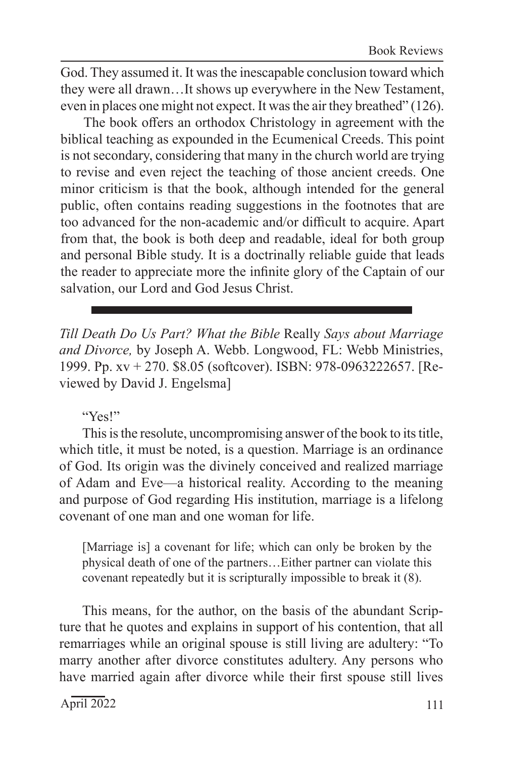God. They assumed it. It was the inescapable conclusion toward which they were all drawn…It shows up everywhere in the New Testament, even in places one might not expect. It was the air they breathed" (126).

The book offers an orthodox Christology in agreement with the biblical teaching as expounded in the Ecumenical Creeds. This point is not secondary, considering that many in the church world are trying to revise and even reject the teaching of those ancient creeds. One minor criticism is that the book, although intended for the general public, often contains reading suggestions in the footnotes that are too advanced for the non-academic and/or difficult to acquire. Apart from that, the book is both deep and readable, ideal for both group and personal Bible study. It is a doctrinally reliable guide that leads the reader to appreciate more the infinite glory of the Captain of our salvation, our Lord and God Jesus Christ.

*Till Death Do Us Part? What the Bible* Really *Says about Marriage and Divorce,* by Joseph A. Webb. Longwood, FL: Webb Ministries, 1999. Pp. xv + 270. \$8.05 (softcover). ISBN: 978-0963222657. [Reviewed by David J. Engelsma]

## "Yes!"

This is the resolute, uncompromising answer of the book to its title, which title, it must be noted, is a question. Marriage is an ordinance of God. Its origin was the divinely conceived and realized marriage of Adam and Eve—a historical reality. According to the meaning and purpose of God regarding His institution, marriage is a lifelong covenant of one man and one woman for life.

[Marriage is] a covenant for life; which can only be broken by the physical death of one of the partners…Either partner can violate this covenant repeatedly but it is scripturally impossible to break it (8).

This means, for the author, on the basis of the abundant Scripture that he quotes and explains in support of his contention, that all remarriages while an original spouse is still living are adultery: "To marry another after divorce constitutes adultery. Any persons who have married again after divorce while their first spouse still lives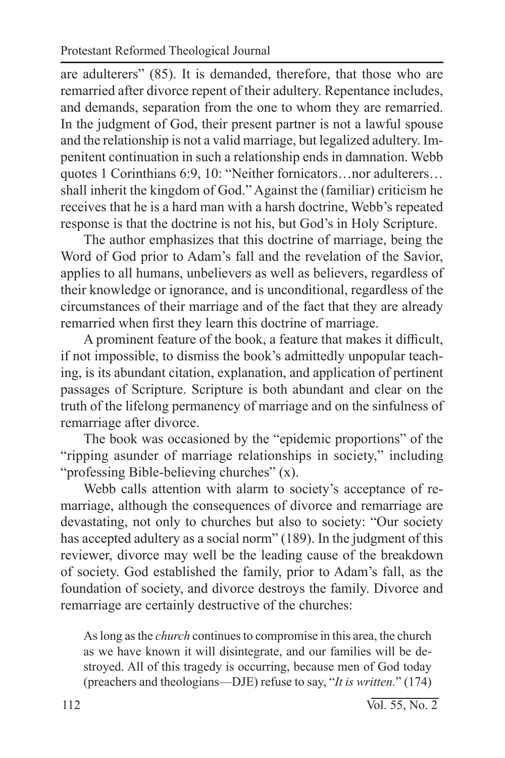are adulterers" (85). It is demanded, therefore, that those who are remarried after divorce repent of their adultery. Repentance includes, and demands, separation from the one to whom they are remarried. In the judgment of God, their present partner is not a lawful spouse and the relationship is not a valid marriage, but legalized adultery. Impenitent continuation in such a relationship ends in damnation. Webb quotes 1 Corinthians 6:9, 10: "Neither fornicators…nor adulterers… shall inherit the kingdom of God." Against the (familiar) criticism he receives that he is a hard man with a harsh doctrine, Webb's repeated response is that the doctrine is not his, but God's in Holy Scripture.

The author emphasizes that this doctrine of marriage, being the Word of God prior to Adam's fall and the revelation of the Savior, applies to all humans, unbelievers as well as believers, regardless of their knowledge or ignorance, and is unconditional, regardless of the circumstances of their marriage and of the fact that they are already remarried when first they learn this doctrine of marriage.

A prominent feature of the book, a feature that makes it difficult, if not impossible, to dismiss the book's admittedly unpopular teaching, is its abundant citation, explanation, and application of pertinent passages of Scripture. Scripture is both abundant and clear on the truth of the lifelong permanency of marriage and on the sinfulness of remarriage after divorce.

The book was occasioned by the "epidemic proportions" of the "ripping asunder of marriage relationships in society," including "professing Bible-believing churches" (x).

Webb calls attention with alarm to society's acceptance of remarriage, although the consequences of divorce and remarriage are devastating, not only to churches but also to society: "Our society has accepted adultery as a social norm" (189). In the judgment of this reviewer, divorce may well be the leading cause of the breakdown of society. God established the family, prior to Adam's fall, as the foundation of society, and divorce destroys the family. Divorce and remarriage are certainly destructive of the churches:

As long as the *church* continues to compromise in this area, the church as we have known it will disintegrate, and our families will be destroyed. All of this tragedy is occurring, because men of God today (preachers and theologians—DJE) refuse to say, "*It is written.*" (174)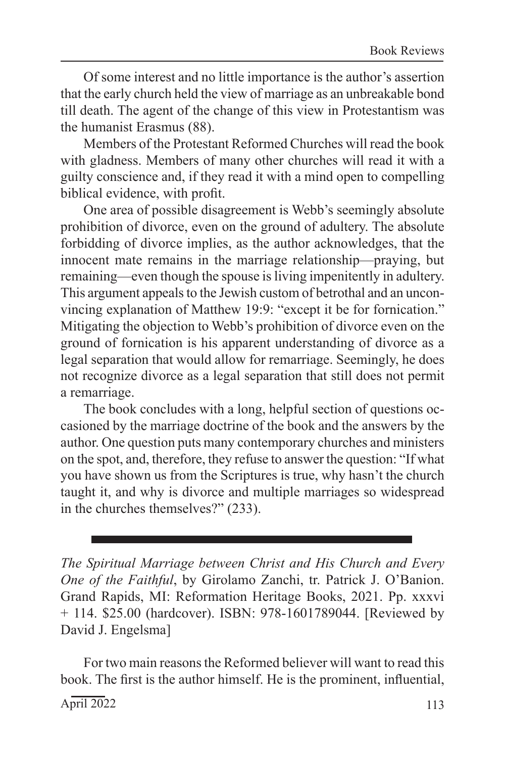Of some interest and no little importance is the author's assertion that the early church held the view of marriage as an unbreakable bond till death. The agent of the change of this view in Protestantism was the humanist Erasmus (88).

Members of the Protestant Reformed Churches will read the book with gladness. Members of many other churches will read it with a guilty conscience and, if they read it with a mind open to compelling biblical evidence, with profit.

One area of possible disagreement is Webb's seemingly absolute prohibition of divorce, even on the ground of adultery. The absolute forbidding of divorce implies, as the author acknowledges, that the innocent mate remains in the marriage relationship—praying, but remaining—even though the spouse is living impenitently in adultery. This argument appeals to the Jewish custom of betrothal and an unconvincing explanation of Matthew 19:9: "except it be for fornication." Mitigating the objection to Webb's prohibition of divorce even on the ground of fornication is his apparent understanding of divorce as a legal separation that would allow for remarriage. Seemingly, he does not recognize divorce as a legal separation that still does not permit a remarriage.

The book concludes with a long, helpful section of questions occasioned by the marriage doctrine of the book and the answers by the author. One question puts many contemporary churches and ministers on the spot, and, therefore, they refuse to answer the question: "If what you have shown us from the Scriptures is true, why hasn't the church taught it, and why is divorce and multiple marriages so widespread in the churches themselves?" (233).

*The Spiritual Marriage between Christ and His Church and Every One of the Faithful*, by Girolamo Zanchi, tr. Patrick J. O'Banion. Grand Rapids, MI: Reformation Heritage Books, 2021. Pp. xxxvi + 114. \$25.00 (hardcover). ISBN: 978-1601789044. [Reviewed by David J. Engelsma]

For two main reasons the Reformed believer will want to read this book. The first is the author himself. He is the prominent, influential,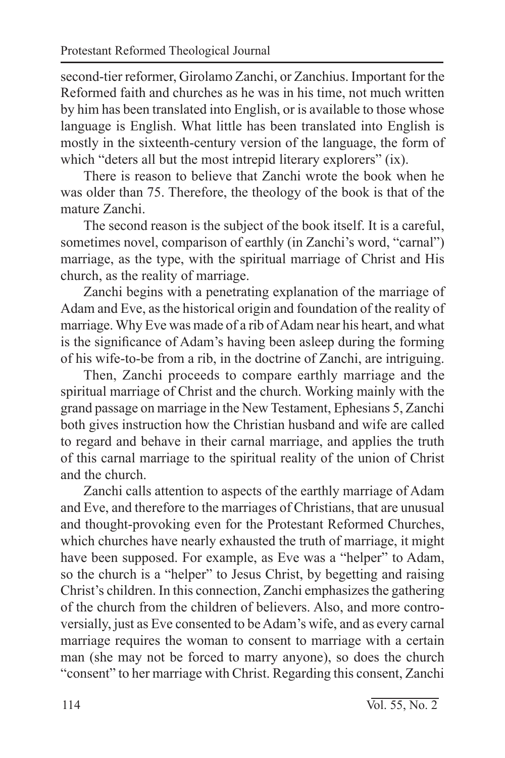second-tier reformer, Girolamo Zanchi, or Zanchius. Important for the Reformed faith and churches as he was in his time, not much written by him has been translated into English, or is available to those whose language is English. What little has been translated into English is mostly in the sixteenth-century version of the language, the form of which "deters all but the most intrepid literary explorers" (ix).

There is reason to believe that Zanchi wrote the book when he was older than 75. Therefore, the theology of the book is that of the mature Zanchi.

The second reason is the subject of the book itself. It is a careful, sometimes novel, comparison of earthly (in Zanchi's word, "carnal") marriage, as the type, with the spiritual marriage of Christ and His church, as the reality of marriage.

Zanchi begins with a penetrating explanation of the marriage of Adam and Eve, as the historical origin and foundation of the reality of marriage. Why Eve was made of a rib of Adam near his heart, and what is the significance of Adam's having been asleep during the forming of his wife-to-be from a rib, in the doctrine of Zanchi, are intriguing.

Then, Zanchi proceeds to compare earthly marriage and the spiritual marriage of Christ and the church. Working mainly with the grand passage on marriage in the New Testament, Ephesians 5, Zanchi both gives instruction how the Christian husband and wife are called to regard and behave in their carnal marriage, and applies the truth of this carnal marriage to the spiritual reality of the union of Christ and the church.

Zanchi calls attention to aspects of the earthly marriage of Adam and Eve, and therefore to the marriages of Christians, that are unusual and thought-provoking even for the Protestant Reformed Churches, which churches have nearly exhausted the truth of marriage, it might have been supposed. For example, as Eve was a "helper" to Adam, so the church is a "helper" to Jesus Christ, by begetting and raising Christ's children. In this connection, Zanchi emphasizes the gathering of the church from the children of believers. Also, and more controversially, just as Eve consented to be Adam's wife, and as every carnal marriage requires the woman to consent to marriage with a certain man (she may not be forced to marry anyone), so does the church "consent" to her marriage with Christ. Regarding this consent, Zanchi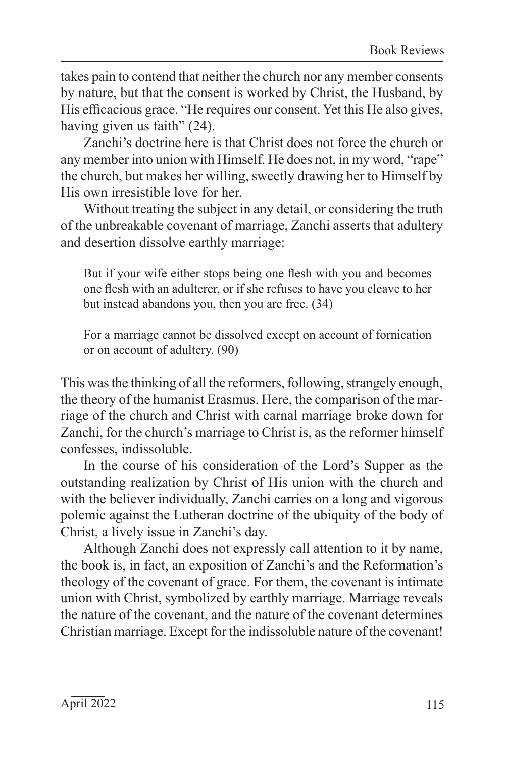takes pain to contend that neither the church nor any member consents by nature, but that the consent is worked by Christ, the Husband, by His efficacious grace. "He requires our consent. Yet this He also gives, having given us faith" (24).

Zanchi's doctrine here is that Christ does not force the church or any member into union with Himself. He does not, in my word, "rape" the church, but makes her willing, sweetly drawing her to Himself by His own irresistible love for her.

Without treating the subject in any detail, or considering the truth of the unbreakable covenant of marriage, Zanchi asserts that adultery and desertion dissolve earthly marriage:

But if your wife either stops being one flesh with you and becomes one flesh with an adulterer, or if she refuses to have you cleave to her but instead abandons you, then you are free. (34)

For a marriage cannot be dissolved except on account of fornication or on account of adultery. (90)

This was the thinking of all the reformers, following, strangely enough, the theory of the humanist Erasmus. Here, the comparison of the marriage of the church and Christ with carnal marriage broke down for Zanchi, for the church's marriage to Christ is, as the reformer himself confesses, indissoluble.

In the course of his consideration of the Lord's Supper as the outstanding realization by Christ of His union with the church and with the believer individually, Zanchi carries on a long and vigorous polemic against the Lutheran doctrine of the ubiquity of the body of Christ, a lively issue in Zanchi's day.

Although Zanchi does not expressly call attention to it by name, the book is, in fact, an exposition of Zanchi's and the Reformation's theology of the covenant of grace. For them, the covenant is intimate union with Christ, symbolized by earthly marriage. Marriage reveals the nature of the covenant, and the nature of the covenant determines Christian marriage. Except for the indissoluble nature of the covenant!